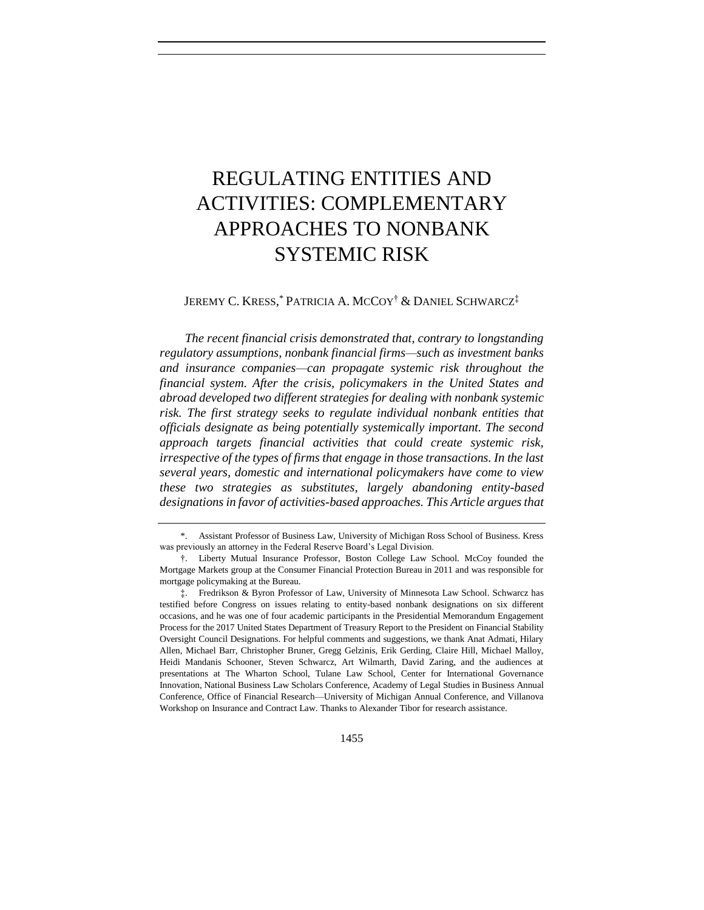# REGULATING ENTITIES AND ACTIVITIES: COMPLEMENTARY APPROACHES TO NONBANK SYSTEMIC RISK

# JEREMY C. KRESS, \* PATRICIA A. MCCOY† & DANIEL SCHWARCZ‡

*The recent financial crisis demonstrated that, contrary to longstanding regulatory assumptions, nonbank financial firms—such as investment banks and insurance companies—can propagate systemic risk throughout the financial system. After the crisis, policymakers in the United States and abroad developed two different strategies for dealing with nonbank systemic risk. The first strategy seeks to regulate individual nonbank entities that officials designate as being potentially systemically important. The second approach targets financial activities that could create systemic risk, irrespective of the types of firms that engage in those transactions. In the last several years, domestic and international policymakers have come to view these two strategies as substitutes, largely abandoning entity-based designations in favor of activities-based approaches. This Article argues that* 

<sup>\*.</sup> Assistant Professor of Business Law, University of Michigan Ross School of Business. Kress was previously an attorney in the Federal Reserve Board's Legal Division.

<sup>†.</sup> Liberty Mutual Insurance Professor, Boston College Law School. McCoy founded the Mortgage Markets group at the Consumer Financial Protection Bureau in 2011 and was responsible for mortgage policymaking at the Bureau.

<sup>‡.</sup> Fredrikson & Byron Professor of Law, University of Minnesota Law School. Schwarcz has testified before Congress on issues relating to entity-based nonbank designations on six different occasions, and he was one of four academic participants in the Presidential Memorandum Engagement Process for the 2017 United States Department of Treasury Report to the President on Financial Stability Oversight Council Designations. For helpful comments and suggestions, we thank Anat Admati, Hilary Allen, Michael Barr, Christopher Bruner, Gregg Gelzinis, Erik Gerding, Claire Hill, Michael Malloy, Heidi Mandanis Schooner, Steven Schwarcz, Art Wilmarth, David Zaring, and the audiences at presentations at The Wharton School, Tulane Law School, Center for International Governance Innovation, National Business Law Scholars Conference, Academy of Legal Studies in Business Annual Conference, Office of Financial Research—University of Michigan Annual Conference, and Villanova Workshop on Insurance and Contract Law. Thanks to Alexander Tibor for research assistance.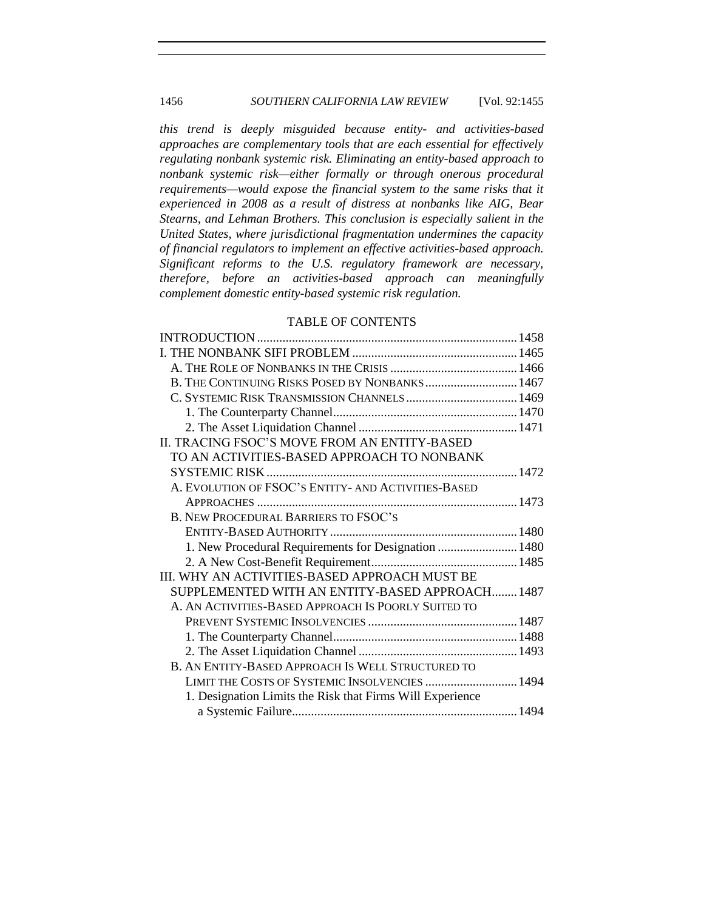*this trend is deeply misguided because entity- and activities-based approaches are complementary tools that are each essential for effectively regulating nonbank systemic risk. Eliminating an entity-based approach to nonbank systemic risk—either formally or through onerous procedural*  requirements—would expose the financial system to the same risks that it *experienced in 2008 as a result of distress at nonbanks like AIG, Bear Stearns, and Lehman Brothers. This conclusion is especially salient in the United States, where jurisdictional fragmentation undermines the capacity of financial regulators to implement an effective activities-based approach. Significant reforms to the U.S. regulatory framework are necessary, therefore, before an activities-based approach can meaningfully complement domestic entity-based systemic risk regulation.*

# TABLE OF CONTENTS

| B. THE CONTINUING RISKS POSED BY NONBANKS 1467            |  |
|-----------------------------------------------------------|--|
|                                                           |  |
|                                                           |  |
|                                                           |  |
| II. TRACING FSOC'S MOVE FROM AN ENTITY-BASED              |  |
| TO AN ACTIVITIES-BASED APPROACH TO NONBANK                |  |
|                                                           |  |
| A. EVOLUTION OF FSOC'S ENTITY- AND ACTIVITIES-BASED       |  |
|                                                           |  |
| B. NEW PROCEDURAL BARRIERS TO FSOC'S                      |  |
|                                                           |  |
| 1. New Procedural Requirements for Designation  1480      |  |
|                                                           |  |
| III. WHY AN ACTIVITIES-BASED APPROACH MUST BE             |  |
| SUPPLEMENTED WITH AN ENTITY-BASED APPROACH 1487           |  |
| A. AN ACTIVITIES-BASED APPROACH IS POORLY SUITED TO       |  |
|                                                           |  |
|                                                           |  |
|                                                           |  |
| B. AN ENTITY-BASED APPROACH IS WELL STRUCTURED TO         |  |
| LIMIT THE COSTS OF SYSTEMIC INSOLVENCIES  1494            |  |
| 1. Designation Limits the Risk that Firms Will Experience |  |
|                                                           |  |
|                                                           |  |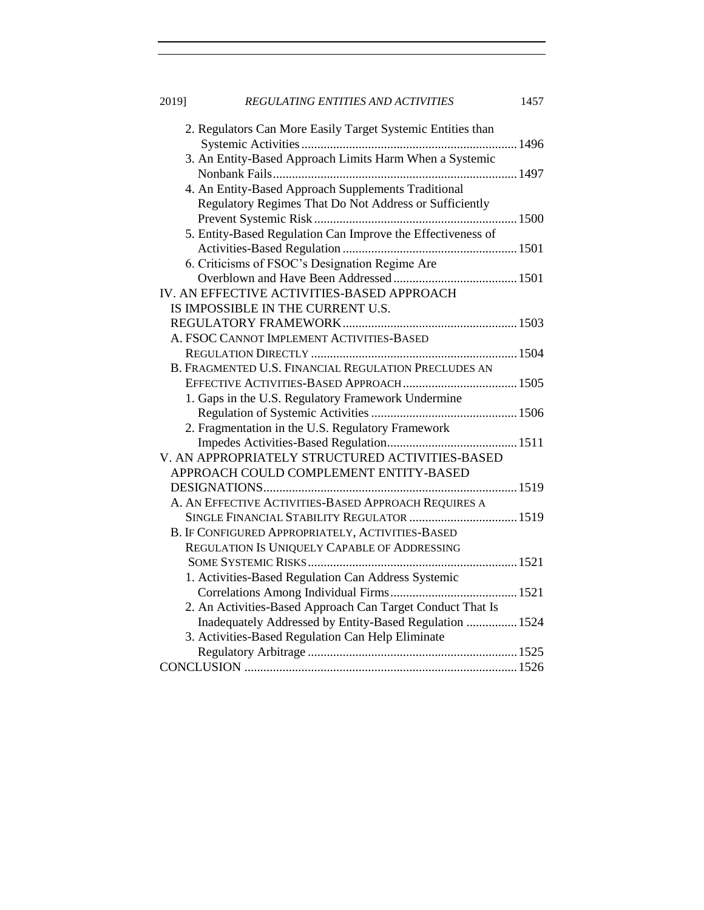<span id="page-2-0"></span>

| 2019] | <b>REGULATING ENTITIES AND ACTIVITIES</b>                                                        | 1457 |
|-------|--------------------------------------------------------------------------------------------------|------|
|       | 2. Regulators Can More Easily Target Systemic Entities than                                      |      |
|       | 3. An Entity-Based Approach Limits Harm When a Systemic                                          |      |
|       | 4. An Entity-Based Approach Supplements Traditional                                              |      |
|       | Regulatory Regimes That Do Not Address or Sufficiently                                           |      |
|       |                                                                                                  |      |
|       | 5. Entity-Based Regulation Can Improve the Effectiveness of                                      |      |
|       |                                                                                                  |      |
|       | 6. Criticisms of FSOC's Designation Regime Are                                                   |      |
|       | IV. AN EFFECTIVE ACTIVITIES-BASED APPROACH                                                       |      |
|       | IS IMPOSSIBLE IN THE CURRENT U.S.                                                                |      |
|       |                                                                                                  |      |
|       | A. FSOC CANNOT IMPLEMENT ACTIVITIES-BASED                                                        |      |
|       |                                                                                                  |      |
|       | B. FRAGMENTED U.S. FINANCIAL REGULATION PRECLUDES AN                                             |      |
|       |                                                                                                  |      |
|       | 1. Gaps in the U.S. Regulatory Framework Undermine                                               |      |
|       |                                                                                                  |      |
|       | 2. Fragmentation in the U.S. Regulatory Framework                                                |      |
|       |                                                                                                  |      |
|       | V. AN APPROPRIATELY STRUCTURED ACTIVITIES-BASED                                                  |      |
|       | APPROACH COULD COMPLEMENT ENTITY-BASED                                                           |      |
|       |                                                                                                  |      |
|       | A. AN EFFECTIVE ACTIVITIES-BASED APPROACH REQUIRES A                                             |      |
|       | SINGLE FINANCIAL STABILITY REGULATOR  1519                                                       |      |
|       | B. IF CONFIGURED APPROPRIATELY, ACTIVITIES-BASED<br>REGULATION IS UNIQUELY CAPABLE OF ADDRESSING |      |
|       |                                                                                                  |      |
|       | 1. Activities-Based Regulation Can Address Systemic                                              |      |
|       |                                                                                                  |      |
|       | 2. An Activities-Based Approach Can Target Conduct That Is                                       |      |
|       | Inadequately Addressed by Entity-Based Regulation  1524                                          |      |
|       | 3. Activities-Based Regulation Can Help Eliminate                                                |      |
|       |                                                                                                  |      |
|       |                                                                                                  |      |
|       |                                                                                                  |      |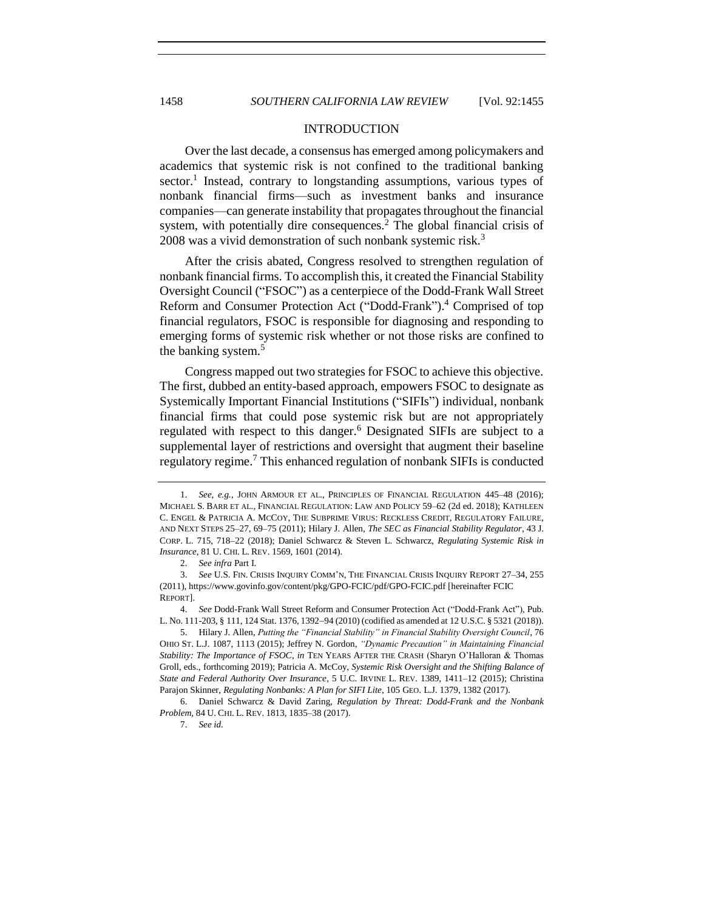## <span id="page-3-1"></span>INTRODUCTION

<span id="page-3-2"></span>Over the last decade, a consensus has emerged among policymakers and academics that systemic risk is not confined to the traditional banking sector.<sup>1</sup> Instead, contrary to longstanding assumptions, various types of nonbank financial firms—such as investment banks and insurance companies—can generate instability that propagates throughout the financial system, with potentially dire consequences.<sup>2</sup> The global financial crisis of 2008 was a vivid demonstration of such nonbank systemic risk.<sup>3</sup>

After the crisis abated, Congress resolved to strengthen regulation of nonbank financial firms. To accomplish this, it created the Financial Stability Oversight Council ("FSOC") as a centerpiece of the Dodd-Frank Wall Street Reform and Consumer Protection Act ("Dodd-Frank").<sup>4</sup> Comprised of top financial regulators, FSOC is responsible for diagnosing and responding to emerging forms of systemic risk whether or not those risks are confined to the banking system.<sup>5</sup>

<span id="page-3-3"></span><span id="page-3-0"></span>Congress mapped out two strategies for FSOC to achieve this objective. The first, dubbed an entity-based approach, empowers FSOC to designate as Systemically Important Financial Institutions ("SIFIs") individual, nonbank financial firms that could pose systemic risk but are not appropriately regulated with respect to this danger.<sup>6</sup> Designated SIFIs are subject to a supplemental layer of restrictions and oversight that augment their baseline regulatory regime.<sup>7</sup> This enhanced regulation of nonbank SIFIs is conducted

<sup>1.</sup> *See, e.g.*, JOHN ARMOUR ET AL., PRINCIPLES OF FINANCIAL REGULATION 445–48 (2016); MICHAEL S. BARR ET AL., FINANCIAL REGULATION: LAW AND POLICY 59–62 (2d ed. 2018); KATHLEEN C. ENGEL & PATRICIA A. MCCOY, THE SUBPRIME VIRUS: RECKLESS CREDIT, REGULATORY FAILURE, AND NEXT STEPS 25–27, 69–75 (2011); Hilary J. Allen, *The SEC as Financial Stability Regulator*, 43 J. CORP. L. 715, 718–22 (2018); Daniel Schwarcz & Steven L. Schwarcz, *Regulating Systemic Risk in Insurance*, 81 U. CHI. L. REV. 1569, 1601 (2014).

<sup>2.</sup> *See infra* Part I.

<sup>3.</sup> *See* U.S. FIN. CRISIS INQUIRY COMM'N, THE FINANCIAL CRISIS INQUIRY REPORT 27–34, 255 (2011), https://www.govinfo.gov/content/pkg/GPO-FCIC/pdf/GPO-FCIC.pdf [hereinafter FCIC REPORT].

<sup>4.</sup> *See* Dodd-Frank Wall Street Reform and Consumer Protection Act ("Dodd-Frank Act"), Pub. L. No. 111-203, § 111, 124 Stat. 1376, 1392−94 (2010) (codified as amended at 12 U.S.C. § 5321 (2018)).

<sup>5.</sup> Hilary J. Allen, *Putting the "Financial Stability" in Financial Stability Oversight Council*, 76 OHIO ST. L.J. 1087, 1113 (2015); Jeffrey N. Gordon, *"Dynamic Precaution" in Maintaining Financial Stability: The Importance of FSOC*, *in* TEN YEARS AFTER THE CRASH (Sharyn O'Halloran & Thomas Groll, eds., forthcoming 2019); Patricia A. McCoy, *Systemic Risk Oversight and the Shifting Balance of State and Federal Authority Over Insurance*, 5 U.C. IRVINE L. REV. 1389, 1411–12 (2015); Christina Parajon Skinner, *Regulating Nonbanks: A Plan for SIFI Lite*, 105 GEO. L.J. 1379, 1382 (2017).

<sup>6.</sup> Daniel Schwarcz & David Zaring, *Regulation by Threat: Dodd-Frank and the Nonbank Problem,* 84 U. CHI. L. REV. 1813, 1835–38 (2017).

<sup>7.</sup> *See id.*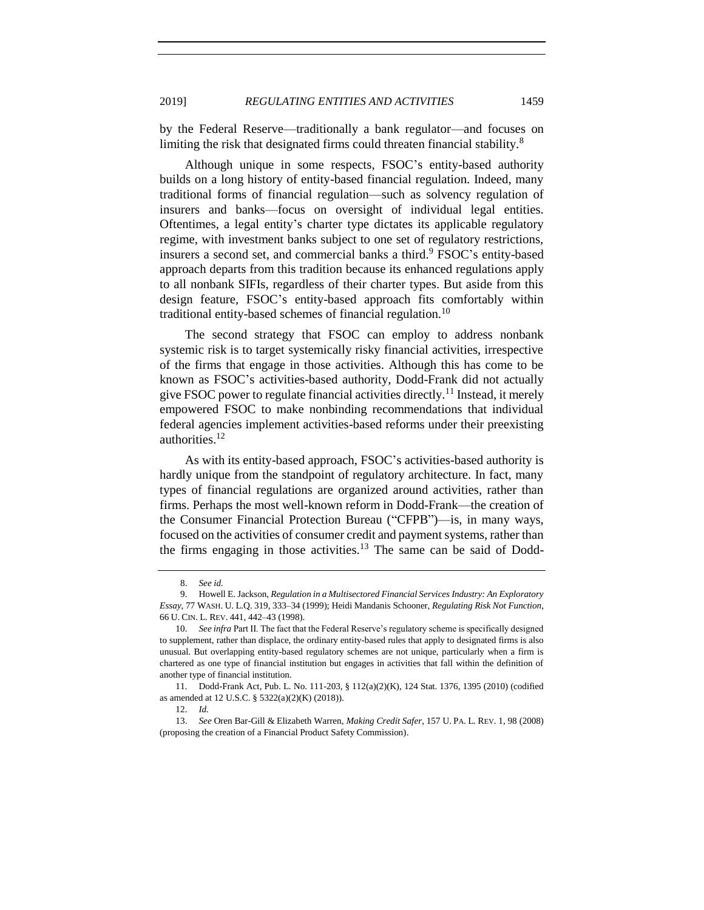by the Federal Reserve—traditionally a bank regulator—and focuses on limiting the risk that designated firms could threaten financial stability.<sup>8</sup>

Although unique in some respects, FSOC's entity-based authority builds on a long history of entity-based financial regulation. Indeed, many traditional forms of financial regulation—such as solvency regulation of insurers and banks—focus on oversight of individual legal entities. Oftentimes, a legal entity's charter type dictates its applicable regulatory regime, with investment banks subject to one set of regulatory restrictions, insurers a second set, and commercial banks a third.<sup>9</sup> FSOC's entity-based approach departs from this tradition because its enhanced regulations apply to all nonbank SIFIs, regardless of their charter types. But aside from this design feature, FSOC's entity-based approach fits comfortably within traditional entity-based schemes of financial regulation.<sup>10</sup>

The second strategy that FSOC can employ to address nonbank systemic risk is to target systemically risky financial activities, irrespective of the firms that engage in those activities. Although this has come to be known as FSOC's activities-based authority, Dodd-Frank did not actually give FSOC power to regulate financial activities directly.<sup>11</sup> Instead, it merely empowered FSOC to make nonbinding recommendations that individual federal agencies implement activities-based reforms under their preexisting authorities.<sup>12</sup>

As with its entity-based approach, FSOC's activities-based authority is hardly unique from the standpoint of regulatory architecture. In fact, many types of financial regulations are organized around activities, rather than firms. Perhaps the most well-known reform in Dodd-Frank—the creation of the Consumer Financial Protection Bureau ("CFPB")—is, in many ways, focused on the activities of consumer credit and payment systems, rather than the firms engaging in those activities.<sup>13</sup> The same can be said of Dodd-

<span id="page-4-0"></span>

<sup>8.</sup> *See id.*

<sup>9.</sup> Howell E. Jackson, *Regulation in a Multisectored Financial Services Industry: An Exploratory Essay*, 77 WASH. U. L.Q. 319, 333–34 (1999); Heidi Mandanis Schooner, *Regulating Risk Not Function*, 66 U. CIN. L. REV. 441, 442–43 (1998).

<sup>10.</sup> *See infra* Part II. The fact that the Federal Reserve's regulatory scheme is specifically designed to supplement, rather than displace, the ordinary entity-based rules that apply to designated firms is also unusual. But overlapping entity-based regulatory schemes are not unique, particularly when a firm is chartered as one type of financial institution but engages in activities that fall within the definition of another type of financial institution.

<sup>11.</sup> Dodd-Frank Act, Pub. L. No. 111-203, § 112(a)(2)(K), 124 Stat. 1376, 1395 (2010) (codified as amended at 12 U.S.C. § 5322(a)(2)(K) (2018)).

<sup>12.</sup> *Id.*

<sup>13.</sup> *See* Oren Bar-Gill & Elizabeth Warren, *Making Credit Safer*, 157 U. PA. L. REV. 1, 98 (2008) (proposing the creation of a Financial Product Safety Commission).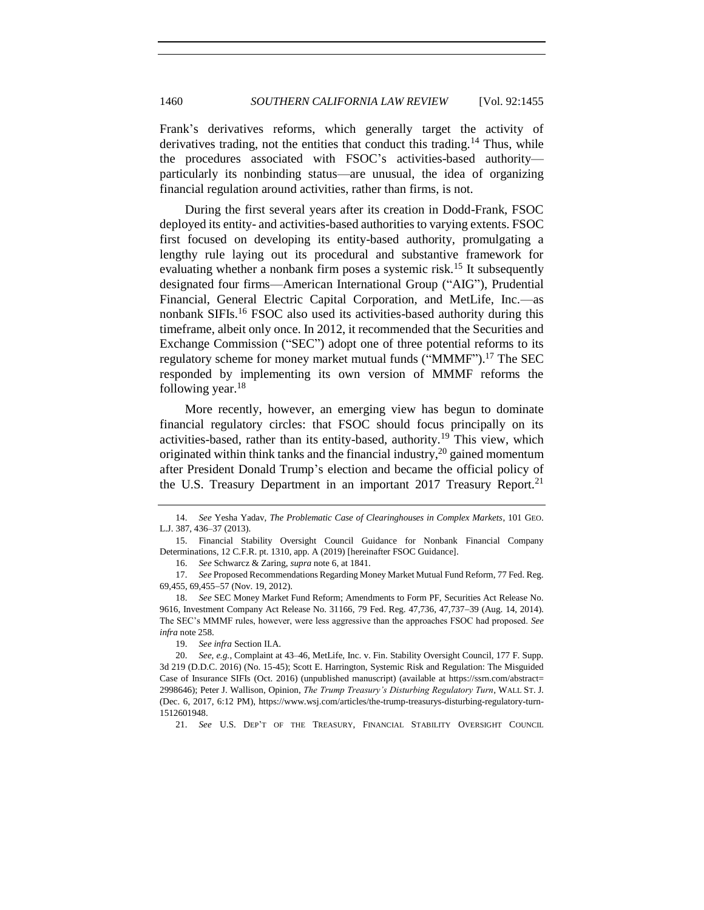Frank's derivatives reforms, which generally target the activity of derivatives trading, not the entities that conduct this trading.<sup>14</sup> Thus, while the procedures associated with FSOC's activities-based authority particularly its nonbinding status—are unusual, the idea of organizing financial regulation around activities, rather than firms, is not.

During the first several years after its creation in Dodd-Frank, FSOC deployed its entity- and activities-based authorities to varying extents. FSOC first focused on developing its entity-based authority, promulgating a lengthy rule laying out its procedural and substantive framework for evaluating whether a nonbank firm poses a systemic risk.<sup>15</sup> It subsequently designated four firms—American International Group ("AIG"), Prudential Financial, General Electric Capital Corporation, and MetLife, Inc.—as nonbank SIFIs.<sup>16</sup> FSOC also used its activities-based authority during this timeframe, albeit only once. In 2012, it recommended that the Securities and Exchange Commission ("SEC") adopt one of three potential reforms to its regulatory scheme for money market mutual funds ("MMMF").<sup>17</sup> The SEC responded by implementing its own version of MMMF reforms the following year. $18$ 

<span id="page-5-1"></span>More recently, however, an emerging view has begun to dominate financial regulatory circles: that FSOC should focus principally on its activities-based, rather than its entity-based, authority.<sup>19</sup> This view, which originated within think tanks and the financial industry,<sup>20</sup> gained momentum after President Donald Trump's election and became the official policy of the U.S. Treasury Department in an important 2017 Treasury Report.<sup>21</sup>

21. *See* U.S. DEP'T OF THE TREASURY, FINANCIAL STABILITY OVERSIGHT COUNCIL

<sup>14.</sup> *See* Yesha Yadav, *The Problematic Case of Clearinghouses in Complex Markets*, 101 GEO. L.J. 387, 436–37 (2013).

<sup>15.</sup> Financial Stability Oversight Council Guidance for Nonbank Financial Company Determinations, 12 C.F.R. pt. 1310, app. A (2019) [hereinafter FSOC Guidance].

<span id="page-5-0"></span><sup>16.</sup> *See* Schwarcz & Zaring, *supra* not[e 6,](#page-3-0) at 1841.

<sup>17.</sup> *See* Proposed Recommendations Regarding Money Market Mutual Fund Reform, 77 Fed. Reg. 69,455, 69,455−57 (Nov. 19, 2012).

<sup>18.</sup> *See* SEC Money Market Fund Reform; Amendments to Form PF, Securities Act Release No. 9616, Investment Company Act Release No. 31166, 79 Fed. Reg. 47,736, 47,737−39 (Aug. 14, 2014). The SEC's MMMF rules, however, were less aggressive than the approaches FSOC had proposed. *See infra* not[e 258.](#page-49-1)

<sup>19.</sup> *See infra* Section II.A.

<sup>20.</sup> *See, e.g.*, Complaint at 43–46, MetLife, Inc. v. Fin. Stability Oversight Council, 177 F. Supp. 3d 219 (D.D.C. 2016) (No. 15-45); Scott E. Harrington, Systemic Risk and Regulation: The Misguided Case of Insurance SIFIs (Oct. 2016) (unpublished manuscript) (available at https://ssrn.com/abstract= 2998646); Peter J. Wallison, Opinion, *The Trump Treasury's Disturbing Regulatory Turn*, WALL ST. J. (Dec. 6, 2017, 6:12 PM), https://www.wsj.com/articles/the-trump-treasurys-disturbing-regulatory-turn-1512601948.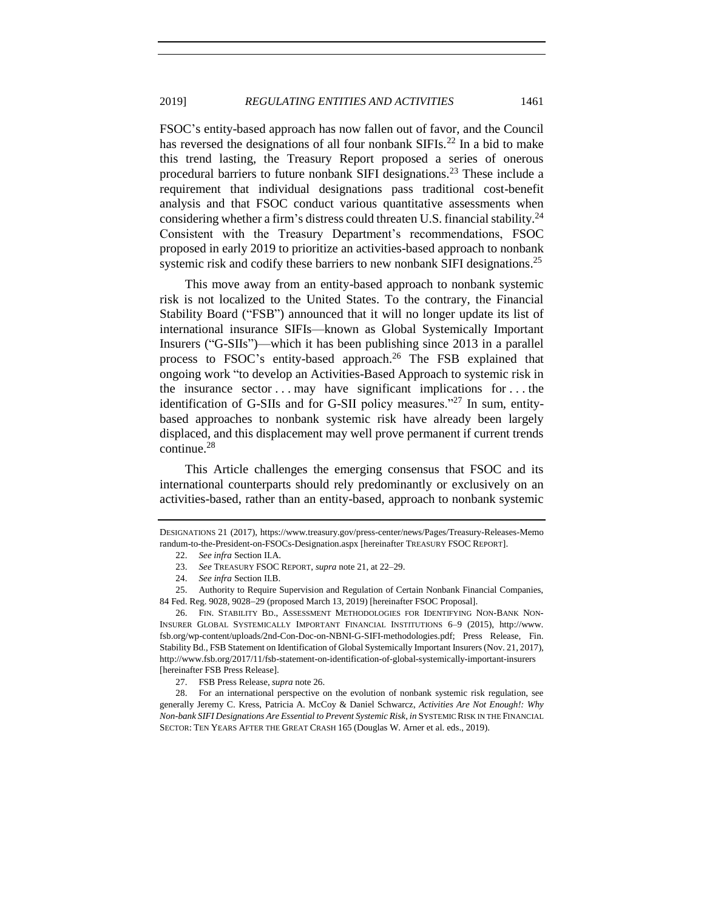FSOC's entity-based approach has now fallen out of favor, and the Council has reversed the designations of all four nonbank  $SIFIs.<sup>22</sup>$  In a bid to make this trend lasting, the Treasury Report proposed a series of onerous procedural barriers to future nonbank SIFI designations.<sup>23</sup> These include a requirement that individual designations pass traditional cost-benefit analysis and that FSOC conduct various quantitative assessments when considering whether a firm's distress could threaten U.S. financial stability.<sup>24</sup> Consistent with the Treasury Department's recommendations, FSOC proposed in early 2019 to prioritize an activities-based approach to nonbank systemic risk and codify these barriers to new nonbank SIFI designations.<sup>25</sup>

This move away from an entity-based approach to nonbank systemic risk is not localized to the United States. To the contrary, the Financial Stability Board ("FSB") announced that it will no longer update its list of international insurance SIFIs—known as Global Systemically Important Insurers ("G-SIIs")—which it has been publishing since 2013 in a parallel process to FSOC's entity-based approach.<sup>26</sup> The FSB explained that ongoing work "to develop an Activities-Based Approach to systemic risk in the insurance sector . . . may have significant implications for . . . the identification of G-SIIs and for G-SII policy measures."<sup>27</sup> In sum, entitybased approaches to nonbank systemic risk have already been largely displaced, and this displacement may well prove permanent if current trends continue.<sup>28</sup>

This Article challenges the emerging consensus that FSOC and its international counterparts should rely predominantly or exclusively on an activities-based, rather than an entity-based, approach to nonbank systemic

<span id="page-6-0"></span>

DESIGNATIONS 21 (2017), https://www.treasury.gov/press-center/news/Pages/Treasury-Releases-Memo randum-to-the-President-on-FSOCs-Designation.aspx [hereinafter TREASURY FSOC REPORT].

<sup>22.</sup> *See infra* Section II.A.

<sup>23.</sup> *See* TREASURY FSOC REPORT, *supra* not[e 21,](#page-5-0) at 22–29.

<sup>24.</sup> *See infra* Section II.B.

<sup>25.</sup> Authority to Require Supervision and Regulation of Certain Nonbank Financial Companies, 84 Fed. Reg. 9028, 9028−29 (proposed March 13, 2019) [hereinafter FSOC Proposal].

<sup>26.</sup> FIN. STABILITY BD., ASSESSMENT METHODOLOGIES FOR IDENTIFYING NON-BANK NON-INSURER GLOBAL SYSTEMICALLY IMPORTANT FINANCIAL INSTITUTIONS 6–9 (2015), http://www. fsb.org/wp-content/uploads/2nd-Con-Doc-on-NBNI-G-SIFI-methodologies.pdf; Press Release, Fin. Stability Bd., FSB Statement on Identification of Global Systemically Important Insurers(Nov. 21, 2017), http://www.fsb.org/2017/11/fsb-statement-on-identification-of-global-systemically-important-insurers [hereinafter FSB Press Release].

<sup>27.</sup> FSB Press Release, *supra* note 26.

<sup>28.</sup> For an international perspective on the evolution of nonbank systemic risk regulation, see generally Jeremy C. Kress, Patricia A. McCoy & Daniel Schwarcz, *Activities Are Not Enough!: Why Non-bank SIFI Designations Are Essential to Prevent Systemic Risk*, *in* SYSTEMIC RISK IN THE FINANCIAL SECTOR: TEN YEARS AFTER THE GREAT CRASH 165 (Douglas W. Arner et al. eds., 2019).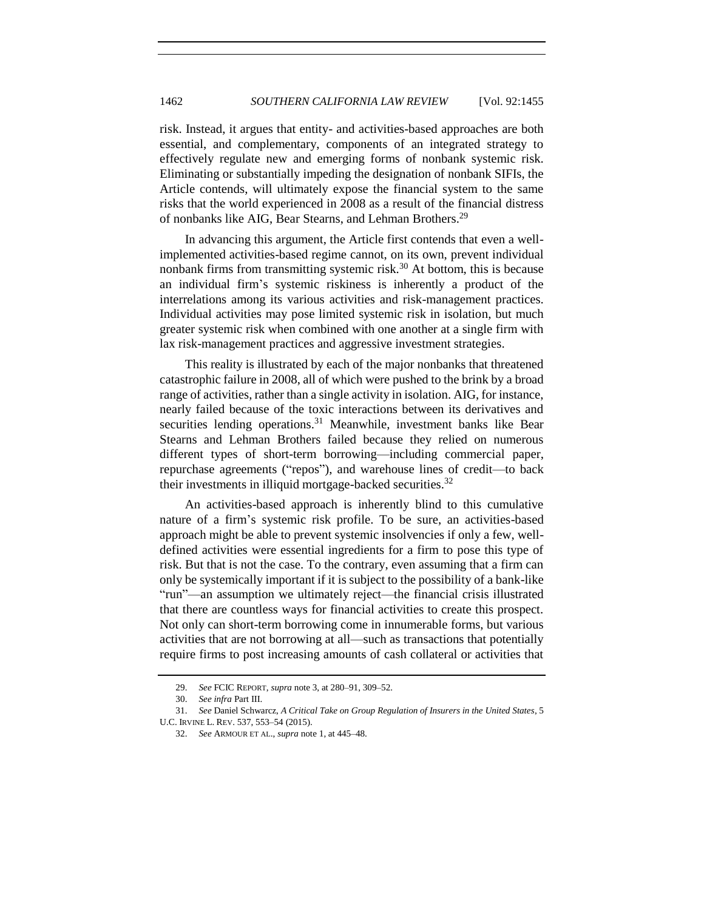risk. Instead, it argues that entity- and activities-based approaches are both essential, and complementary, components of an integrated strategy to effectively regulate new and emerging forms of nonbank systemic risk. Eliminating or substantially impeding the designation of nonbank SIFIs, the Article contends, will ultimately expose the financial system to the same risks that the world experienced in 2008 as a result of the financial distress of nonbanks like AIG, Bear Stearns, and Lehman Brothers.<sup>29</sup>

In advancing this argument, the Article first contends that even a wellimplemented activities-based regime cannot, on its own, prevent individual nonbank firms from transmitting systemic risk.<sup>30</sup> At bottom, this is because an individual firm's systemic riskiness is inherently a product of the interrelations among its various activities and risk-management practices. Individual activities may pose limited systemic risk in isolation, but much greater systemic risk when combined with one another at a single firm with lax risk-management practices and aggressive investment strategies.

This reality is illustrated by each of the major nonbanks that threatened catastrophic failure in 2008, all of which were pushed to the brink by a broad range of activities, rather than a single activity in isolation. AIG, for instance, nearly failed because of the toxic interactions between its derivatives and securities lending operations.<sup>31</sup> Meanwhile, investment banks like Bear Stearns and Lehman Brothers failed because they relied on numerous different types of short-term borrowing—including commercial paper, repurchase agreements ("repos"), and warehouse lines of credit—to back their investments in illiquid mortgage-backed securities.<sup>32</sup>

An activities-based approach is inherently blind to this cumulative nature of a firm's systemic risk profile. To be sure, an activities-based approach might be able to prevent systemic insolvencies if only a few, welldefined activities were essential ingredients for a firm to pose this type of risk. But that is not the case. To the contrary, even assuming that a firm can only be systemically important if it is subject to the possibility of a bank-like "run"—an assumption we ultimately reject—the financial crisis illustrated that there are countless ways for financial activities to create this prospect. Not only can short-term borrowing come in innumerable forms, but various activities that are not borrowing at all—such as transactions that potentially require firms to post increasing amounts of cash collateral or activities that

<sup>29.</sup> *See* FCIC REPORT, *supra* note [3,](#page-3-1) at 280–91, 309–52.

<sup>30.</sup> *See infra* Part III.

<sup>31.</sup> *See* Daniel Schwarcz, *A Critical Take on Group Regulation of Insurers in the United States*, 5 U.C. IRVINE L. REV. 537, 553–54 (2015).

<sup>32.</sup> *See* ARMOUR ET AL., *supra* not[e 1,](#page-3-2) at 445–48.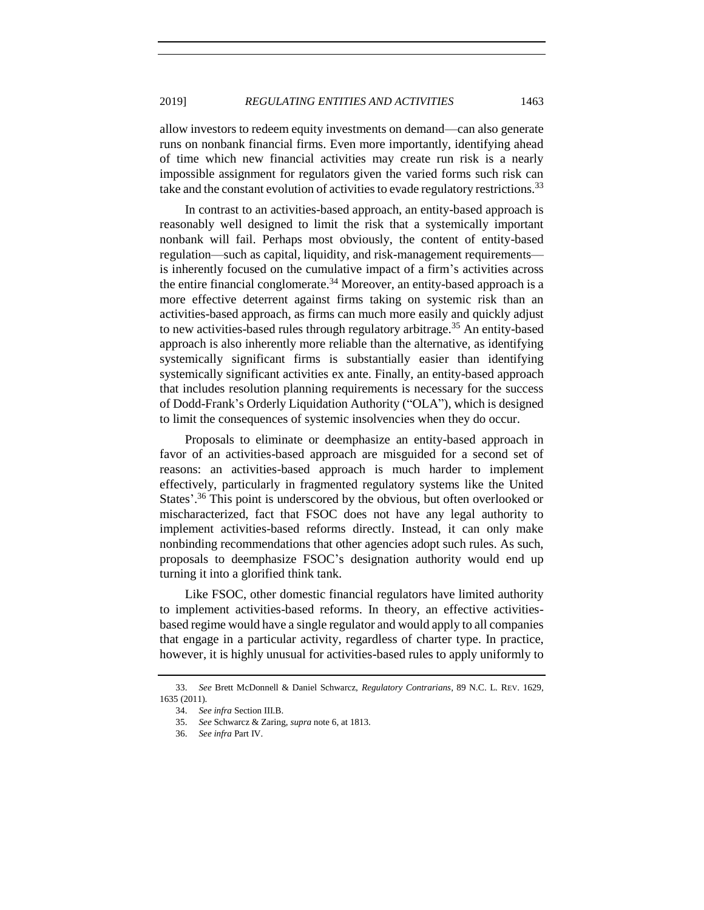# 2019] *REGULATING ENTITIES AND ACTIVITIES* 1463

allow investors to redeem equity investments on demand—can also generate runs on nonbank financial firms. Even more importantly, identifying ahead of time which new financial activities may create run risk is a nearly impossible assignment for regulators given the varied forms such risk can take and the constant evolution of activities to evade regulatory restrictions.<sup>33</sup>

In contrast to an activities-based approach, an entity-based approach is reasonably well designed to limit the risk that a systemically important nonbank will fail. Perhaps most obviously, the content of entity-based regulation—such as capital, liquidity, and risk-management requirements is inherently focused on the cumulative impact of a firm's activities across the entire financial conglomerate.<sup>34</sup> Moreover, an entity-based approach is a more effective deterrent against firms taking on systemic risk than an activities-based approach, as firms can much more easily and quickly adjust to new activities-based rules through regulatory arbitrage.<sup>35</sup> An entity-based approach is also inherently more reliable than the alternative, as identifying systemically significant firms is substantially easier than identifying systemically significant activities ex ante. Finally, an entity-based approach that includes resolution planning requirements is necessary for the success of Dodd-Frank's Orderly Liquidation Authority ("OLA"), which is designed to limit the consequences of systemic insolvencies when they do occur.

Proposals to eliminate or deemphasize an entity-based approach in favor of an activities-based approach are misguided for a second set of reasons: an activities-based approach is much harder to implement effectively, particularly in fragmented regulatory systems like the United States'.<sup>36</sup> This point is underscored by the obvious, but often overlooked or mischaracterized, fact that FSOC does not have any legal authority to implement activities-based reforms directly. Instead, it can only make nonbinding recommendations that other agencies adopt such rules. As such, proposals to deemphasize FSOC's designation authority would end up turning it into a glorified think tank.

Like FSOC, other domestic financial regulators have limited authority to implement activities-based reforms. In theory, an effective activitiesbased regime would have a single regulator and would apply to all companies that engage in a particular activity, regardless of charter type. In practice, however, it is highly unusual for activities-based rules to apply uniformly to

<sup>33.</sup> *See* Brett McDonnell & Daniel Schwarcz, *Regulatory Contrarians*, 89 N.C. L. REV. 1629, 1635 (2011).

<sup>34.</sup> *See infra* Section III.B.

<sup>35.</sup> *See* Schwarcz & Zaring, *supra* not[e 6,](#page-3-0) at 1813.

<sup>36.</sup> *See infra* Part IV.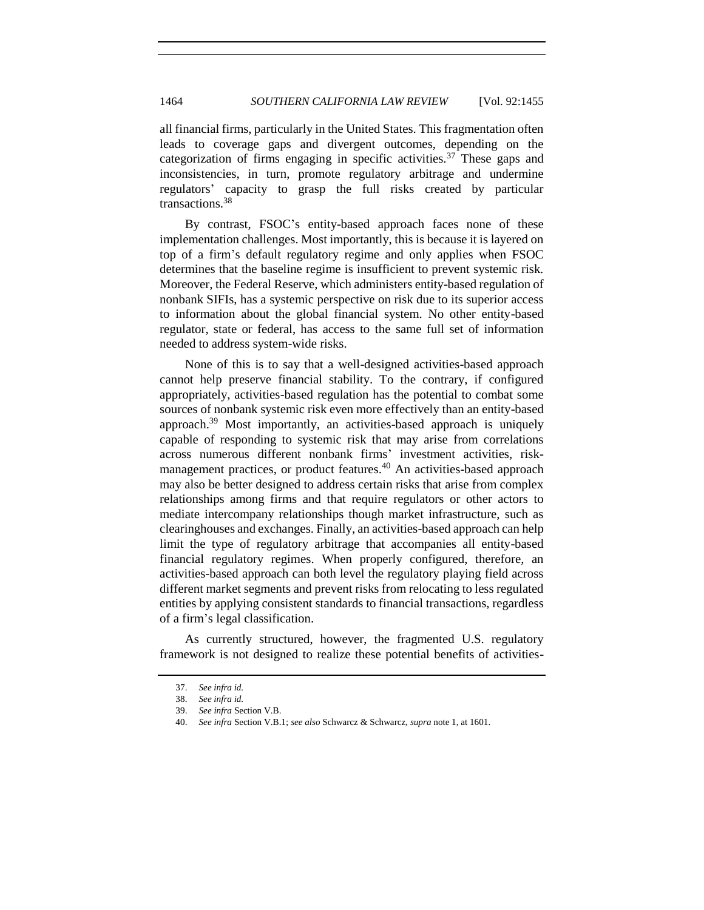all financial firms, particularly in the United States. This fragmentation often leads to coverage gaps and divergent outcomes, depending on the categorization of firms engaging in specific activities.<sup>37</sup> These gaps and inconsistencies, in turn, promote regulatory arbitrage and undermine regulators' capacity to grasp the full risks created by particular transactions.<sup>38</sup>

By contrast, FSOC's entity-based approach faces none of these implementation challenges. Most importantly, this is because it is layered on top of a firm's default regulatory regime and only applies when FSOC determines that the baseline regime is insufficient to prevent systemic risk. Moreover, the Federal Reserve, which administers entity-based regulation of nonbank SIFIs, has a systemic perspective on risk due to its superior access to information about the global financial system. No other entity-based regulator, state or federal, has access to the same full set of information needed to address system-wide risks.

None of this is to say that a well-designed activities-based approach cannot help preserve financial stability. To the contrary, if configured appropriately, activities-based regulation has the potential to combat some sources of nonbank systemic risk even more effectively than an entity-based approach.<sup>39</sup> Most importantly, an activities-based approach is uniquely capable of responding to systemic risk that may arise from correlations across numerous different nonbank firms' investment activities, riskmanagement practices, or product features.<sup>40</sup> An activities-based approach may also be better designed to address certain risks that arise from complex relationships among firms and that require regulators or other actors to mediate intercompany relationships though market infrastructure, such as clearinghouses and exchanges. Finally, an activities-based approach can help limit the type of regulatory arbitrage that accompanies all entity-based financial regulatory regimes. When properly configured, therefore, an activities-based approach can both level the regulatory playing field across different market segments and prevent risks from relocating to less regulated entities by applying consistent standards to financial transactions, regardless of a firm's legal classification.

As currently structured, however, the fragmented U.S. regulatory framework is not designed to realize these potential benefits of activities-

<sup>37.</sup> *See infra id.*

<sup>38.</sup> *See infra id.*

<sup>39.</sup> *See infra* Section V.B.

<sup>40.</sup> *See infra* Section V.B.1; *see also* Schwarcz & Schwarcz, *supra* not[e 1,](#page-3-2) at 1601.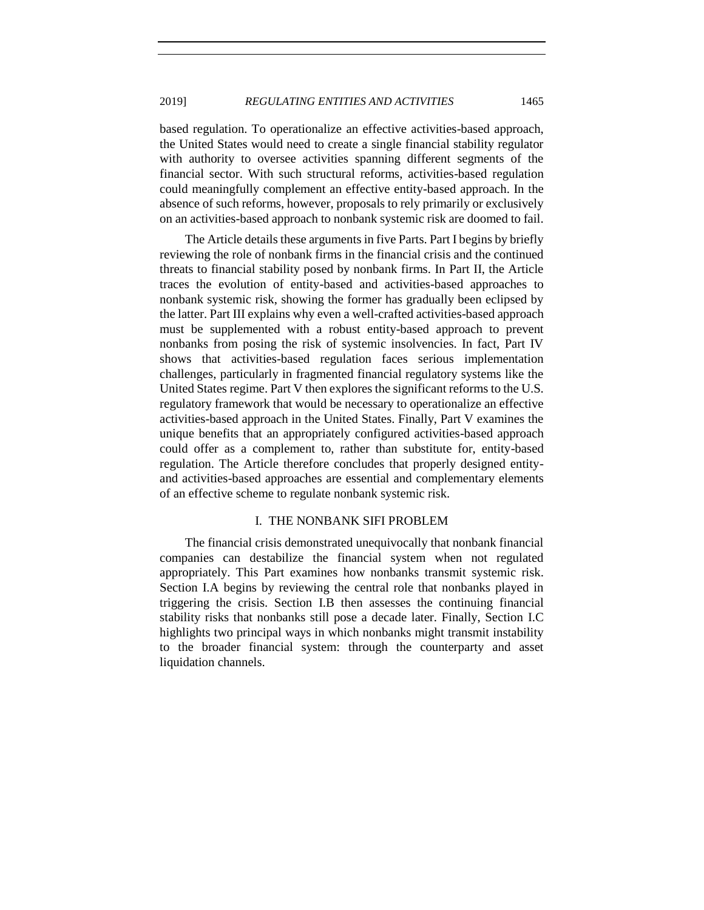# 2019] *REGULATING ENTITIES AND ACTIVITIES* 1465

based regulation. To operationalize an effective activities-based approach, the United States would need to create a single financial stability regulator with authority to oversee activities spanning different segments of the financial sector. With such structural reforms, activities-based regulation could meaningfully complement an effective entity-based approach. In the absence of such reforms, however, proposals to rely primarily or exclusively on an activities-based approach to nonbank systemic risk are doomed to fail.

The Article details these arguments in five Parts. Part I begins by briefly reviewing the role of nonbank firms in the financial crisis and the continued threats to financial stability posed by nonbank firms. In Part II, the Article traces the evolution of entity-based and activities-based approaches to nonbank systemic risk, showing the former has gradually been eclipsed by the latter. Part III explains why even a well-crafted activities-based approach must be supplemented with a robust entity-based approach to prevent nonbanks from posing the risk of systemic insolvencies. In fact, Part IV shows that activities-based regulation faces serious implementation challenges, particularly in fragmented financial regulatory systems like the United States regime. Part V then explores the significant reforms to the U.S. regulatory framework that would be necessary to operationalize an effective activities-based approach in the United States. Finally, Part V examines the unique benefits that an appropriately configured activities-based approach could offer as a complement to, rather than substitute for, entity-based regulation. The Article therefore concludes that properly designed entityand activities-based approaches are essential and complementary elements of an effective scheme to regulate nonbank systemic risk.

# I. THE NONBANK SIFI PROBLEM

<span id="page-10-1"></span><span id="page-10-0"></span>The financial crisis demonstrated unequivocally that nonbank financial companies can destabilize the financial system when not regulated appropriately. This Part examines how nonbanks transmit systemic risk. Section I.A begins by reviewing the central role that nonbanks played in triggering the crisis. Section I.B then assesses the continuing financial stability risks that nonbanks still pose a decade later. Finally, Section I.C highlights two principal ways in which nonbanks might transmit instability to the broader financial system: through the counterparty and asset liquidation channels.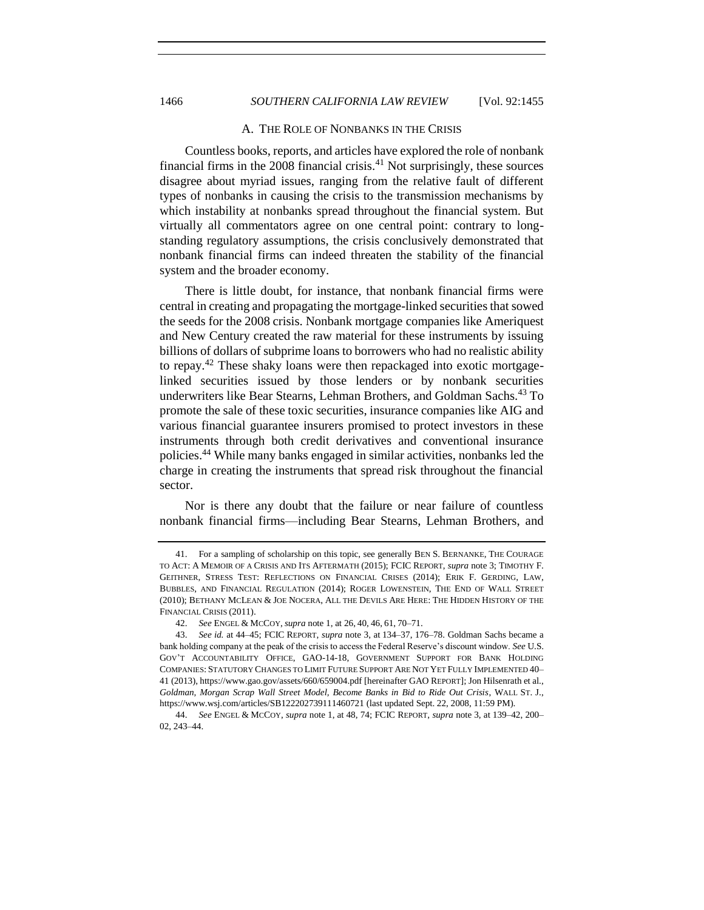1466 *SOUTHERN CALIFORNIA LAW REVIEW* [Vol. 92:1455

## <span id="page-11-0"></span>A. THE ROLE OF NONBANKS IN THE CRISIS

Countless books, reports, and articles have explored the role of nonbank financial firms in the  $2008$  financial crisis.<sup>41</sup> Not surprisingly, these sources disagree about myriad issues, ranging from the relative fault of different types of nonbanks in causing the crisis to the transmission mechanisms by which instability at nonbanks spread throughout the financial system. But virtually all commentators agree on one central point: contrary to longstanding regulatory assumptions, the crisis conclusively demonstrated that nonbank financial firms can indeed threaten the stability of the financial system and the broader economy.

There is little doubt, for instance, that nonbank financial firms were central in creating and propagating the mortgage-linked securities that sowed the seeds for the 2008 crisis. Nonbank mortgage companies like Ameriquest and New Century created the raw material for these instruments by issuing billions of dollars of subprime loans to borrowers who had no realistic ability to repay.<sup>42</sup> These shaky loans were then repackaged into exotic mortgagelinked securities issued by those lenders or by nonbank securities underwriters like Bear Stearns, Lehman Brothers, and Goldman Sachs.<sup>43</sup> To promote the sale of these toxic securities, insurance companies like AIG and various financial guarantee insurers promised to protect investors in these instruments through both credit derivatives and conventional insurance policies.<sup>44</sup> While many banks engaged in similar activities, nonbanks led the charge in creating the instruments that spread risk throughout the financial sector.

Nor is there any doubt that the failure or near failure of countless nonbank financial firms—including Bear Stearns, Lehman Brothers, and

<sup>41.</sup> For a sampling of scholarship on this topic, see generally BEN S. BERNANKE, THE COURAGE TO ACT: A MEMOIR OF A CRISIS AND ITS AFTERMATH (2015); FCIC REPORT, *supra* not[e 3;](#page-3-1) TIMOTHY F. GEITHNER, STRESS TEST: REFLECTIONS ON FINANCIAL CRISES (2014); ERIK F. GERDING, LAW, BUBBLES, AND FINANCIAL REGULATION (2014); ROGER LOWENSTEIN, THE END OF WALL STREET (2010); BETHANY MCLEAN & JOE NOCERA, ALL THE DEVILS ARE HERE: THE HIDDEN HISTORY OF THE FINANCIAL CRISIS (2011).

<sup>42.</sup> *See* ENGEL & MCCOY, *supra* not[e 1,](#page-3-2) at 26, 40, 46, 61, 70–71.

<sup>43.</sup> *See id.* at 44–45; FCIC REPORT, *supra* not[e 3,](#page-3-1) at 134–37, 176–78. Goldman Sachs became a bank holding company at the peak of the crisis to access the Federal Reserve's discount window. *See* U.S. GOV'T ACCOUNTABILITY OFFICE, GAO-14-18, GOVERNMENT SUPPORT FOR BANK HOLDING COMPANIES: STATUTORY CHANGES TO LIMIT FUTURE SUPPORT ARE NOT YET FULLY IMPLEMENTED 40– 41 (2013), https://www.gao.gov/assets/660/659004.pdf [hereinafter GAO REPORT]; Jon Hilsenrath et al., *Goldman, Morgan Scrap Wall Street Model, Become Banks in Bid to Ride Out Crisis*, WALL ST. J., https://www.wsj.com/articles/SB122202739111460721 (last updated Sept. 22, 2008, 11:59 PM).

<sup>44.</sup> *See* ENGEL & MCCOY, *supra* not[e 1,](#page-3-2) at 48, 74; FCIC REPORT, *supra* not[e 3,](#page-3-1) at 139–42, 200– 02, 243–44.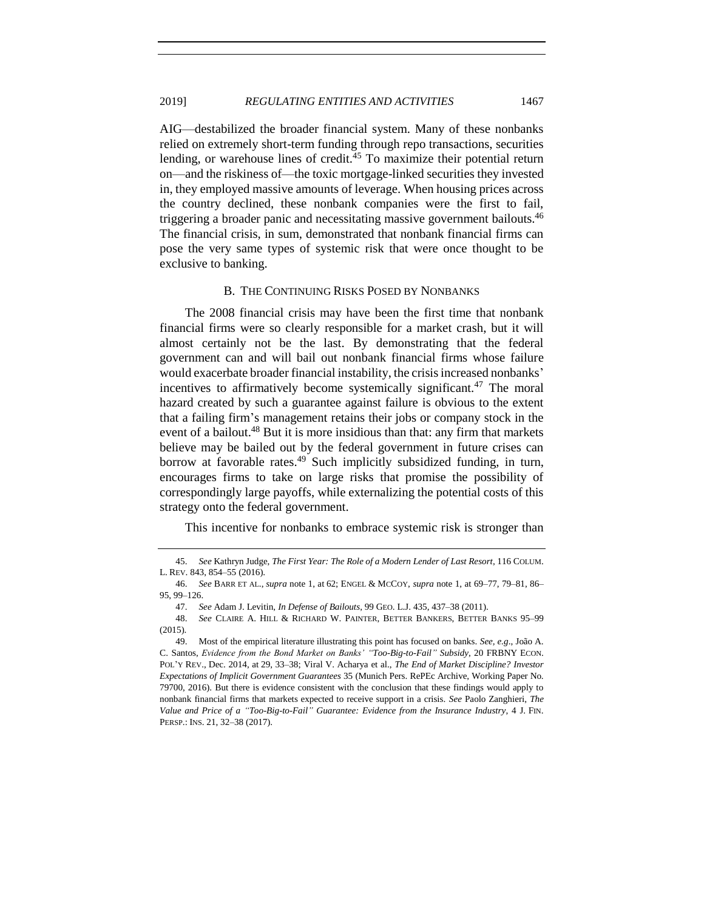AIG—destabilized the broader financial system. Many of these nonbanks relied on extremely short-term funding through repo transactions, securities lending, or warehouse lines of credit.<sup>45</sup> To maximize their potential return on—and the riskiness of—the toxic mortgage-linked securities they invested in, they employed massive amounts of leverage. When housing prices across the country declined, these nonbank companies were the first to fail, triggering a broader panic and necessitating massive government bailouts.<sup>46</sup> The financial crisis, in sum, demonstrated that nonbank financial firms can pose the very same types of systemic risk that were once thought to be exclusive to banking.

## <span id="page-12-1"></span>B. THE CONTINUING RISKS POSED BY NONBANKS

<span id="page-12-0"></span>The 2008 financial crisis may have been the first time that nonbank financial firms were so clearly responsible for a market crash, but it will almost certainly not be the last. By demonstrating that the federal government can and will bail out nonbank financial firms whose failure would exacerbate broader financial instability, the crisis increased nonbanks' incentives to affirmatively become systemically significant.<sup>47</sup> The moral hazard created by such a guarantee against failure is obvious to the extent that a failing firm's management retains their jobs or company stock in the event of a bailout.<sup>48</sup> But it is more insidious than that: any firm that markets believe may be bailed out by the federal government in future crises can borrow at favorable rates.<sup>49</sup> Such implicitly subsidized funding, in turn, encourages firms to take on large risks that promise the possibility of correspondingly large payoffs, while externalizing the potential costs of this strategy onto the federal government.

This incentive for nonbanks to embrace systemic risk is stronger than

<sup>45.</sup> *See* Kathryn Judge, *The First Year: The Role of a Modern Lender of Last Resort*, 116 COLUM. L. REV. 843, 854–55 (2016).

<sup>46.</sup> *See* BARR ET AL., *supra* note [1,](#page-3-2) at 62; ENGEL & MCCOY, *supra* note [1,](#page-3-2) at 69–77, 79–81, 86– 95, 99–126.

<sup>47.</sup> *See* Adam J. Levitin, *In Defense of Bailouts*, 99 GEO. L.J. 435, 437–38 (2011).

<sup>48.</sup> *See* CLAIRE A. HILL & RICHARD W. PAINTER, BETTER BANKERS, BETTER BANKS 95–99 (2015).

<sup>49.</sup> Most of the empirical literature illustrating this point has focused on banks. *See, e.g*., João A. C. Santos, *Evidence from the Bond Market on Banks' "Too-Big-to-Fail" Subsidy*, 20 FRBNY ECON. POL'Y REV., Dec. 2014, at 29, 33–38; Viral V. Acharya et al., *The End of Market Discipline? Investor Expectations of Implicit Government Guarantees* 35 (Munich Pers. RePEc Archive, Working Paper No. 79700, 2016). But there is evidence consistent with the conclusion that these findings would apply to nonbank financial firms that markets expected to receive support in a crisis. *See* Paolo Zanghieri, *The Value and Price of a "Too-Big-to-Fail" Guarantee: Evidence from the Insurance Industry*, 4 J. FIN. PERSP.: INS. 21, 32–38 (2017).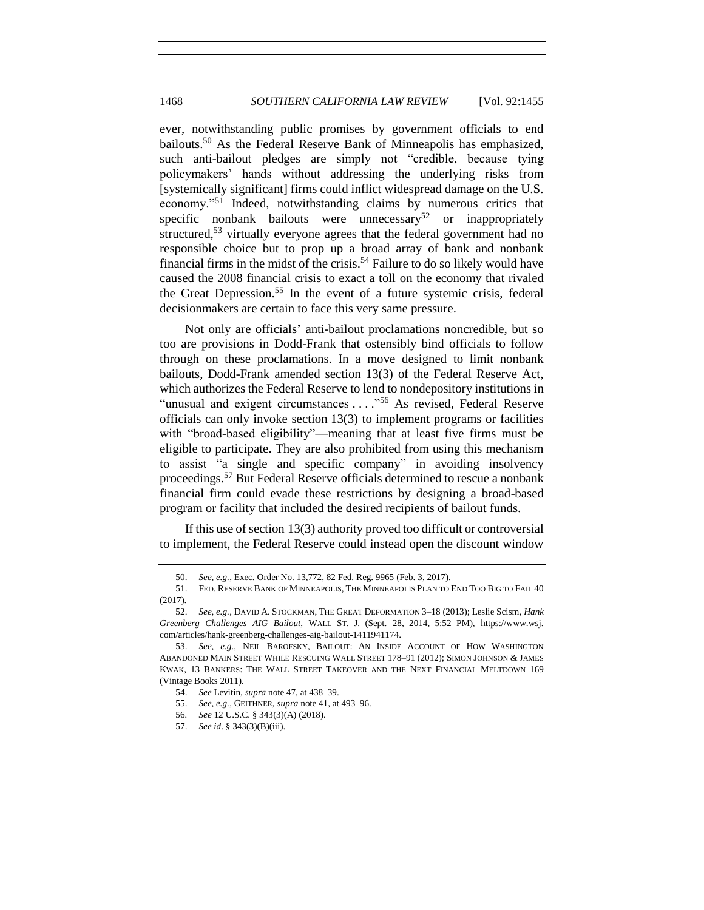ever, notwithstanding public promises by government officials to end bailouts.<sup>50</sup> As the Federal Reserve Bank of Minneapolis has emphasized, such anti-bailout pledges are simply not "credible, because tying policymakers' hands without addressing the underlying risks from [systemically significant] firms could inflict widespread damage on the U.S. economy."<sup>51</sup> Indeed, notwithstanding claims by numerous critics that specific nonbank bailouts were unnecessary<sup>52</sup> or inappropriately structured,<sup>53</sup> virtually everyone agrees that the federal government had no responsible choice but to prop up a broad array of bank and nonbank financial firms in the midst of the crisis.<sup>54</sup> Failure to do so likely would have caused the 2008 financial crisis to exact a toll on the economy that rivaled the Great Depression.<sup>55</sup> In the event of a future systemic crisis, federal decisionmakers are certain to face this very same pressure.

Not only are officials' anti-bailout proclamations noncredible, but so too are provisions in Dodd-Frank that ostensibly bind officials to follow through on these proclamations. In a move designed to limit nonbank bailouts, Dodd-Frank amended section 13(3) of the Federal Reserve Act, which authorizes the Federal Reserve to lend to nondepository institutions in "unusual and exigent circumstances ...."<sup>56</sup> As revised, Federal Reserve officials can only invoke section 13(3) to implement programs or facilities with "broad-based eligibility"—meaning that at least five firms must be eligible to participate. They are also prohibited from using this mechanism to assist "a single and specific company" in avoiding insolvency proceedings.<sup>57</sup> But Federal Reserve officials determined to rescue a nonbank financial firm could evade these restrictions by designing a broad-based program or facility that included the desired recipients of bailout funds.

If this use of section 13(3) authority proved too difficult or controversial to implement, the Federal Reserve could instead open the discount window

<sup>50.</sup> *See, e.g.*, Exec. Order No. 13,772, 82 Fed. Reg. 9965 (Feb. 3, 2017).

<sup>51.</sup> FED. RESERVE BANK OF MINNEAPOLIS, THE MINNEAPOLIS PLAN TO END TOO BIG TO FAIL 40 (2017).

<sup>52.</sup> *See, e.g.*, DAVID A. STOCKMAN, THE GREAT DEFORMATION 3–18 (2013); Leslie Scism, *Hank Greenberg Challenges AIG Bailout*, WALL ST. J. (Sept. 28, 2014, 5:52 PM), https://www.wsj. com/articles/hank-greenberg-challenges-aig-bailout-1411941174.

<sup>53.</sup> *See, e.g*., NEIL BAROFSKY, BAILOUT: AN INSIDE ACCOUNT OF HOW WASHINGTON ABANDONED MAIN STREET WHILE RESCUING WALL STREET 178–91 (2012); SIMON JOHNSON & JAMES KWAK, 13 BANKERS: THE WALL STREET TAKEOVER AND THE NEXT FINANCIAL MELTDOWN 169 (Vintage Books 2011).

<sup>54.</sup> *See* Levitin, *supra* not[e 47,](#page-12-1) at 438–39.

<sup>55.</sup> *See, e.g.*, GEITHNER, *supra* note 41, at 493–96.

<sup>56</sup>*. See* 12 U.S.C. § 343(3)(A) (2018).

<sup>57.</sup> *See id*. § 343(3)(B)(iii).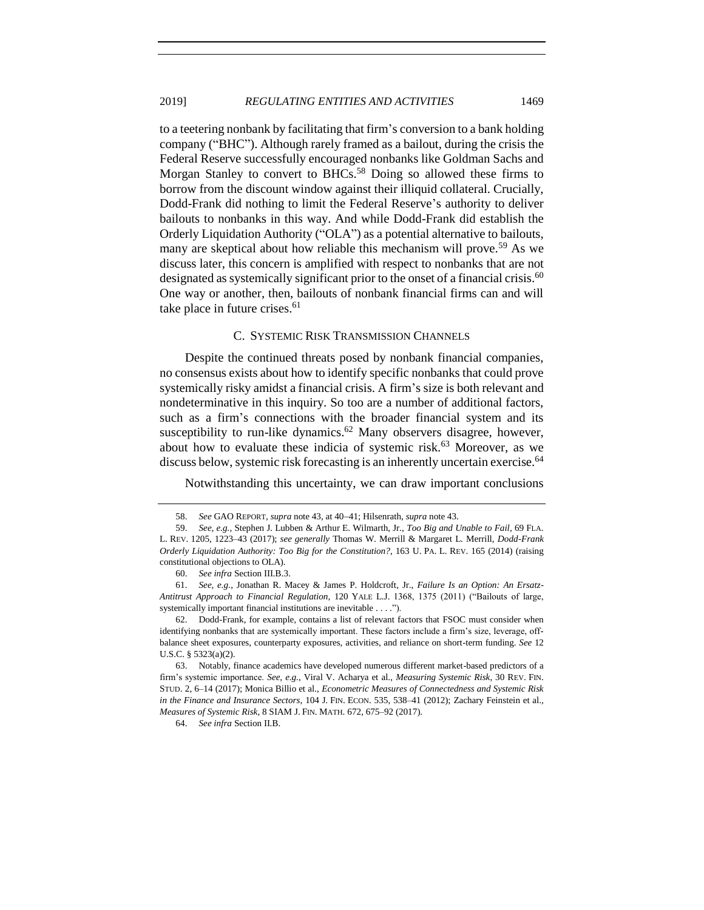to a teetering nonbank by facilitating that firm's conversion to a bank holding company ("BHC"). Although rarely framed as a bailout, during the crisis the Federal Reserve successfully encouraged nonbanks like Goldman Sachs and Morgan Stanley to convert to BHCs.<sup>58</sup> Doing so allowed these firms to borrow from the discount window against their illiquid collateral. Crucially, Dodd-Frank did nothing to limit the Federal Reserve's authority to deliver bailouts to nonbanks in this way. And while Dodd-Frank did establish the Orderly Liquidation Authority ("OLA") as a potential alternative to bailouts, many are skeptical about how reliable this mechanism will prove.<sup>59</sup> As we discuss later, this concern is amplified with respect to nonbanks that are not designated as systemically significant prior to the onset of a financial crisis.<sup>60</sup> One way or another, then, bailouts of nonbank financial firms can and will take place in future crises.<sup>61</sup>

# C. SYSTEMIC RISK TRANSMISSION CHANNELS

<span id="page-14-0"></span>Despite the continued threats posed by nonbank financial companies, no consensus exists about how to identify specific nonbanks that could prove systemically risky amidst a financial crisis. A firm's size is both relevant and nondeterminative in this inquiry. So too are a number of additional factors, such as a firm's connections with the broader financial system and its susceptibility to run-like dynamics.<sup> $62$ </sup> Many observers disagree, however, about how to evaluate these indicia of systemic risk. $63$  Moreover, as we discuss below, systemic risk forecasting is an inherently uncertain exercise.<sup>64</sup>

Notwithstanding this uncertainty, we can draw important conclusions

64. *See infra* Section II.B.

<sup>58.</sup> *See* GAO REPORT, *supra* note 43, at 40−41; Hilsenrath, *supra* note 43.

<sup>59.</sup> *See, e.g.*, Stephen J. Lubben & Arthur E. Wilmarth, Jr., *Too Big and Unable to Fail*, 69 FLA. L. REV. 1205, 1223–43 (2017); *see generally* Thomas W. Merrill & Margaret L. Merrill, *Dodd-Frank Orderly Liquidation Authority: Too Big for the Constitution?*, 163 U. PA. L. REV. 165 (2014) (raising constitutional objections to OLA).

<sup>60.</sup> *See infra* Section III.B.3.

<sup>61.</sup> *See, e.g.*, Jonathan R. Macey & James P. Holdcroft, Jr., *Failure Is an Option: An Ersatz-Antitrust Approach to Financial Regulation*, 120 YALE L.J. 1368, 1375 (2011) ("Bailouts of large, systemically important financial institutions are inevitable . . . .").

<sup>62.</sup> Dodd-Frank, for example, contains a list of relevant factors that FSOC must consider when identifying nonbanks that are systemically important. These factors include a firm's size, leverage, offbalance sheet exposures, counterparty exposures, activities, and reliance on short-term funding. *See* 12 U.S.C. § 5323(a)(2).

<sup>63.</sup> Notably, finance academics have developed numerous different market-based predictors of a firm's systemic importance. *See, e.g.*, Viral V. Acharya et al., *Measuring Systemic Risk*, 30 REV. FIN. STUD. 2, 6–14 (2017); Monica Billio et al., *Econometric Measures of Connectedness and Systemic Risk in the Finance and Insurance Sectors*, 104 J. FIN. ECON. 535, 538–41 (2012); Zachary Feinstein et al., *Measures of Systemic Risk*, 8 SIAM J. FIN. MATH. 672, 675–92 (2017).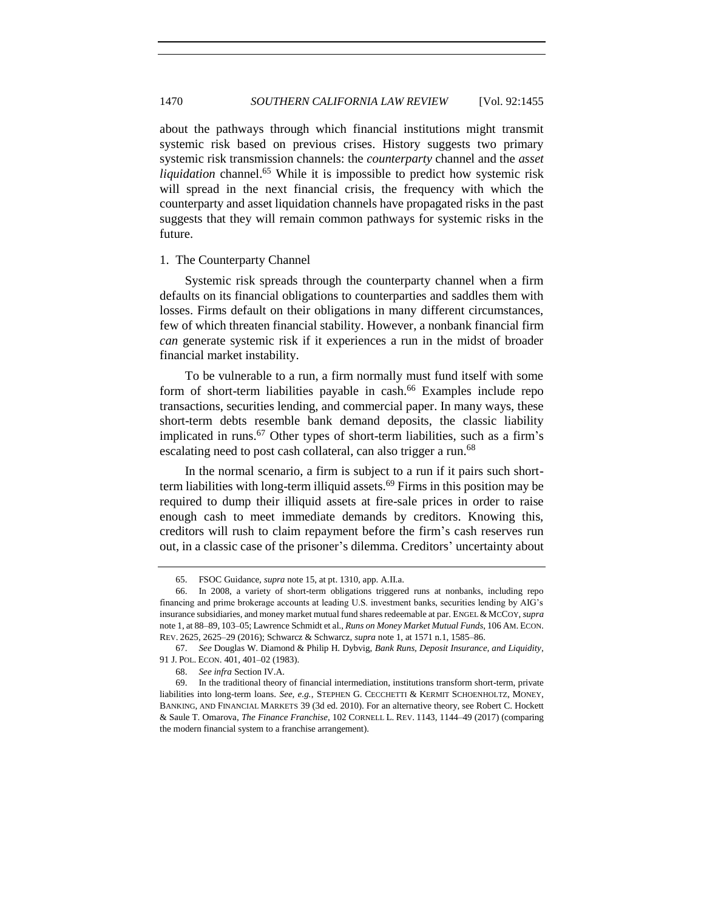about the pathways through which financial institutions might transmit systemic risk based on previous crises. History suggests two primary systemic risk transmission channels: the *counterparty* channel and the *asset liquidation* channel.<sup>65</sup> While it is impossible to predict how systemic risk will spread in the next financial crisis, the frequency with which the counterparty and asset liquidation channels have propagated risks in the past suggests that they will remain common pathways for systemic risks in the future.

## <span id="page-15-0"></span>1. The Counterparty Channel

Systemic risk spreads through the counterparty channel when a firm defaults on its financial obligations to counterparties and saddles them with losses. Firms default on their obligations in many different circumstances, few of which threaten financial stability. However, a nonbank financial firm *can* generate systemic risk if it experiences a run in the midst of broader financial market instability.

To be vulnerable to a run, a firm normally must fund itself with some form of short-term liabilities payable in cash.<sup>66</sup> Examples include repo transactions, securities lending, and commercial paper. In many ways, these short-term debts resemble bank demand deposits, the classic liability implicated in runs.<sup>67</sup> Other types of short-term liabilities, such as a firm's escalating need to post cash collateral, can also trigger a run.<sup>68</sup>

In the normal scenario, a firm is subject to a run if it pairs such shortterm liabilities with long-term illiquid assets.<sup>69</sup> Firms in this position may be required to dump their illiquid assets at fire-sale prices in order to raise enough cash to meet immediate demands by creditors. Knowing this, creditors will rush to claim repayment before the firm's cash reserves run out, in a classic case of the prisoner's dilemma. Creditors' uncertainty about

<sup>65.</sup> FSOC Guidance, *supra* note 15, at pt. 1310, app. A.II.a.

<sup>66.</sup> In 2008, a variety of short-term obligations triggered runs at nonbanks, including repo financing and prime brokerage accounts at leading U.S. investment banks, securities lending by AIG's insurance subsidiaries, and money market mutual fund shares redeemable at par. ENGEL &MCCOY, *supra*  not[e 1,](#page-3-2) at 88–89, 103–05; Lawrence Schmidt et al., *Runs on Money Market Mutual Funds*, 106 AM. ECON. REV. 2625, 2625–29 (2016); Schwarcz & Schwarcz, *supra* not[e 1,](#page-3-2) at 1571 n.1, 1585–86.

<sup>67.</sup> *See* Douglas W. Diamond & Philip H. Dybvig, *Bank Runs, Deposit Insurance, and Liquidity*, 91 J. POL. ECON. 401, 401–02 (1983).

<sup>68.</sup> *See infra* Section IV.A.

<sup>69.</sup> In the traditional theory of financial intermediation, institutions transform short-term, private liabilities into long-term loans. *See, e.g.*, STEPHEN G. CECCHETTI & KERMIT SCHOENHOLTZ, MONEY, BANKING, AND FINANCIAL MARKETS 39 (3d ed. 2010). For an alternative theory, see Robert C. Hockett & Saule T. Omarova, *The Finance Franchise*, 102 CORNELL L. REV. 1143, 1144–49 (2017) (comparing the modern financial system to a franchise arrangement).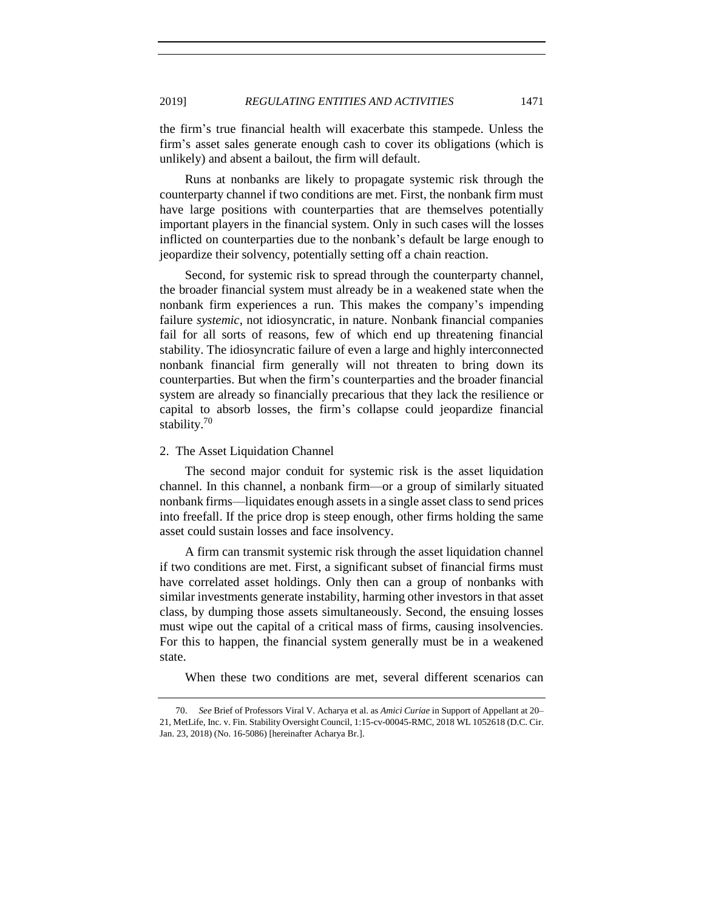the firm's true financial health will exacerbate this stampede. Unless the firm's asset sales generate enough cash to cover its obligations (which is unlikely) and absent a bailout, the firm will default.

Runs at nonbanks are likely to propagate systemic risk through the counterparty channel if two conditions are met. First, the nonbank firm must have large positions with counterparties that are themselves potentially important players in the financial system. Only in such cases will the losses inflicted on counterparties due to the nonbank's default be large enough to jeopardize their solvency, potentially setting off a chain reaction.

Second, for systemic risk to spread through the counterparty channel, the broader financial system must already be in a weakened state when the nonbank firm experiences a run. This makes the company's impending failure *systemic*, not idiosyncratic, in nature. Nonbank financial companies fail for all sorts of reasons, few of which end up threatening financial stability. The idiosyncratic failure of even a large and highly interconnected nonbank financial firm generally will not threaten to bring down its counterparties. But when the firm's counterparties and the broader financial system are already so financially precarious that they lack the resilience or capital to absorb losses, the firm's collapse could jeopardize financial stability.<sup>70</sup>

#### <span id="page-16-1"></span><span id="page-16-0"></span>2. The Asset Liquidation Channel

The second major conduit for systemic risk is the asset liquidation channel. In this channel, a nonbank firm—or a group of similarly situated nonbank firms—liquidates enough assets in a single asset class to send prices into freefall. If the price drop is steep enough, other firms holding the same asset could sustain losses and face insolvency.

A firm can transmit systemic risk through the asset liquidation channel if two conditions are met. First, a significant subset of financial firms must have correlated asset holdings. Only then can a group of nonbanks with similar investments generate instability, harming other investors in that asset class, by dumping those assets simultaneously. Second, the ensuing losses must wipe out the capital of a critical mass of firms, causing insolvencies. For this to happen, the financial system generally must be in a weakened state.

When these two conditions are met, several different scenarios can

<sup>70.</sup> *See* Brief of Professors Viral V. Acharya et al. as *Amici Curiae* in Support of Appellant at 20– 21, MetLife, Inc. v. Fin. Stability Oversight Council, 1:15-cv-00045-RMC, 2018 WL 1052618 (D.C. Cir. Jan. 23, 2018) (No. 16-5086) [hereinafter Acharya Br.].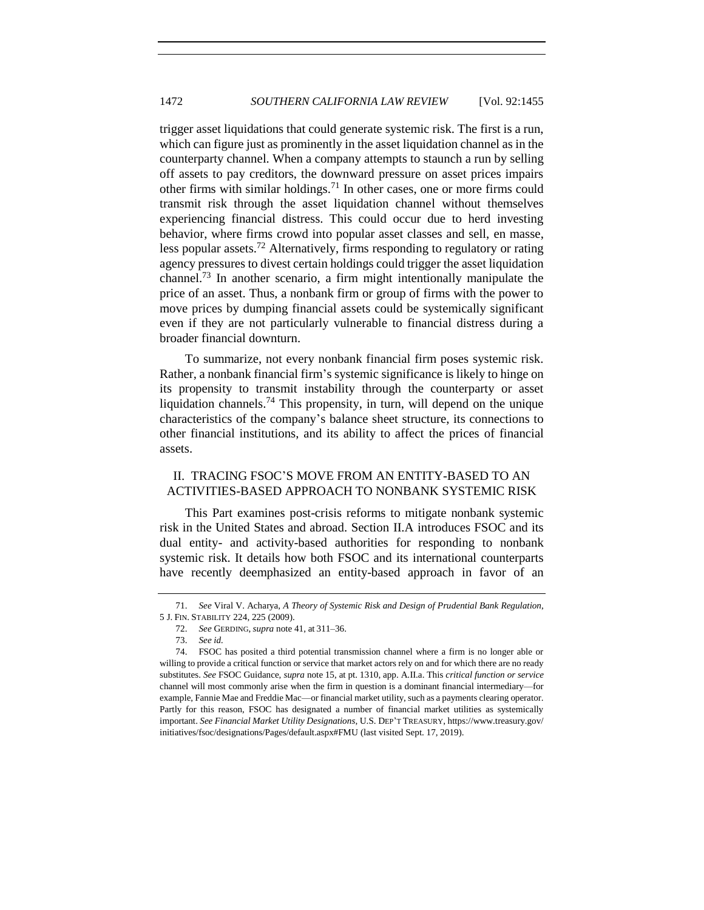trigger asset liquidations that could generate systemic risk. The first is a run, which can figure just as prominently in the asset liquidation channel as in the counterparty channel. When a company attempts to staunch a run by selling off assets to pay creditors, the downward pressure on asset prices impairs other firms with similar holdings.<sup>71</sup> In other cases, one or more firms could transmit risk through the asset liquidation channel without themselves experiencing financial distress. This could occur due to herd investing behavior, where firms crowd into popular asset classes and sell, en masse, less popular assets.<sup>72</sup> Alternatively, firms responding to regulatory or rating agency pressures to divest certain holdings could trigger the asset liquidation channel.<sup>73</sup> In another scenario, a firm might intentionally manipulate the price of an asset. Thus, a nonbank firm or group of firms with the power to move prices by dumping financial assets could be systemically significant even if they are not particularly vulnerable to financial distress during a broader financial downturn.

To summarize, not every nonbank financial firm poses systemic risk. Rather, a nonbank financial firm's systemic significance is likely to hinge on its propensity to transmit instability through the counterparty or asset liquidation channels.<sup>74</sup> This propensity, in turn, will depend on the unique characteristics of the company's balance sheet structure, its connections to other financial institutions, and its ability to affect the prices of financial assets.

# <span id="page-17-0"></span>II. TRACING FSOC'S MOVE FROM AN ENTITY-BASED TO AN ACTIVITIES-BASED APPROACH TO NONBANK SYSTEMIC RISK

This Part examines post-crisis reforms to mitigate nonbank systemic risk in the United States and abroad. Section II.A introduces FSOC and its dual entity- and activity-based authorities for responding to nonbank systemic risk. It details how both FSOC and its international counterparts have recently deemphasized an entity-based approach in favor of an

<sup>71.</sup> *See* Viral V. Acharya, *A Theory of Systemic Risk and Design of Prudential Bank Regulation*, 5 J. FIN. STABILITY 224, 225 (2009).

<sup>72.</sup> *See* GERDING, *supra* not[e 41,](#page-11-0) at 311–36.

<sup>73.</sup> *See id.*

<sup>74.</sup> FSOC has posited a third potential transmission channel where a firm is no longer able or willing to provide a critical function or service that market actors rely on and for which there are no ready substitutes. *See* FSOC Guidance, *supra* note 15, at pt. 1310, app. A.II.a. This *critical function or service* channel will most commonly arise when the firm in question is a dominant financial intermediary—for example, Fannie Mae and Freddie Mac—or financial market utility, such as a payments clearing operator. Partly for this reason, FSOC has designated a number of financial market utilities as systemically important. *See Financial Market Utility Designations*, U.S. DEP'T TREASURY, https://www.treasury.gov/ initiatives/fsoc/designations/Pages/default.aspx#FMU (last visited Sept. 17, 2019).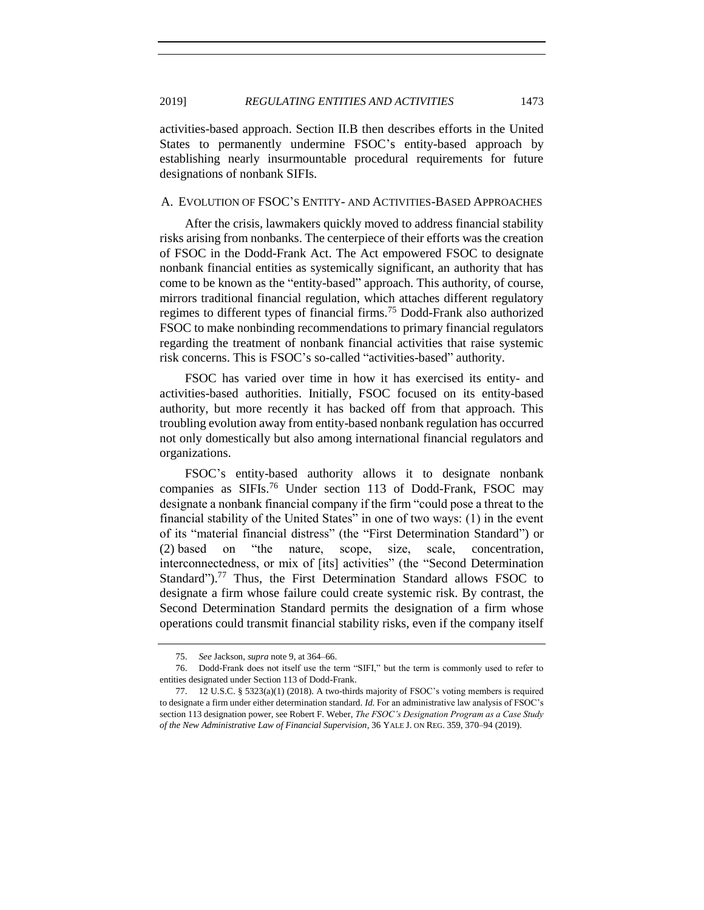activities-based approach. Section II.B then describes efforts in the United States to permanently undermine FSOC's entity-based approach by establishing nearly insurmountable procedural requirements for future designations of nonbank SIFIs.

# <span id="page-18-0"></span>A. EVOLUTION OF FSOC'S ENTITY- AND ACTIVITIES-BASED APPROACHES

After the crisis, lawmakers quickly moved to address financial stability risks arising from nonbanks. The centerpiece of their efforts was the creation of FSOC in the Dodd-Frank Act. The Act empowered FSOC to designate nonbank financial entities as systemically significant, an authority that has come to be known as the "entity-based" approach. This authority, of course, mirrors traditional financial regulation, which attaches different regulatory regimes to different types of financial firms.<sup>75</sup> Dodd-Frank also authorized FSOC to make nonbinding recommendations to primary financial regulators regarding the treatment of nonbank financial activities that raise systemic risk concerns. This is FSOC's so-called "activities-based" authority.

FSOC has varied over time in how it has exercised its entity- and activities-based authorities. Initially, FSOC focused on its entity-based authority, but more recently it has backed off from that approach. This troubling evolution away from entity-based nonbank regulation has occurred not only domestically but also among international financial regulators and organizations.

FSOC's entity-based authority allows it to designate nonbank companies as SIFIs.<sup>76</sup> Under section 113 of Dodd-Frank, FSOC may designate a nonbank financial company if the firm "could pose a threat to the financial stability of the United States" in one of two ways: (1) in the event of its "material financial distress" (the "First Determination Standard") or (2) based on "the nature, scope, size, scale, concentration, interconnectedness, or mix of [its] activities" (the "Second Determination Standard").<sup>77</sup> Thus, the First Determination Standard allows FSOC to designate a firm whose failure could create systemic risk. By contrast, the Second Determination Standard permits the designation of a firm whose operations could transmit financial stability risks, even if the company itself

<sup>75.</sup> *See* Jackson, *supra* not[e 9,](#page-4-0) at 364–66.

<sup>76.</sup> Dodd-Frank does not itself use the term "SIFI," but the term is commonly used to refer to entities designated under Section 113 of Dodd-Frank.

<sup>77.</sup> 12 U.S.C. § 5323(a)(1) (2018). A two-thirds majority of FSOC's voting members is required to designate a firm under either determination standard. *Id.* For an administrative law analysis of FSOC's section 113 designation power, see Robert F. Weber, *The FSOC's Designation Program as a Case Study of the New Administrative Law of Financial Supervision*, 36 YALE J. ON REG. 359, 370–94 (2019).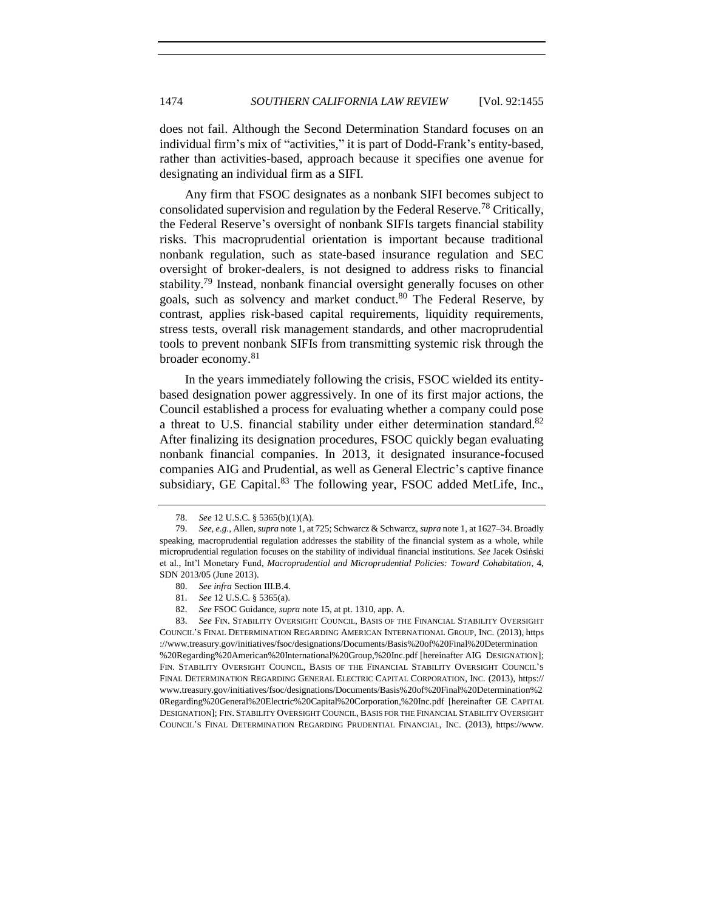does not fail. Although the Second Determination Standard focuses on an individual firm's mix of "activities," it is part of Dodd-Frank's entity-based, rather than activities-based, approach because it specifies one avenue for designating an individual firm as a SIFI.

Any firm that FSOC designates as a nonbank SIFI becomes subject to consolidated supervision and regulation by the Federal Reserve.<sup>78</sup> Critically, the Federal Reserve's oversight of nonbank SIFIs targets financial stability risks. This macroprudential orientation is important because traditional nonbank regulation, such as state-based insurance regulation and SEC oversight of broker-dealers, is not designed to address risks to financial stability.<sup>79</sup> Instead, nonbank financial oversight generally focuses on other goals, such as solvency and market conduct.<sup>80</sup> The Federal Reserve, by contrast, applies risk-based capital requirements, liquidity requirements, stress tests, overall risk management standards, and other macroprudential tools to prevent nonbank SIFIs from transmitting systemic risk through the broader economy.<sup>81</sup>

In the years immediately following the crisis, FSOC wielded its entitybased designation power aggressively. In one of its first major actions, the Council established a process for evaluating whether a company could pose a threat to U.S. financial stability under either determination standard.<sup>82</sup> After finalizing its designation procedures, FSOC quickly began evaluating nonbank financial companies. In 2013, it designated insurance-focused companies AIG and Prudential, as well as General Electric's captive finance subsidiary, GE Capital.<sup>83</sup> The following year, FSOC added MetLife, Inc.,

83. *See* FIN. STABILITY OVERSIGHT COUNCIL, BASIS OF THE FINANCIAL STABILITY OVERSIGHT COUNCIL'S FINAL DETERMINATION REGARDING AMERICAN INTERNATIONAL GROUP, INC. (2013), https ://www.treasury.gov/initiatives/fsoc/designations/Documents/Basis%20of%20Final%20Determination %20Regarding%20American%20International%20Group,%20Inc.pdf [hereinafter AIG DESIGNATION]; FIN. STABILITY OVERSIGHT COUNCIL, BASIS OF THE FINANCIAL STABILITY OVERSIGHT COUNCIL'S FINAL DETERMINATION REGARDING GENERAL ELECTRIC CAPITAL CORPORATION, INC. (2013), https:// www.treasury.gov/initiatives/fsoc/designations/Documents/Basis%20of%20Final%20Determination%2 0Regarding%20General%20Electric%20Capital%20Corporation,%20Inc.pdf [hereinafter GE CAPITAL DESIGNATION]; FIN. STABILITY OVERSIGHT COUNCIL, BASIS FOR THE FINANCIAL STABILITY OVERSIGHT COUNCIL'S FINAL DETERMINATION REGARDING PRUDENTIAL FINANCIAL, INC. (2013), https://www.

<sup>78.</sup> *See* 12 U.S.C. § 5365(b)(1)(A).

<sup>79.</sup> *See, e.g.*, Allen, *supra* not[e 1,](#page-3-2) at 725; Schwarcz & Schwarcz, *supra* not[e 1,](#page-3-2) at 1627–34. Broadly speaking, macroprudential regulation addresses the stability of the financial system as a whole, while microprudential regulation focuses on the stability of individual financial institutions. *See* Jacek Osiński et al., Int'l Monetary Fund, *Macroprudential and Microprudential Policies: Toward Cohabitation*, 4, SDN 2013/05 (June 2013).

<sup>80.</sup> *See infra* Section III.B.4.

<sup>81.</sup> *See* 12 U.S.C. § 5365(a).

<sup>82.</sup> *See* FSOC Guidance, *supra* note 15, at pt. 1310, app. A.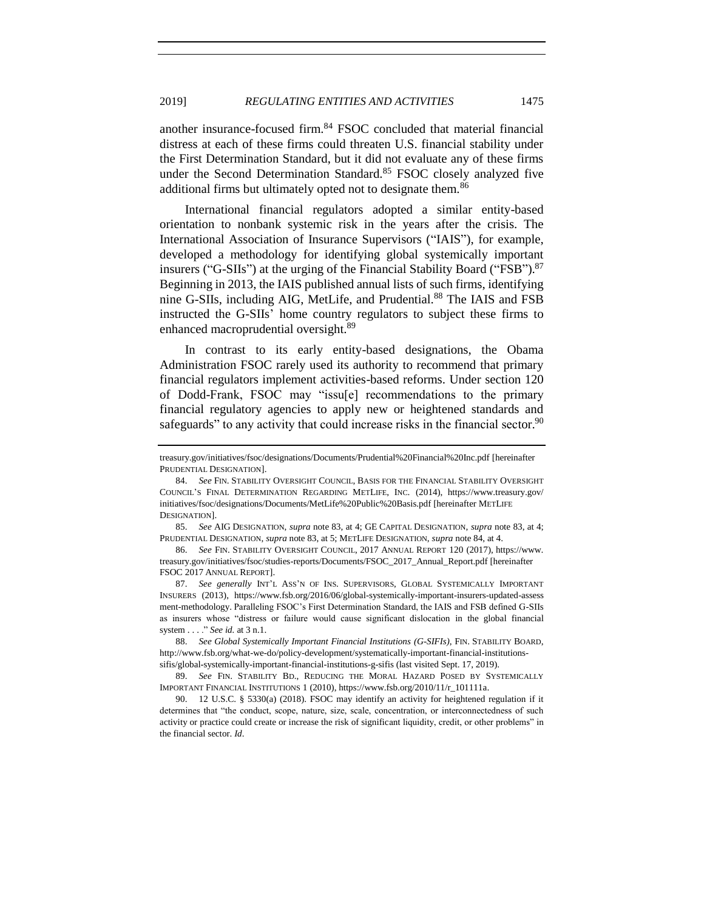another insurance-focused firm.<sup>84</sup> FSOC concluded that material financial distress at each of these firms could threaten U.S. financial stability under the First Determination Standard, but it did not evaluate any of these firms under the Second Determination Standard.<sup>85</sup> FSOC closely analyzed five additional firms but ultimately opted not to designate them.<sup>86</sup>

International financial regulators adopted a similar entity-based orientation to nonbank systemic risk in the years after the crisis. The International Association of Insurance Supervisors ("IAIS"), for example, developed a methodology for identifying global systemically important insurers ("G-SIIs") at the urging of the Financial Stability Board ("FSB").<sup>87</sup> Beginning in 2013, the IAIS published annual lists of such firms, identifying nine G-SIIs, including AIG, MetLife, and Prudential.<sup>88</sup> The IAIS and FSB instructed the G-SIIs' home country regulators to subject these firms to enhanced macroprudential oversight.<sup>89</sup>

In contrast to its early entity-based designations, the Obama Administration FSOC rarely used its authority to recommend that primary financial regulators implement activities-based reforms. Under section 120 of Dodd-Frank, FSOC may "issu[e] recommendations to the primary financial regulatory agencies to apply new or heightened standards and safeguards" to any activity that could increase risks in the financial sector.<sup>90</sup>

treasury.gov/initiatives/fsoc/designations/Documents/Prudential%20Financial%20Inc.pdf [hereinafter PRUDENTIAL DESIGNATION].

<sup>84.</sup> *See* FIN. STABILITY OVERSIGHT COUNCIL, BASIS FOR THE FINANCIAL STABILITY OVERSIGHT COUNCIL'S FINAL DETERMINATION REGARDING METLIFE, INC. (2014), https://www.treasury.gov/ initiatives/fsoc/designations/Documents/MetLife%20Public%20Basis.pdf [hereinafter METLIFE DESIGNATION].

<sup>85.</sup> *See* AIG DESIGNATION, *supra* note 83, at 4; GE CAPITAL DESIGNATION, *supra* note 83, at 4; PRUDENTIAL DESIGNATION, *supra* note 83, at 5; METLIFE DESIGNATION, *supra* note 84, at 4.

<sup>86.</sup> *See* FIN. STABILITY OVERSIGHT COUNCIL, 2017 ANNUAL REPORT 120 (2017), https://www. treasury.gov/initiatives/fsoc/studies-reports/Documents/FSOC\_2017\_Annual\_Report.pdf [hereinafter FSOC 2017 ANNUAL REPORT].

<sup>87.</sup> *See generally* INT'L ASS'N OF INS. SUPERVISORS, GLOBAL SYSTEMICALLY IMPORTANT INSURERS (2013), https://www.fsb.org/2016/06/global-systemically-important-insurers-updated-assess ment-methodology. Paralleling FSOC's First Determination Standard, the IAIS and FSB defined G-SIIs as insurers whose "distress or failure would cause significant dislocation in the global financial system . . . ." *See id.* at 3 n.1.

<sup>88.</sup> *See Global Systemically Important Financial Institutions (G-SIFIs)*, FIN. STABILITY BOARD, http://www.fsb.org/what-we-do/policy-development/systematically-important-financial-institutionssifis/global-systemically-important-financial-institutions-g-sifis (last visited Sept. 17, 2019).

<sup>89.</sup> *See* FIN. STABILITY BD., REDUCING THE MORAL HAZARD POSED BY SYSTEMICALLY IMPORTANT FINANCIAL INSTITUTIONS 1 (2010), https://www.fsb.org/2010/11/r\_101111a.

<sup>90.</sup> 12 U.S.C. § 5330(a) (2018). FSOC may identify an activity for heightened regulation if it determines that "the conduct, scope, nature, size, scale, concentration, or interconnectedness of such activity or practice could create or increase the risk of significant liquidity, credit, or other problems" in the financial sector. *Id*.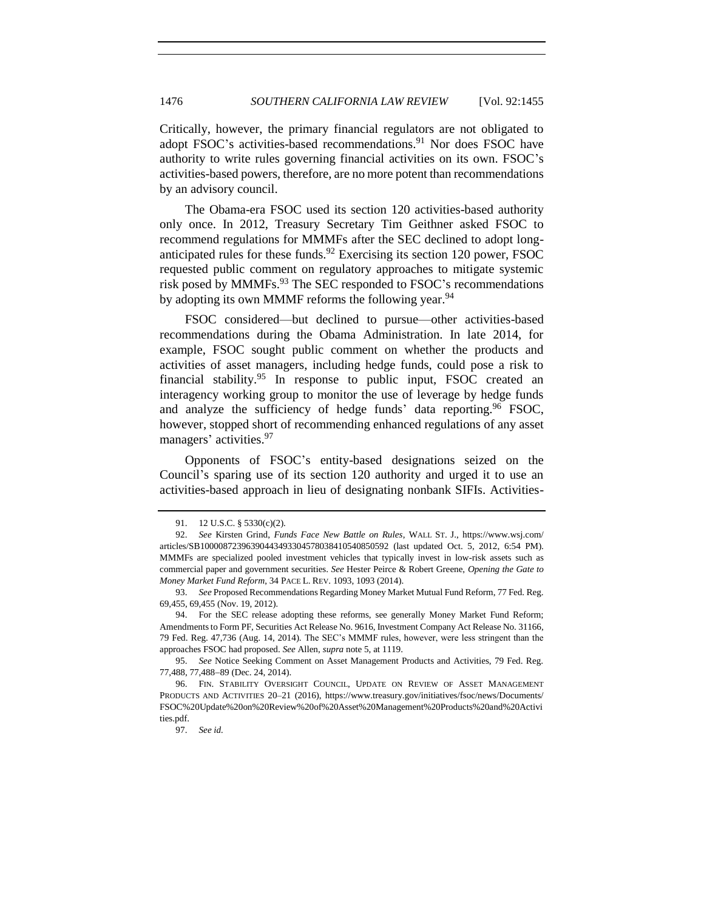Critically, however, the primary financial regulators are not obligated to adopt FSOC's activities-based recommendations.<sup>91</sup> Nor does FSOC have authority to write rules governing financial activities on its own. FSOC's activities-based powers, therefore, are no more potent than recommendations by an advisory council.

The Obama-era FSOC used its section 120 activities-based authority only once. In 2012, Treasury Secretary Tim Geithner asked FSOC to recommend regulations for MMMFs after the SEC declined to adopt longanticipated rules for these funds. $92$  Exercising its section 120 power, FSOC requested public comment on regulatory approaches to mitigate systemic risk posed by MMMFs.<sup>93</sup> The SEC responded to FSOC's recommendations by adopting its own MMMF reforms the following year.<sup>94</sup>

FSOC considered—but declined to pursue—other activities-based recommendations during the Obama Administration. In late 2014, for example, FSOC sought public comment on whether the products and activities of asset managers, including hedge funds, could pose a risk to financial stability.<sup>95</sup> In response to public input, FSOC created an interagency working group to monitor the use of leverage by hedge funds and analyze the sufficiency of hedge funds' data reporting.<sup>96</sup> FSOC, however, stopped short of recommending enhanced regulations of any asset managers' activities.<sup>97</sup>

Opponents of FSOC's entity-based designations seized on the Council's sparing use of its section 120 authority and urged it to use an activities-based approach in lieu of designating nonbank SIFIs. Activities-

<sup>91. 12</sup> U.S.C. § 5330(c)(2).

<sup>92.</sup> *See* Kirsten Grind, *Funds Face New Battle on Rules*, WALL ST. J., https://www.wsj.com/ articles/SB10000872396390443493304578038410540850592 (last updated Oct. 5, 2012, 6:54 PM). MMMFs are specialized pooled investment vehicles that typically invest in low-risk assets such as commercial paper and government securities. *See* Hester Peirce & Robert Greene, *Opening the Gate to Money Market Fund Reform*, 34 PACE L. REV. 1093, 1093 (2014).

<sup>93.</sup> *See* Proposed Recommendations Regarding Money Market Mutual Fund Reform, 77 Fed. Reg. 69,455, 69,455 (Nov. 19, 2012)*.*

<sup>94.</sup> For the SEC release adopting these reforms, see generally Money Market Fund Reform; Amendments to Form PF, Securities Act Release No. 9616, Investment Company Act Release No. 31166, 79 Fed. Reg. 47,736 (Aug. 14, 2014). The SEC's MMMF rules, however, were less stringent than the approaches FSOC had proposed. *See* Allen, *supra* not[e 5,](#page-3-3) at 1119.

<sup>95.</sup> *See* Notice Seeking Comment on Asset Management Products and Activities, 79 Fed. Reg. 77,488, 77,488−89 (Dec. 24, 2014).

<sup>96.</sup> FIN. STABILITY OVERSIGHT COUNCIL, UPDATE ON REVIEW OF ASSET MANAGEMENT PRODUCTS AND ACTIVITIES 20–21 (2016), https://www.treasury.gov/initiatives/fsoc/news/Documents/ FSOC%20Update%20on%20Review%20of%20Asset%20Management%20Products%20and%20Activi ties.pdf.

<sup>97.</sup> *See id.*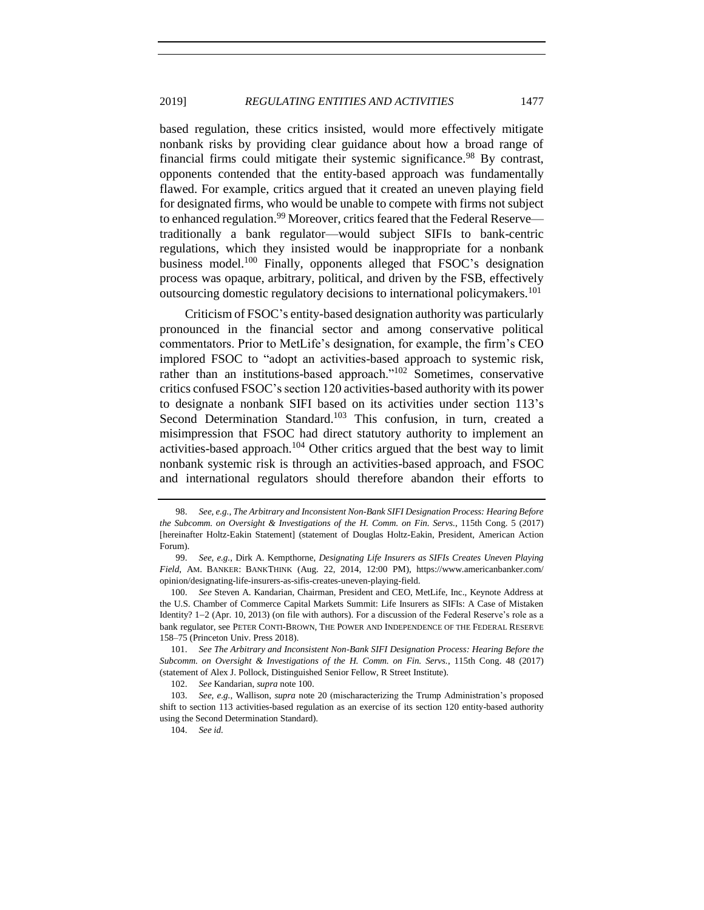based regulation, these critics insisted, would more effectively mitigate nonbank risks by providing clear guidance about how a broad range of financial firms could mitigate their systemic significance.<sup>98</sup> By contrast, opponents contended that the entity-based approach was fundamentally flawed. For example, critics argued that it created an uneven playing field for designated firms, who would be unable to compete with firms not subject to enhanced regulation.<sup>99</sup> Moreover, critics feared that the Federal Reserve traditionally a bank regulator—would subject SIFIs to bank-centric regulations, which they insisted would be inappropriate for a nonbank business model.<sup>100</sup> Finally, opponents alleged that FSOC's designation process was opaque, arbitrary, political, and driven by the FSB, effectively outsourcing domestic regulatory decisions to international policymakers.<sup>101</sup>

<span id="page-22-0"></span>Criticism of FSOC's entity-based designation authority was particularly pronounced in the financial sector and among conservative political commentators. Prior to MetLife's designation, for example, the firm's CEO implored FSOC to "adopt an activities-based approach to systemic risk, rather than an institutions-based approach."<sup>102</sup> Sometimes, conservative critics confused FSOC's section 120 activities-based authority with its power to designate a nonbank SIFI based on its activities under section 113's Second Determination Standard.<sup>103</sup> This confusion, in turn, created a misimpression that FSOC had direct statutory authority to implement an activities-based approach.<sup>104</sup> Other critics argued that the best way to limit nonbank systemic risk is through an activities-based approach, and FSOC and international regulators should therefore abandon their efforts to

<sup>98.</sup> *See, e.g.*, *The Arbitrary and Inconsistent Non-Bank SIFI Designation Process: Hearing Before the Subcomm. on Oversight & Investigations of the H. Comm. on Fin. Servs.*, 115th Cong. 5 (2017) [hereinafter Holtz-Eakin Statement] (statement of Douglas Holtz-Eakin, President, American Action Forum).

<sup>99.</sup> *See, e.g.*, Dirk A. Kempthorne, *Designating Life Insurers as SIFIs Creates Uneven Playing Field*, AM. BANKER: BANKTHINK (Aug. 22, 2014, 12:00 PM), https://www.americanbanker.com/ opinion/designating-life-insurers-as-sifis-creates-uneven-playing-field.

<sup>100.</sup> *See* Steven A. Kandarian, Chairman, President and CEO, MetLife, Inc., Keynote Address at the U.S. Chamber of Commerce Capital Markets Summit: Life Insurers as SIFIs: A Case of Mistaken Identity? 1−2 (Apr. 10, 2013) (on file with authors). For a discussion of the Federal Reserve's role as a bank regulator, see PETER CONTI-BROWN, THE POWER AND INDEPENDENCE OF THE FEDERAL RESERVE 158–75 (Princeton Univ. Press 2018).

<sup>101.</sup> *See The Arbitrary and Inconsistent Non-Bank SIFI Designation Process: Hearing Before the Subcomm. on Oversight & Investigations of the H. Comm. on Fin. Servs.*, 115th Cong. 48 (2017) (statement of Alex J. Pollock, Distinguished Senior Fellow, R Street Institute).

<sup>102.</sup> *See* Kandarian, *supra* not[e 100.](#page-22-0)

<sup>103.</sup> *See, e.g.*, Wallison, *supra* note [20](#page-5-1) (mischaracterizing the Trump Administration's proposed shift to section 113 activities-based regulation as an exercise of its section 120 entity-based authority using the Second Determination Standard).

<sup>104.</sup> *See id.*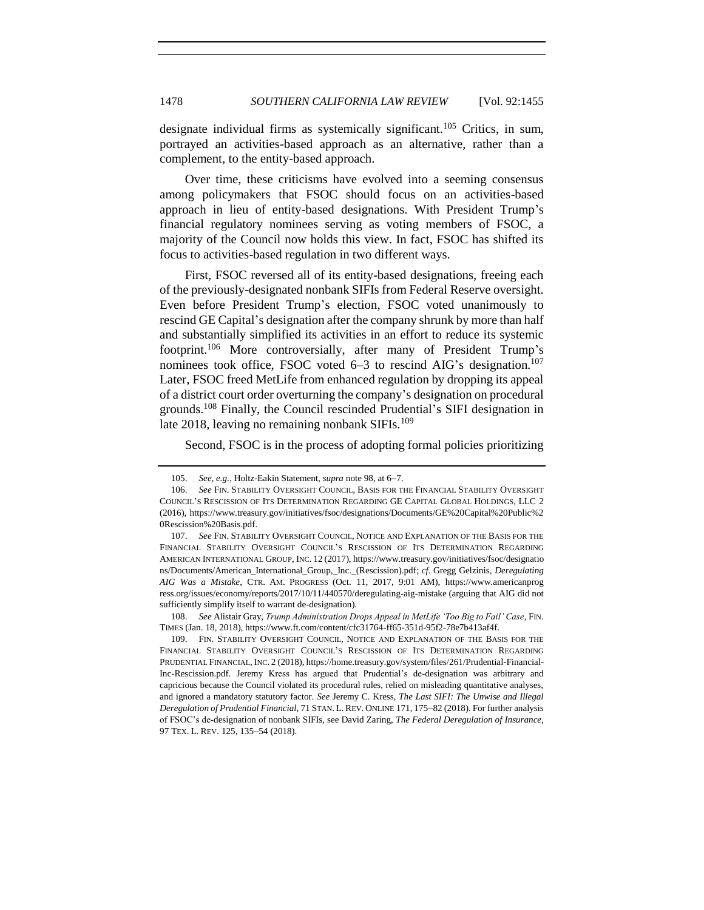designate individual firms as systemically significant.<sup>105</sup> Critics, in sum, portrayed an activities-based approach as an alternative, rather than a complement, to the entity-based approach.

Over time, these criticisms have evolved into a seeming consensus among policymakers that FSOC should focus on an activities-based approach in lieu of entity-based designations. With President Trump's financial regulatory nominees serving as voting members of FSOC, a majority of the Council now holds this view. In fact, FSOC has shifted its focus to activities-based regulation in two different ways.

First, FSOC reversed all of its entity-based designations, freeing each of the previously-designated nonbank SIFIs from Federal Reserve oversight. Even before President Trump's election, FSOC voted unanimously to rescind GE Capital's designation after the company shrunk by more than half and substantially simplified its activities in an effort to reduce its systemic footprint.<sup>106</sup> More controversially, after many of President Trump's nominees took office, FSOC voted  $6-3$  to rescind AIG's designation.<sup>107</sup> Later, FSOC freed MetLife from enhanced regulation by dropping its appeal of a district court order overturning the company's designation on procedural grounds.<sup>108</sup> Finally, the Council rescinded Prudential's SIFI designation in late 2018, leaving no remaining nonbank SIFIs.<sup>109</sup>

Second, FSOC is in the process of adopting formal policies prioritizing

108. *See* Alistair Gray, *Trump Administration Drops Appeal in MetLife 'Too Big to Fail' Case*, FIN. TIMES (Jan. 18, 2018), https://www.ft.com/content/cfc31764-ff65-351d-95f2-78e7b413af4f.

<sup>105.</sup> *See, e.g.*, Holtz-Eakin Statement, *supra* note 98, at 6−7.

<sup>106.</sup> *See* FIN. STABILITY OVERSIGHT COUNCIL, BASIS FOR THE FINANCIAL STABILITY OVERSIGHT COUNCIL'S RESCISSION OF ITS DETERMINATION REGARDING GE CAPITAL GLOBAL HOLDINGS, LLC 2 (2016), https://www.treasury.gov/initiatives/fsoc/designations/Documents/GE%20Capital%20Public%2 0Rescission%20Basis.pdf.

<sup>107.</sup> *See* FIN. STABILITY OVERSIGHT COUNCIL, NOTICE AND EXPLANATION OF THE BASIS FOR THE FINANCIAL STABILITY OVERSIGHT COUNCIL'S RESCISSION OF ITS DETERMINATION REGARDING AMERICAN INTERNATIONAL GROUP, INC. 12 (2017), https://www.treasury.gov/initiatives/fsoc/designatio ns/Documents/American\_International\_Group,\_Inc.\_(Rescission).pdf; *cf.* Gregg Gelzinis, *Deregulating AIG Was a Mistake*, CTR. AM. PROGRESS (Oct. 11, 2017, 9:01 AM), https://www.americanprog ress.org/issues/economy/reports/2017/10/11/440570/deregulating-aig-mistake (arguing that AIG did not sufficiently simplify itself to warrant de-designation).

<sup>109.</sup> FIN. STABILITY OVERSIGHT COUNCIL, NOTICE AND EXPLANATION OF THE BASIS FOR THE FINANCIAL STABILITY OVERSIGHT COUNCIL'S RESCISSION OF ITS DETERMINATION REGARDING PRUDENTIAL FINANCIAL, INC. 2 (2018), https://home.treasury.gov/system/files/261/Prudential-Financial-Inc-Rescission.pdf. Jeremy Kress has argued that Prudential's de-designation was arbitrary and capricious because the Council violated its procedural rules, relied on misleading quantitative analyses, and ignored a mandatory statutory factor. *See* Jeremy C. Kress, *The Last SIFI: The Unwise and Illegal Deregulation of Prudential Financial*, 71 STAN. L. REV. ONLINE 171, 175−82 (2018). For further analysis of FSOC's de-designation of nonbank SIFIs, see David Zaring, *The Federal Deregulation of Insurance*, 97 TEX. L. REV. 125, 135–54 (2018).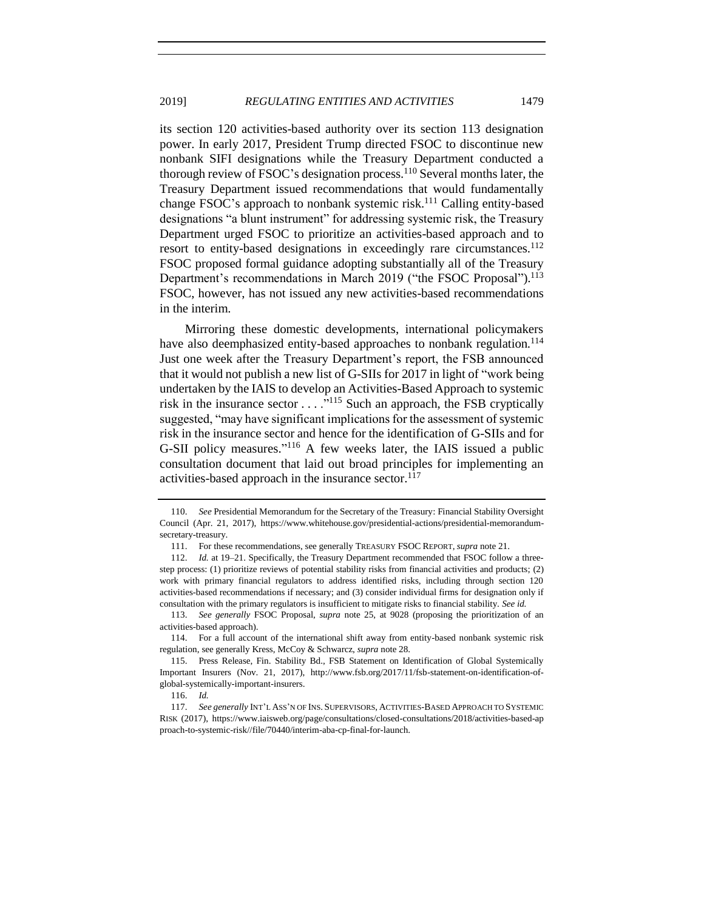its section 120 activities-based authority over its section 113 designation power. In early 2017, President Trump directed FSOC to discontinue new nonbank SIFI designations while the Treasury Department conducted a thorough review of FSOC's designation process.<sup>110</sup> Several months later, the Treasury Department issued recommendations that would fundamentally change FSOC's approach to nonbank systemic risk.<sup>111</sup> Calling entity-based designations "a blunt instrument" for addressing systemic risk, the Treasury Department urged FSOC to prioritize an activities-based approach and to resort to entity-based designations in exceedingly rare circumstances.<sup>112</sup> FSOC proposed formal guidance adopting substantially all of the Treasury Department's recommendations in March 2019 ("the FSOC Proposal").<sup>113</sup> FSOC, however, has not issued any new activities-based recommendations in the interim.

Mirroring these domestic developments, international policymakers have also deemphasized entity-based approaches to nonbank regulation.<sup>114</sup> Just one week after the Treasury Department's report, the FSB announced that it would not publish a new list of G-SIIs for 2017 in light of "work being undertaken by the IAIS to develop an Activities-Based Approach to systemic risk in the insurance sector  $\dots$ <sup>115</sup> Such an approach, the FSB cryptically suggested, "may have significant implications for the assessment of systemic risk in the insurance sector and hence for the identification of G-SIIs and for G-SII policy measures."<sup>116</sup> A few weeks later, the IAIS issued a public consultation document that laid out broad principles for implementing an activities-based approach in the insurance sector. $117$ 

<sup>110.</sup> *See* Presidential Memorandum for the Secretary of the Treasury: Financial Stability Oversight Council (Apr. 21, 2017), https://www.whitehouse.gov/presidential-actions/presidential-memorandumsecretary-treasury.

<span id="page-24-0"></span><sup>111.</sup> For these recommendations, see generally TREASURY FSOC REPORT, *supra* not[e 21.](#page-5-0)

<sup>112.</sup> *Id.* at 19–21. Specifically, the Treasury Department recommended that FSOC follow a threestep process: (1) prioritize reviews of potential stability risks from financial activities and products; (2) work with primary financial regulators to address identified risks, including through section 120 activities-based recommendations if necessary; and (3) consider individual firms for designation only if consultation with the primary regulators is insufficient to mitigate risks to financial stability. *See id.*

<sup>113.</sup> *See generally* FSOC Proposal, *supra* note [25,](#page-6-0) at 9028 (proposing the prioritization of an activities-based approach).

<sup>114.</sup> For a full account of the international shift away from entity-based nonbank systemic risk regulation, see generally Kress, McCoy & Schwarcz, *supra* note 28.

<sup>115.</sup> Press Release, Fin. Stability Bd., FSB Statement on Identification of Global Systemically Important Insurers (Nov. 21, 2017), http://www.fsb.org/2017/11/fsb-statement-on-identification-ofglobal-systemically-important-insurers.

<sup>116.</sup> *Id.*

<sup>117.</sup> *See generally* INT'L ASS'N OF INS. SUPERVISORS, ACTIVITIES-BASED APPROACH TO SYSTEMIC RISK (2017), https://www.iaisweb.org/page/consultations/closed-consultations/2018/activities-based-ap proach-to-systemic-risk//file/70440/interim-aba-cp-final-for-launch.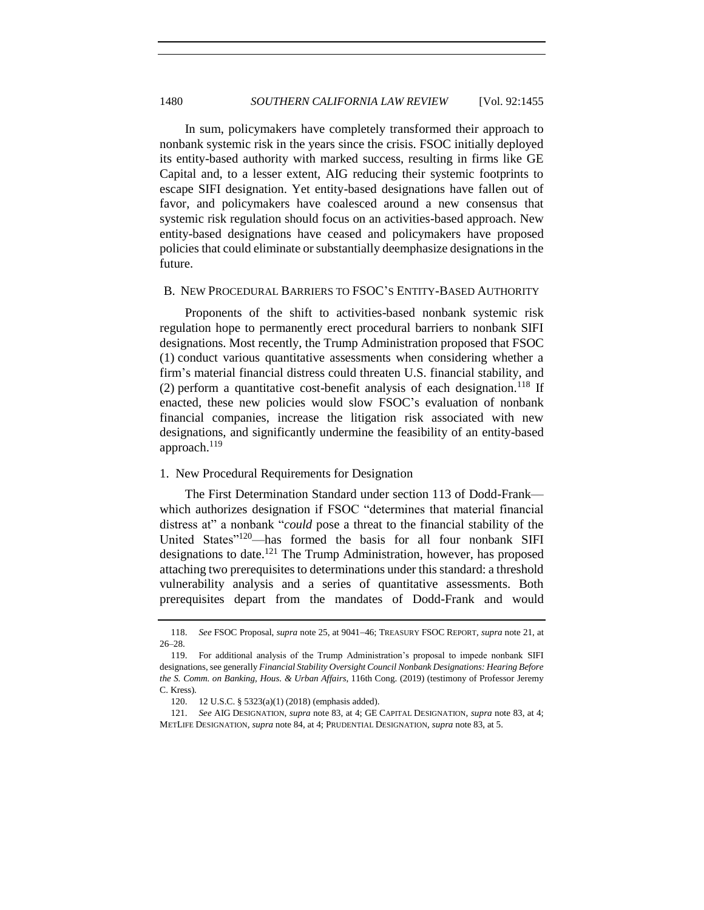In sum, policymakers have completely transformed their approach to nonbank systemic risk in the years since the crisis. FSOC initially deployed its entity-based authority with marked success, resulting in firms like GE Capital and, to a lesser extent, AIG reducing their systemic footprints to escape SIFI designation. Yet entity-based designations have fallen out of favor, and policymakers have coalesced around a new consensus that systemic risk regulation should focus on an activities-based approach. New entity-based designations have ceased and policymakers have proposed policies that could eliminate or substantially deemphasize designations in the future.

## <span id="page-25-0"></span>B. NEW PROCEDURAL BARRIERS TO FSOC'S ENTITY-BASED AUTHORITY

Proponents of the shift to activities-based nonbank systemic risk regulation hope to permanently erect procedural barriers to nonbank SIFI designations. Most recently, the Trump Administration proposed that FSOC (1) conduct various quantitative assessments when considering whether a firm's material financial distress could threaten U.S. financial stability, and (2) perform a quantitative cost-benefit analysis of each designation.<sup>118</sup> If enacted, these new policies would slow FSOC's evaluation of nonbank financial companies, increase the litigation risk associated with new designations, and significantly undermine the feasibility of an entity-based approach.<sup>119</sup>

# <span id="page-25-1"></span>1. New Procedural Requirements for Designation

The First Determination Standard under section 113 of Dodd-Frank which authorizes designation if FSOC "determines that material financial distress at" a nonbank "*could* pose a threat to the financial stability of the United States"<sup>120</sup>—has formed the basis for all four nonbank SIFI designations to date.<sup>121</sup> The Trump Administration, however, has proposed attaching two prerequisites to determinations under this standard: a threshold vulnerability analysis and a series of quantitative assessments. Both prerequisites depart from the mandates of Dodd-Frank and would

<sup>118.</sup> *See* FSOC Proposal, *supra* note [25,](#page-6-0) at 9041−46; TREASURY FSOC REPORT, *supra* not[e 21,](#page-5-0) at 26–28.

<sup>119.</sup> For additional analysis of the Trump Administration's proposal to impede nonbank SIFI designations, see generally *Financial Stability Oversight Council Nonbank Designations: Hearing Before the S. Comm. on Banking, Hous. & Urban Affairs*, 116th Cong. (2019) (testimony of Professor Jeremy C. Kress).

<sup>120.</sup> 12 U.S.C. § 5323(a)(1) (2018) (emphasis added).

<sup>121.</sup> *See* AIG DESIGNATION, *supra* note 83, at 4; GE CAPITAL DESIGNATION, *supra* note 83, at 4; METLIFE DESIGNATION, *supra* note 84, at 4; PRUDENTIAL DESIGNATION, *supra* note 83, at 5.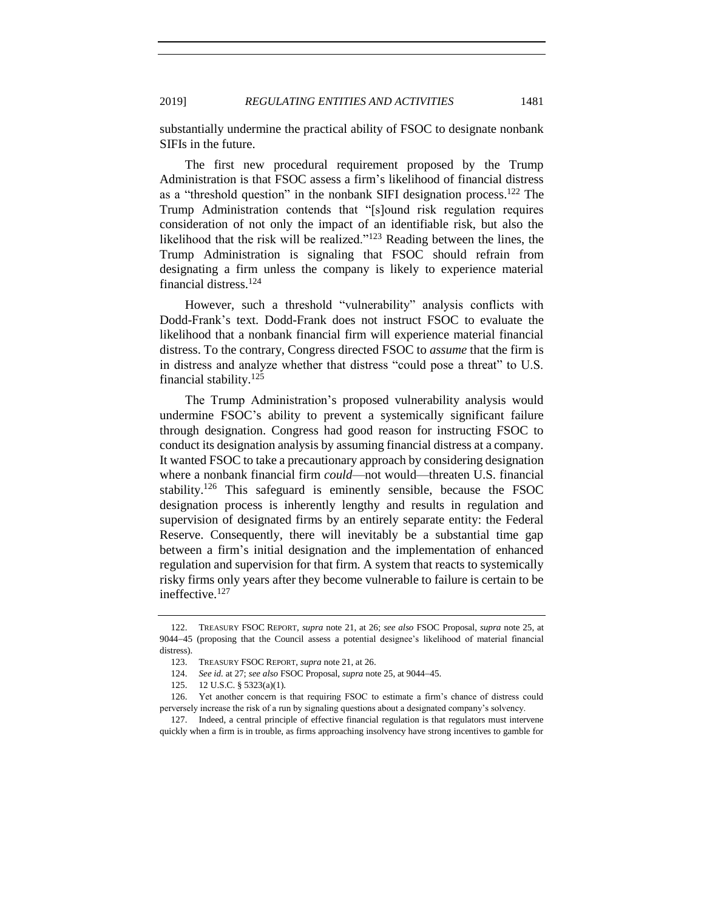2019] *REGULATING ENTITIES AND ACTIVITIES* 1481

substantially undermine the practical ability of FSOC to designate nonbank SIFIs in the future.

The first new procedural requirement proposed by the Trump Administration is that FSOC assess a firm's likelihood of financial distress as a "threshold question" in the nonbank SIFI designation process.<sup>122</sup> The Trump Administration contends that "[s]ound risk regulation requires consideration of not only the impact of an identifiable risk, but also the likelihood that the risk will be realized."<sup>123</sup> Reading between the lines, the Trump Administration is signaling that FSOC should refrain from designating a firm unless the company is likely to experience material financial distress.<sup>124</sup>

However, such a threshold "vulnerability" analysis conflicts with Dodd-Frank's text. Dodd-Frank does not instruct FSOC to evaluate the likelihood that a nonbank financial firm will experience material financial distress. To the contrary, Congress directed FSOC to *assume* that the firm is in distress and analyze whether that distress "could pose a threat" to U.S. financial stability.<sup>125</sup>

The Trump Administration's proposed vulnerability analysis would undermine FSOC's ability to prevent a systemically significant failure through designation. Congress had good reason for instructing FSOC to conduct its designation analysis by assuming financial distress at a company. It wanted FSOC to take a precautionary approach by considering designation where a nonbank financial firm *could*—not would—threaten U.S. financial stability.<sup>126</sup> This safeguard is eminently sensible, because the FSOC designation process is inherently lengthy and results in regulation and supervision of designated firms by an entirely separate entity: the Federal Reserve. Consequently, there will inevitably be a substantial time gap between a firm's initial designation and the implementation of enhanced regulation and supervision for that firm. A system that reacts to systemically risky firms only years after they become vulnerable to failure is certain to be ineffective.<sup>127</sup>

<sup>122.</sup> TREASURY FSOC REPORT, *supra* note [21,](#page-5-0) at 26; *see also* FSOC Proposal, *supra* not[e 25,](#page-6-0) at 9044−45 (proposing that the Council assess a potential designee's likelihood of material financial distress).

<sup>123.</sup> TREASURY FSOC REPORT, *supra* not[e 21,](#page-5-0) at 26.

<sup>124.</sup> *See id.* at 27; *see also* FSOC Proposal, *supra* note [25,](#page-6-0) at 9044−45.

<sup>125.</sup> 12 U.S.C. § 5323(a)(1).

<sup>126.</sup> Yet another concern is that requiring FSOC to estimate a firm's chance of distress could perversely increase the risk of a run by signaling questions about a designated company's solvency.

<sup>127.</sup> Indeed, a central principle of effective financial regulation is that regulators must intervene quickly when a firm is in trouble, as firms approaching insolvency have strong incentives to gamble for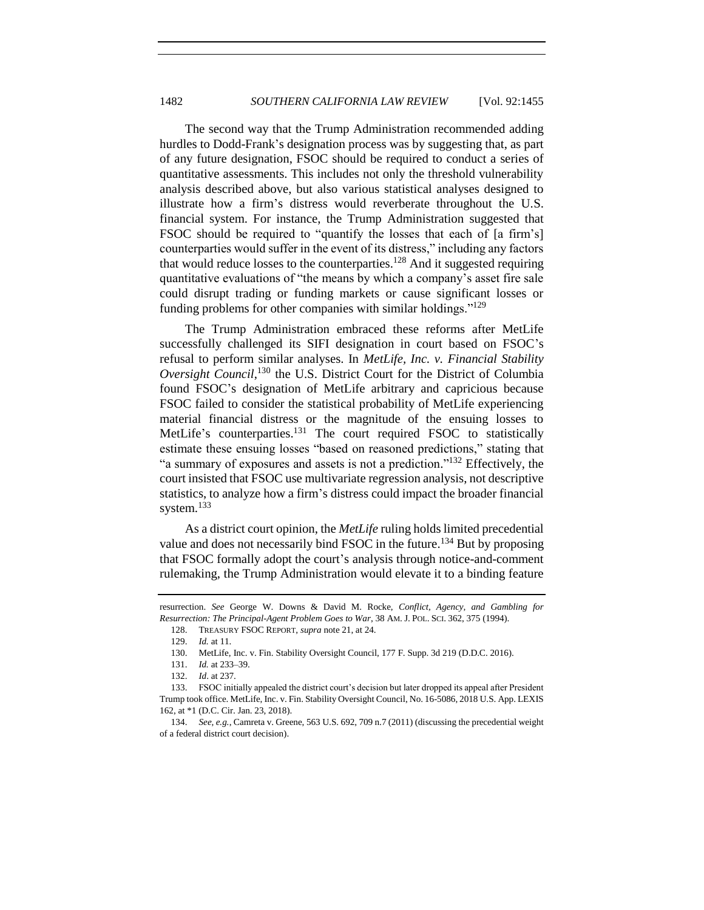The second way that the Trump Administration recommended adding hurdles to Dodd-Frank's designation process was by suggesting that, as part of any future designation, FSOC should be required to conduct a series of quantitative assessments. This includes not only the threshold vulnerability analysis described above, but also various statistical analyses designed to illustrate how a firm's distress would reverberate throughout the U.S. financial system. For instance, the Trump Administration suggested that FSOC should be required to "quantify the losses that each of [a firm's] counterparties would suffer in the event of its distress," including any factors that would reduce losses to the counterparties.<sup>128</sup> And it suggested requiring quantitative evaluations of "the means by which a company's asset fire sale could disrupt trading or funding markets or cause significant losses or funding problems for other companies with similar holdings."<sup>129</sup>

The Trump Administration embraced these reforms after MetLife successfully challenged its SIFI designation in court based on FSOC's refusal to perform similar analyses. In *MetLife, Inc. v. Financial Stability Oversight Council*, <sup>130</sup> the U.S. District Court for the District of Columbia found FSOC's designation of MetLife arbitrary and capricious because FSOC failed to consider the statistical probability of MetLife experiencing material financial distress or the magnitude of the ensuing losses to MetLife's counterparties.<sup>131</sup> The court required FSOC to statistically estimate these ensuing losses "based on reasoned predictions," stating that "a summary of exposures and assets is not a prediction."<sup>132</sup> Effectively, the court insisted that FSOC use multivariate regression analysis, not descriptive statistics, to analyze how a firm's distress could impact the broader financial system.<sup>133</sup>

As a district court opinion, the *MetLife* ruling holds limited precedential value and does not necessarily bind FSOC in the future.<sup>134</sup> But by proposing that FSOC formally adopt the court's analysis through notice-and-comment rulemaking, the Trump Administration would elevate it to a binding feature

resurrection. *See* George W. Downs & David M. Rocke, *Conflict, Agency, and Gambling for Resurrection: The Principal-Agent Problem Goes to War*, 38 AM. J. POL. SCI. 362, 375 (1994).

<sup>128.</sup> TREASURY FSOC REPORT, *supra* not[e 21,](#page-5-0) at 24.

<sup>129.</sup> *Id.* at 11.

<sup>130.</sup> MetLife, Inc. v. Fin. Stability Oversight Council, 177 F. Supp. 3d 219 (D.D.C. 2016).

<sup>131.</sup> *Id.* at 233–39.

<sup>132.</sup> *Id*. at 237.

<sup>133.</sup> FSOC initially appealed the district court's decision but later dropped its appeal after President Trump took office. MetLife, Inc. v. Fin. Stability Oversight Council, No. 16-5086, 2018 U.S. App. LEXIS 162, at \*1 (D.C. Cir. Jan. 23, 2018).

<sup>134.</sup> *See, e.g.*, Camreta v. Greene, 563 U.S. 692, 709 n.7 (2011) (discussing the precedential weight of a federal district court decision).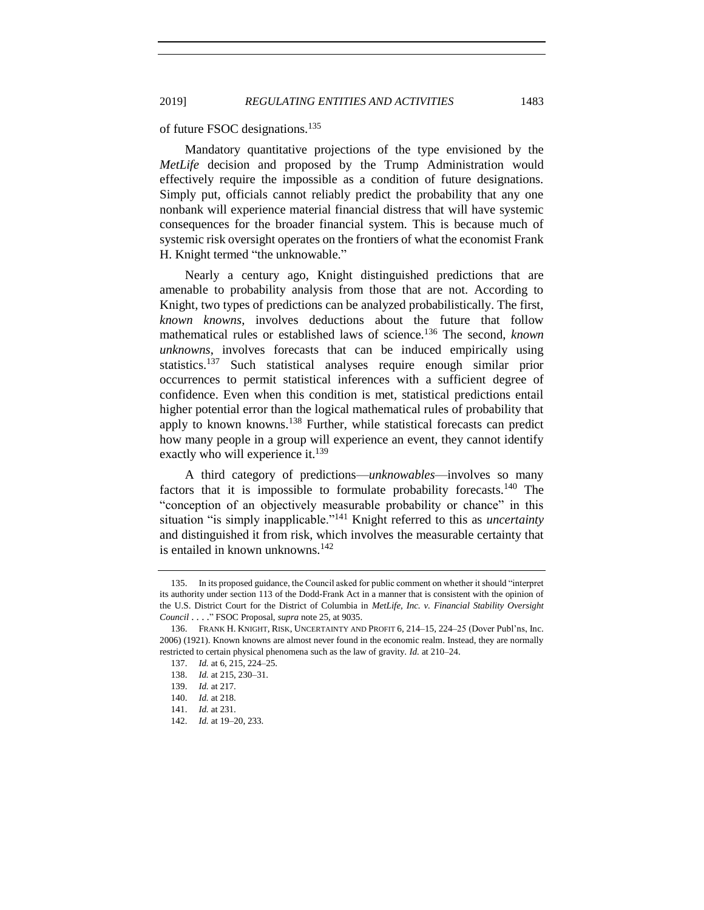of future FSOC designations.<sup>135</sup>

Mandatory quantitative projections of the type envisioned by the *MetLife* decision and proposed by the Trump Administration would effectively require the impossible as a condition of future designations. Simply put, officials cannot reliably predict the probability that any one nonbank will experience material financial distress that will have systemic consequences for the broader financial system. This is because much of systemic risk oversight operates on the frontiers of what the economist Frank H. Knight termed "the unknowable."

Nearly a century ago, Knight distinguished predictions that are amenable to probability analysis from those that are not. According to Knight, two types of predictions can be analyzed probabilistically. The first, *known knowns*, involves deductions about the future that follow mathematical rules or established laws of science.<sup>136</sup> The second, *known unknowns*, involves forecasts that can be induced empirically using statistics.<sup>137</sup> Such statistical analyses require enough similar prior occurrences to permit statistical inferences with a sufficient degree of confidence. Even when this condition is met, statistical predictions entail higher potential error than the logical mathematical rules of probability that apply to known knowns.<sup>138</sup> Further, while statistical forecasts can predict how many people in a group will experience an event, they cannot identify exactly who will experience it.<sup>139</sup>

A third category of predictions—*unknowables*—involves so many factors that it is impossible to formulate probability forecasts.<sup>140</sup> The "conception of an objectively measurable probability or chance" in this situation "is simply inapplicable."<sup>141</sup> Knight referred to this as *uncertainty* and distinguished it from risk, which involves the measurable certainty that is entailed in known unknowns.<sup>142</sup>

<sup>135.</sup> In its proposed guidance, the Council asked for public comment on whether it should "interpret its authority under section 113 of the Dodd-Frank Act in a manner that is consistent with the opinion of the U.S. District Court for the District of Columbia in *MetLife, Inc. v. Financial Stability Oversight Council* . . . ." FSOC Proposal, *supra* not[e 25,](#page-6-0) at 9035.

<sup>136.</sup> FRANK H. KNIGHT, RISK, UNCERTAINTY AND PROFIT 6, 214–15, 224–25 (Dover Publ'ns, Inc. 2006) (1921). Known knowns are almost never found in the economic realm. Instead, they are normally restricted to certain physical phenomena such as the law of gravity. *Id.* at 210–24.

<sup>137.</sup> *Id.* at 6, 215, 224–25.

<sup>138.</sup> *Id.* at 215, 230–31.

<sup>139.</sup> *Id.* at 217.

<sup>140.</sup> *Id.* at 218.

<sup>141.</sup> *Id.* at 231.

<sup>142.</sup> *Id.* at 19–20, 233.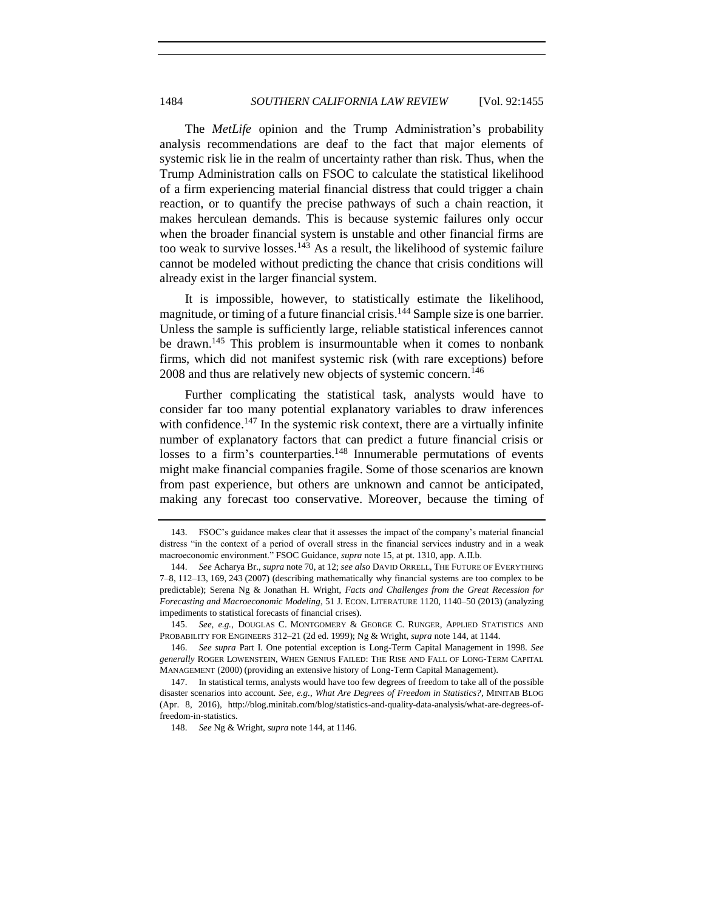The *MetLife* opinion and the Trump Administration's probability analysis recommendations are deaf to the fact that major elements of systemic risk lie in the realm of uncertainty rather than risk. Thus, when the Trump Administration calls on FSOC to calculate the statistical likelihood of a firm experiencing material financial distress that could trigger a chain reaction, or to quantify the precise pathways of such a chain reaction, it makes herculean demands. This is because systemic failures only occur when the broader financial system is unstable and other financial firms are too weak to survive losses.<sup>143</sup> As a result, the likelihood of systemic failure cannot be modeled without predicting the chance that crisis conditions will already exist in the larger financial system.

<span id="page-29-0"></span>It is impossible, however, to statistically estimate the likelihood, magnitude, or timing of a future financial crisis.<sup>144</sup> Sample size is one barrier. Unless the sample is sufficiently large, reliable statistical inferences cannot be drawn.<sup>145</sup> This problem is insurmountable when it comes to nonbank firms, which did not manifest systemic risk (with rare exceptions) before 2008 and thus are relatively new objects of systemic concern.<sup>146</sup>

Further complicating the statistical task, analysts would have to consider far too many potential explanatory variables to draw inferences with confidence.<sup>147</sup> In the systemic risk context, there are a virtually infinite number of explanatory factors that can predict a future financial crisis or losses to a firm's counterparties.<sup>148</sup> Innumerable permutations of events might make financial companies fragile. Some of those scenarios are known from past experience, but others are unknown and cannot be anticipated, making any forecast too conservative. Moreover, because the timing of

<sup>143.</sup> FSOC's guidance makes clear that it assesses the impact of the company's material financial distress "in the context of a period of overall stress in the financial services industry and in a weak macroeconomic environment." FSOC Guidance, *supra* note 15, at pt. 1310, app. A.II.b.

<sup>144.</sup> *See* Acharya Br., *supra* not[e 70,](#page-16-1) at 12; *see also* DAVID ORRELL, THE FUTURE OF EVERYTHING 7–8, 112–13, 169, 243 (2007) (describing mathematically why financial systems are too complex to be predictable); Serena Ng & Jonathan H. Wright, *Facts and Challenges from the Great Recession for Forecasting and Macroeconomic Modeling*, 51 J. ECON. LITERATURE 1120, 1140–50 (2013) (analyzing impediments to statistical forecasts of financial crises).

<sup>145.</sup> *See, e.g.*, DOUGLAS C. MONTGOMERY & GEORGE C. RUNGER, APPLIED STATISTICS AND PROBABILITY FOR ENGINEERS 312–21 (2d ed. 1999); Ng & Wright, *supra* note [144,](#page-29-0) at 1144.

<sup>146.</sup> *See supra* Part I. One potential exception is Long-Term Capital Management in 1998. *See generally* ROGER LOWENSTEIN, WHEN GENIUS FAILED: THE RISE AND FALL OF LONG-TERM CAPITAL MANAGEMENT (2000) (providing an extensive history of Long-Term Capital Management).

<sup>147.</sup> In statistical terms, analysts would have too few degrees of freedom to take all of the possible disaster scenarios into account. *See, e.g.*, *What Are Degrees of Freedom in Statistics?*, MINITAB BLOG (Apr. 8, 2016), http://blog.minitab.com/blog/statistics-and-quality-data-analysis/what-are-degrees-offreedom-in-statistics.

<sup>148.</sup> *See* Ng & Wright, *supra* note [144,](#page-29-0) at 1146.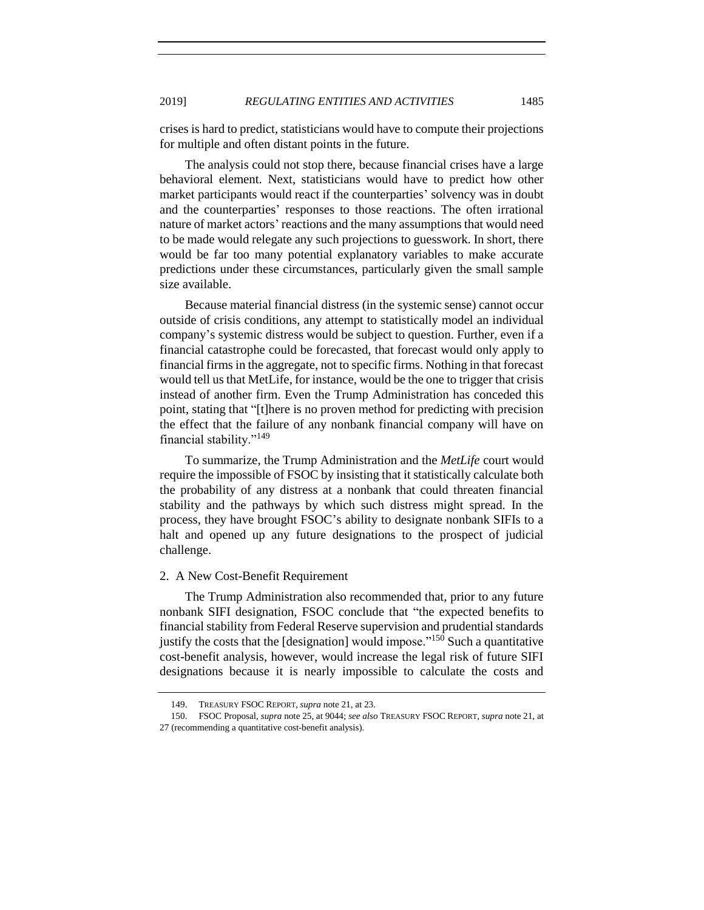crises is hard to predict, statisticians would have to compute their projections for multiple and often distant points in the future.

The analysis could not stop there, because financial crises have a large behavioral element. Next, statisticians would have to predict how other market participants would react if the counterparties' solvency was in doubt and the counterparties' responses to those reactions. The often irrational nature of market actors' reactions and the many assumptions that would need to be made would relegate any such projections to guesswork. In short, there would be far too many potential explanatory variables to make accurate predictions under these circumstances, particularly given the small sample size available.

Because material financial distress (in the systemic sense) cannot occur outside of crisis conditions, any attempt to statistically model an individual company's systemic distress would be subject to question. Further, even if a financial catastrophe could be forecasted, that forecast would only apply to financial firms in the aggregate, not to specific firms. Nothing in that forecast would tell us that MetLife, for instance, would be the one to trigger that crisis instead of another firm. Even the Trump Administration has conceded this point, stating that "[t]here is no proven method for predicting with precision the effect that the failure of any nonbank financial company will have on financial stability."<sup>149</sup>

To summarize, the Trump Administration and the *MetLife* court would require the impossible of FSOC by insisting that it statistically calculate both the probability of any distress at a nonbank that could threaten financial stability and the pathways by which such distress might spread. In the process, they have brought FSOC's ability to designate nonbank SIFIs to a halt and opened up any future designations to the prospect of judicial challenge.

#### <span id="page-30-0"></span>2. A New Cost-Benefit Requirement

The Trump Administration also recommended that, prior to any future nonbank SIFI designation, FSOC conclude that "the expected benefits to financial stability from Federal Reserve supervision and prudential standards justify the costs that the [designation] would impose."<sup>150</sup> Such a quantitative cost-benefit analysis, however, would increase the legal risk of future SIFI designations because it is nearly impossible to calculate the costs and

<sup>149.</sup> TREASURY FSOC REPORT, *supra* note 21, at 23.

<sup>150.</sup> FSOC Proposal, *supra* not[e 25,](#page-6-0) at 9044; *see also* TREASURY FSOC REPORT, *supra* not[e 21,](#page-5-0) at 27 (recommending a quantitative cost-benefit analysis).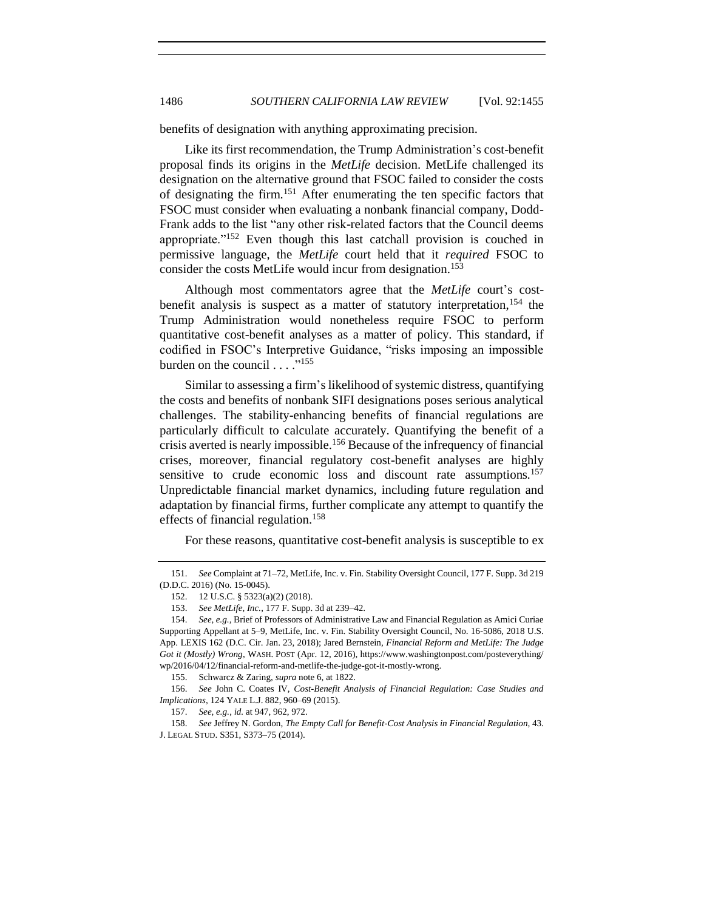benefits of designation with anything approximating precision.

Like its first recommendation, the Trump Administration's cost-benefit proposal finds its origins in the *MetLife* decision. MetLife challenged its designation on the alternative ground that FSOC failed to consider the costs of designating the firm.<sup>151</sup> After enumerating the ten specific factors that FSOC must consider when evaluating a nonbank financial company, Dodd-Frank adds to the list "any other risk-related factors that the Council deems appropriate."<sup>152</sup> Even though this last catchall provision is couched in permissive language, the *MetLife* court held that it *required* FSOC to consider the costs MetLife would incur from designation.<sup>153</sup>

Although most commentators agree that the *MetLife* court's costbenefit analysis is suspect as a matter of statutory interpretation, <sup>154</sup> the Trump Administration would nonetheless require FSOC to perform quantitative cost-benefit analyses as a matter of policy. This standard, if codified in FSOC's Interpretive Guidance, "risks imposing an impossible burden on the council . . . . "<sup>155</sup>

Similar to assessing a firm's likelihood of systemic distress, quantifying the costs and benefits of nonbank SIFI designations poses serious analytical challenges. The stability-enhancing benefits of financial regulations are particularly difficult to calculate accurately. Quantifying the benefit of a crisis averted is nearly impossible.<sup>156</sup> Because of the infrequency of financial crises, moreover, financial regulatory cost-benefit analyses are highly sensitive to crude economic loss and discount rate assumptions.<sup>157</sup> Unpredictable financial market dynamics, including future regulation and adaptation by financial firms, further complicate any attempt to quantify the effects of financial regulation.<sup>158</sup>

<span id="page-31-0"></span>For these reasons, quantitative cost-benefit analysis is susceptible to ex

<sup>151.</sup> *See* Complaint at 71–72, MetLife, Inc. v. Fin. Stability Oversight Council, 177 F. Supp. 3d 219 (D.D.C. 2016) (No. 15-0045).

<sup>152.</sup> 12 U.S.C. § 5323(a)(2) (2018).

<sup>153.</sup> *See MetLife, Inc.*, 177 F. Supp. 3d at 239–42.

<sup>154.</sup> *See, e.g.*, Brief of Professors of Administrative Law and Financial Regulation as Amici Curiae Supporting Appellant at 5–9, MetLife, Inc. v. Fin. Stability Oversight Council, No. 16-5086, 2018 U.S. App. LEXIS 162 (D.C. Cir. Jan. 23, 2018); Jared Bernstein, *Financial Reform and MetLife: The Judge Got it (Mostly) Wrong*, WASH. POST (Apr. 12, 2016), https://www.washingtonpost.com/posteverything/ wp/2016/04/12/financial-reform-and-metlife-the-judge-got-it-mostly-wrong.

<sup>155.</sup> Schwarcz & Zaring, *supra* not[e 6,](#page-3-0) at 1822.

<sup>156.</sup> *See* John C. Coates IV, *Cost-Benefit Analysis of Financial Regulation: Case Studies and Implications*, 124 YALE L.J. 882, 960–69 (2015).

<sup>157.</sup> *See, e.g.*, *id.* at 947, 962, 972.

<sup>158.</sup> *See* Jeffrey N. Gordon, *The Empty Call for Benefit-Cost Analysis in Financial Regulation*, 43. J. LEGAL STUD. S351, S373–75 (2014).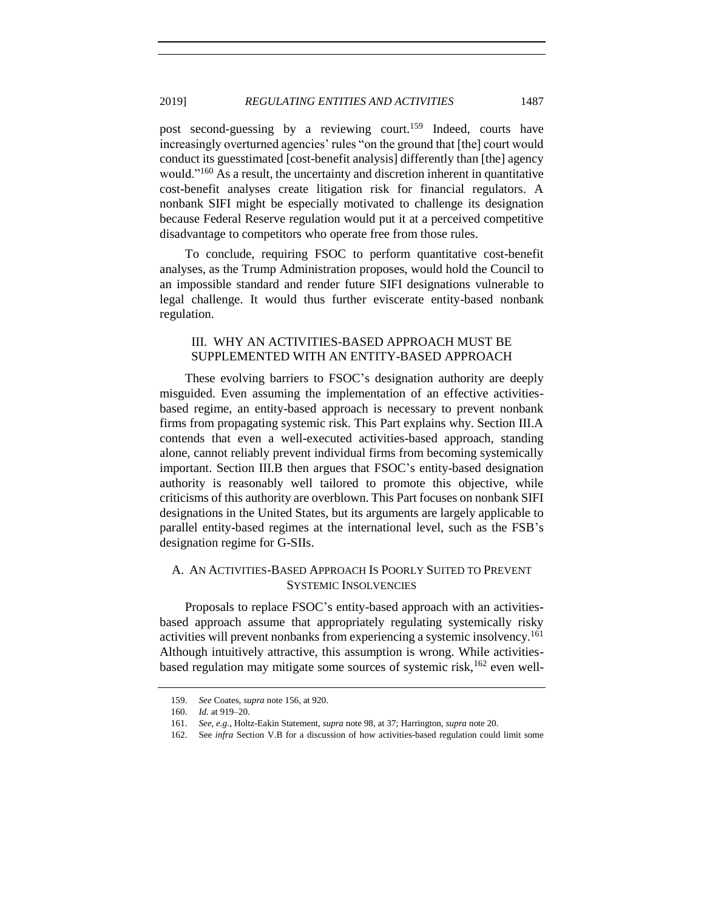# 2019] *REGULATING ENTITIES AND ACTIVITIES* 1487

post second-guessing by a reviewing court.<sup>159</sup> Indeed, courts have increasingly overturned agencies' rules "on the ground that [the] court would conduct its guesstimated [cost-benefit analysis] differently than [the] agency would."<sup>160</sup> As a result, the uncertainty and discretion inherent in quantitative cost-benefit analyses create litigation risk for financial regulators. A nonbank SIFI might be especially motivated to challenge its designation because Federal Reserve regulation would put it at a perceived competitive disadvantage to competitors who operate free from those rules.

To conclude, requiring FSOC to perform quantitative cost-benefit analyses, as the Trump Administration proposes, would hold the Council to an impossible standard and render future SIFI designations vulnerable to legal challenge. It would thus further eviscerate entity-based nonbank regulation.

# <span id="page-32-0"></span>III. WHY AN ACTIVITIES-BASED APPROACH MUST BE SUPPLEMENTED WITH AN ENTITY-BASED APPROACH

These evolving barriers to FSOC's designation authority are deeply misguided. Even assuming the implementation of an effective activitiesbased regime, an entity-based approach is necessary to prevent nonbank firms from propagating systemic risk. This Part explains why. Section III.A contends that even a well-executed activities-based approach, standing alone, cannot reliably prevent individual firms from becoming systemically important. Section III.B then argues that FSOC's entity-based designation authority is reasonably well tailored to promote this objective, while criticisms of this authority are overblown. This Part focuses on nonbank SIFI designations in the United States, but its arguments are largely applicable to parallel entity-based regimes at the international level, such as the FSB's designation regime for G-SIIs.

# <span id="page-32-1"></span>A. AN ACTIVITIES-BASED APPROACH IS POORLY SUITED TO PREVENT SYSTEMIC INSOLVENCIES

Proposals to replace FSOC's entity-based approach with an activitiesbased approach assume that appropriately regulating systemically risky activities will prevent nonbanks from experiencing a systemic insolvency.<sup>161</sup> Although intuitively attractive, this assumption is wrong. While activitiesbased regulation may mitigate some sources of systemic risk,  $^{162}$  even well-

<sup>159.</sup> *See* Coates, *supra* not[e 156,](#page-31-0) at 920.

<sup>160.</sup> *Id.* at 919–20.

<sup>161.</sup> *See, e.g.*, Holtz-Eakin Statement, *supra* note 98, at 37; Harrington, *supra* note [20.](#page-5-1)

<sup>162.</sup> See *infra* Section V.B for a discussion of how activities-based regulation could limit some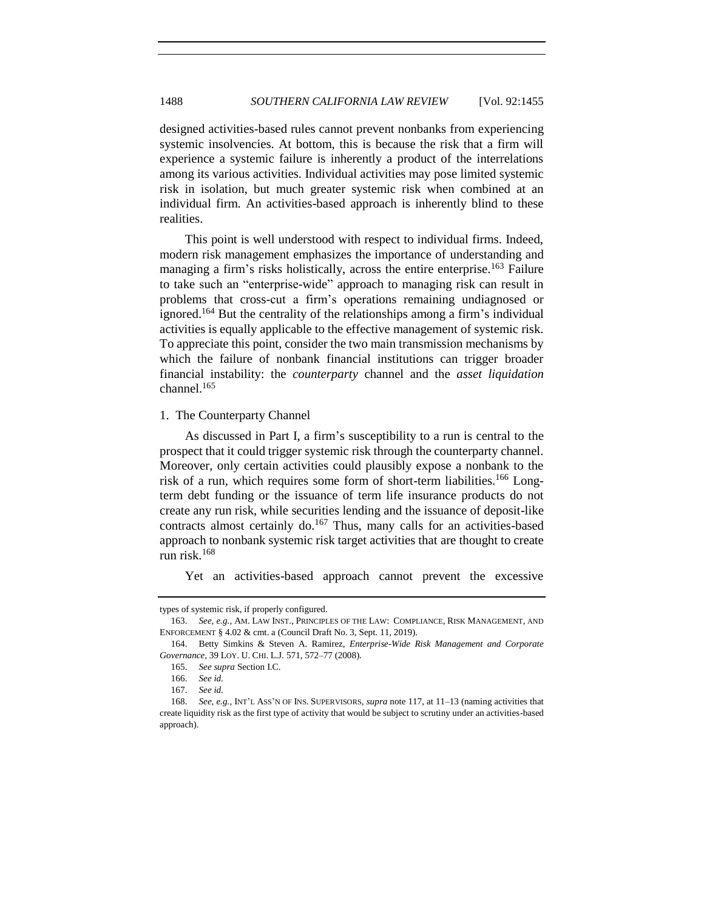designed activities-based rules cannot prevent nonbanks from experiencing systemic insolvencies. At bottom, this is because the risk that a firm will experience a systemic failure is inherently a product of the interrelations among its various activities. Individual activities may pose limited systemic risk in isolation, but much greater systemic risk when combined at an individual firm. An activities-based approach is inherently blind to these realities.

This point is well understood with respect to individual firms. Indeed, modern risk management emphasizes the importance of understanding and managing a firm's risks holistically, across the entire enterprise.<sup>163</sup> Failure to take such an "enterprise-wide" approach to managing risk can result in problems that cross-cut a firm's operations remaining undiagnosed or ignored.<sup>164</sup> But the centrality of the relationships among a firm's individual activities is equally applicable to the effective management of systemic risk. To appreciate this point, consider the two main transmission mechanisms by which the failure of nonbank financial institutions can trigger broader financial instability: the *counterparty* channel and the *asset liquidation*  channel. $165$ 

## <span id="page-33-0"></span>1. The Counterparty Channel

As discussed in Part I, a firm's susceptibility to a run is central to the prospect that it could trigger systemic risk through the counterparty channel. Moreover, only certain activities could plausibly expose a nonbank to the risk of a run, which requires some form of short-term liabilities.<sup>166</sup> Longterm debt funding or the issuance of term life insurance products do not create any run risk, while securities lending and the issuance of deposit-like contracts almost certainly do.<sup>167</sup> Thus, many calls for an activities-based approach to nonbank systemic risk target activities that are thought to create run risk. $168$ 

Yet an activities-based approach cannot prevent the excessive

types of systemic risk, if properly configured.

<sup>163.</sup> *See, e.g.*, AM. LAW INST., PRINCIPLES OF THE LAW: COMPLIANCE, RISK MANAGEMENT, AND ENFORCEMENT § 4.02 & cmt. a (Council Draft No. 3, Sept. 11, 2019).

<sup>164.</sup> Betty Simkins & Steven A. Ramirez, *Enterprise-Wide Risk Management and Corporate Governance*, 39 LOY. U. CHI. L.J. 571, 572–77 (2008).

<sup>165.</sup> *See supra* Section I.C.

<sup>166.</sup> *See id.*

<sup>167.</sup> *See id.*

<sup>168.</sup> *See, e.g.*, INT'L ASS'N OF INS. SUPERVISORS, *supra* not[e 117,](#page-24-0) at 11–13 (naming activities that create liquidity risk as the first type of activity that would be subject to scrutiny under an activities-based approach).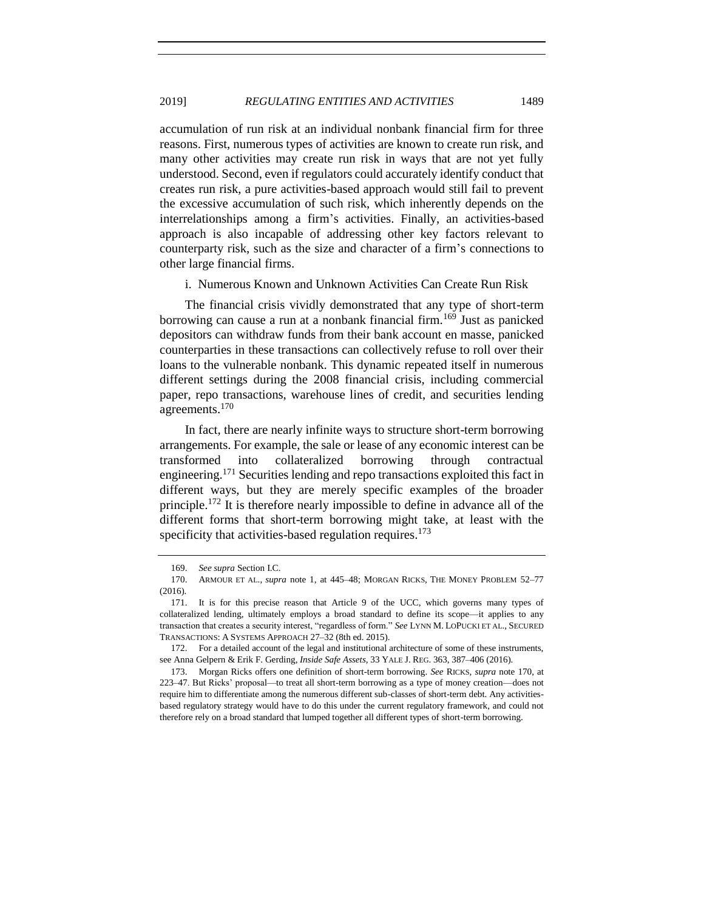accumulation of run risk at an individual nonbank financial firm for three reasons. First, numerous types of activities are known to create run risk, and many other activities may create run risk in ways that are not yet fully understood. Second, even if regulators could accurately identify conduct that creates run risk, a pure activities-based approach would still fail to prevent the excessive accumulation of such risk, which inherently depends on the interrelationships among a firm's activities. Finally, an activities-based approach is also incapable of addressing other key factors relevant to counterparty risk, such as the size and character of a firm's connections to other large financial firms.

i. Numerous Known and Unknown Activities Can Create Run Risk

The financial crisis vividly demonstrated that any type of short-term borrowing can cause a run at a nonbank financial firm.<sup>169</sup> Just as panicked depositors can withdraw funds from their bank account en masse, panicked counterparties in these transactions can collectively refuse to roll over their loans to the vulnerable nonbank. This dynamic repeated itself in numerous different settings during the 2008 financial crisis, including commercial paper, repo transactions, warehouse lines of credit, and securities lending agreements.<sup>170</sup>

<span id="page-34-0"></span>In fact, there are nearly infinite ways to structure short-term borrowing arrangements. For example, the sale or lease of any economic interest can be transformed into collateralized borrowing through contractual engineering.<sup>171</sup> Securities lending and repo transactions exploited this fact in different ways, but they are merely specific examples of the broader principle.<sup>172</sup> It is therefore nearly impossible to define in advance all of the different forms that short-term borrowing might take, at least with the specificity that activities-based regulation requires.<sup>173</sup>

<sup>169.</sup> *See supra* Section I.C.

<sup>170.</sup> ARMOUR ET AL., *supra* note [1,](#page-3-2) at 445–48; MORGAN RICKS, THE MONEY PROBLEM 52–77 (2016).

<sup>171.</sup> It is for this precise reason that Article 9 of the UCC, which governs many types of collateralized lending, ultimately employs a broad standard to define its scope—it applies to any transaction that creates a security interest, "regardless of form." *See* LYNN M. LOPUCKI ET AL., SECURED TRANSACTIONS: A SYSTEMS APPROACH 27–32 (8th ed. 2015).

<sup>172.</sup> For a detailed account of the legal and institutional architecture of some of these instruments, see Anna Gelpern & Erik F. Gerding, *Inside Safe Assets*, 33 YALE J. REG. 363, 387–406 (2016).

<sup>173.</sup> Morgan Ricks offers one definition of short-term borrowing. *See* RICKS, *supra* note [170,](#page-34-0) at 223–47. But Ricks' proposal—to treat all short-term borrowing as a type of money creation—does not require him to differentiate among the numerous different sub-classes of short-term debt. Any activitiesbased regulatory strategy would have to do this under the current regulatory framework, and could not therefore rely on a broad standard that lumped together all different types of short-term borrowing.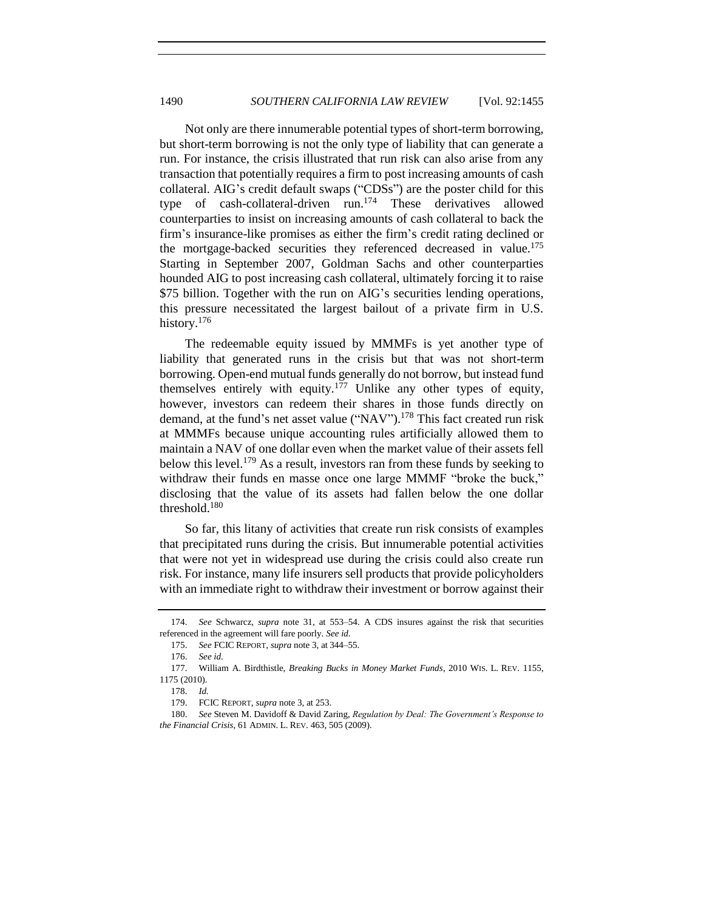Not only are there innumerable potential types of short-term borrowing, but short-term borrowing is not the only type of liability that can generate a run. For instance, the crisis illustrated that run risk can also arise from any transaction that potentially requires a firm to post increasing amounts of cash collateral. AIG's credit default swaps ("CDSs") are the poster child for this type of cash-collateral-driven  $run.^{174}$  These derivatives allowed counterparties to insist on increasing amounts of cash collateral to back the firm's insurance-like promises as either the firm's credit rating declined or the mortgage-backed securities they referenced decreased in value.<sup>175</sup> Starting in September 2007, Goldman Sachs and other counterparties hounded AIG to post increasing cash collateral, ultimately forcing it to raise \$75 billion. Together with the run on AIG's securities lending operations, this pressure necessitated the largest bailout of a private firm in U.S. history.<sup>176</sup>

The redeemable equity issued by MMMFs is yet another type of liability that generated runs in the crisis but that was not short-term borrowing. Open-end mutual funds generally do not borrow, but instead fund themselves entirely with equity.<sup>177</sup> Unlike any other types of equity, however, investors can redeem their shares in those funds directly on demand, at the fund's net asset value ("NAV").<sup>178</sup> This fact created run risk at MMMFs because unique accounting rules artificially allowed them to maintain a NAV of one dollar even when the market value of their assets fell below this level.<sup>179</sup> As a result, investors ran from these funds by seeking to withdraw their funds en masse once one large MMMF "broke the buck," disclosing that the value of its assets had fallen below the one dollar threshold.<sup>180</sup>

So far, this litany of activities that create run risk consists of examples that precipitated runs during the crisis. But innumerable potential activities that were not yet in widespread use during the crisis could also create run risk. For instance, many life insurers sell products that provide policyholders with an immediate right to withdraw their investment or borrow against their

<sup>174.</sup> *See* Schwarcz, *supra* note 31, at 553–54. A CDS insures against the risk that securities referenced in the agreement will fare poorly. *See id.*

<sup>175.</sup> *See* FCIC REPORT, *supra* not[e 3,](#page-3-1) at 344–55.

<sup>176.</sup> *See id.*

<sup>177.</sup> William A. Birdthistle, *Breaking Bucks in Money Market Funds*, 2010 WIS. L. REV. 1155, 1175 (2010).

<sup>178.</sup> *Id.*

<sup>179.</sup> FCIC REPORT, *supra* not[e 3,](#page-3-1) at 253.

<sup>180.</sup> *See* Steven M. Davidoff & David Zaring, *Regulation by Deal: The Government's Response to the Financial Crisis*, 61 ADMIN. L. REV. 463, 505 (2009).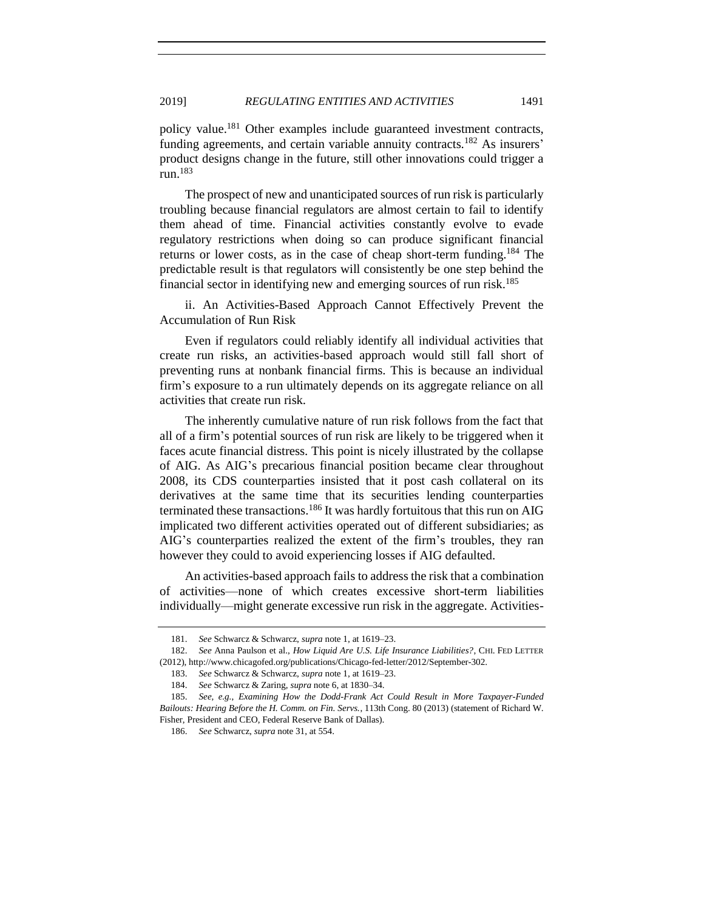policy value.<sup>181</sup> Other examples include guaranteed investment contracts, funding agreements, and certain variable annuity contracts.<sup>182</sup> As insurers' product designs change in the future, still other innovations could trigger a run.<sup>183</sup>

The prospect of new and unanticipated sources of run risk is particularly troubling because financial regulators are almost certain to fail to identify them ahead of time. Financial activities constantly evolve to evade regulatory restrictions when doing so can produce significant financial returns or lower costs, as in the case of cheap short-term funding.<sup>184</sup> The predictable result is that regulators will consistently be one step behind the financial sector in identifying new and emerging sources of run risk.<sup>185</sup>

ii. An Activities-Based Approach Cannot Effectively Prevent the Accumulation of Run Risk

Even if regulators could reliably identify all individual activities that create run risks, an activities-based approach would still fall short of preventing runs at nonbank financial firms. This is because an individual firm's exposure to a run ultimately depends on its aggregate reliance on all activities that create run risk.

The inherently cumulative nature of run risk follows from the fact that all of a firm's potential sources of run risk are likely to be triggered when it faces acute financial distress. This point is nicely illustrated by the collapse of AIG. As AIG's precarious financial position became clear throughout 2008, its CDS counterparties insisted that it post cash collateral on its derivatives at the same time that its securities lending counterparties terminated these transactions.<sup>186</sup> It was hardly fortuitous that this run on AIG implicated two different activities operated out of different subsidiaries; as AIG's counterparties realized the extent of the firm's troubles, they ran however they could to avoid experiencing losses if AIG defaulted.

An activities-based approach fails to address the risk that a combination of activities—none of which creates excessive short-term liabilities individually—might generate excessive run risk in the aggregate. Activities-

<sup>181.</sup> *See* Schwarcz & Schwarcz, *supra* not[e 1,](#page-3-0) at 1619–23.

<sup>182.</sup> *See* Anna Paulson et al., *How Liquid Are U.S. Life Insurance Liabilities?*, CHI. FED LETTER (2012), http://www.chicagofed.org/publications/Chicago-fed-letter/2012/September-302.

<sup>183.</sup> *See* Schwarcz & Schwarcz, *supra* not[e 1,](#page-3-0) at 1619–23.

<sup>184.</sup> *See* Schwarcz & Zaring, *supra* not[e 6,](#page-3-1) at 1830–34.

<sup>185.</sup> *See, e.g.*, *Examining How the Dodd-Frank Act Could Result in More Taxpayer-Funded Bailouts: Hearing Before the H. Comm. on Fin. Servs.*, 113th Cong. 80 (2013) (statement of Richard W. Fisher, President and CEO, Federal Reserve Bank of Dallas).

<sup>186.</sup> *See* Schwarcz, *supra* note 31, at 554.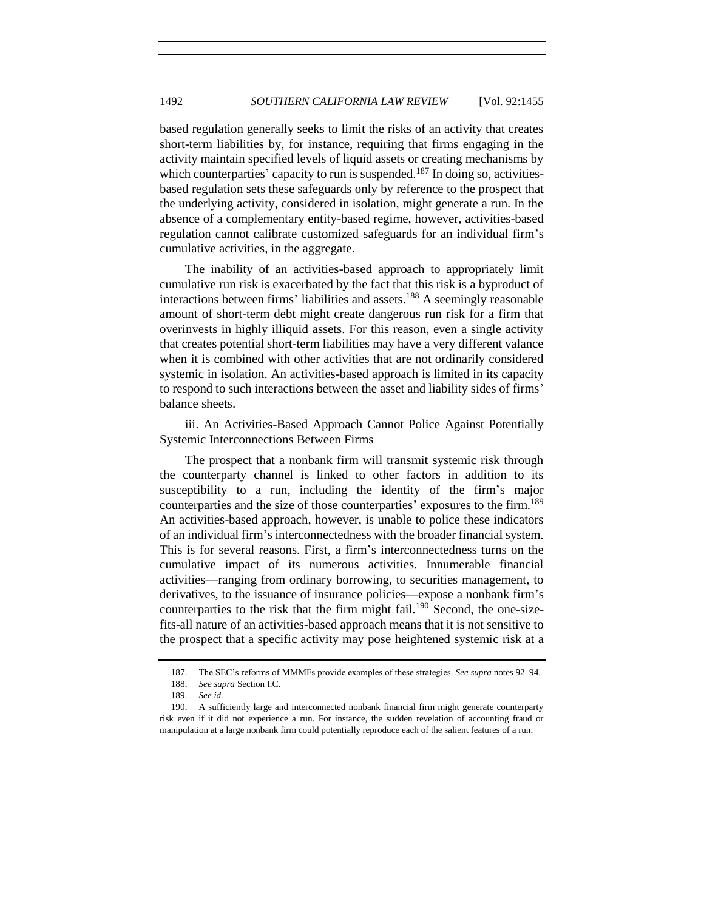based regulation generally seeks to limit the risks of an activity that creates short-term liabilities by, for instance, requiring that firms engaging in the activity maintain specified levels of liquid assets or creating mechanisms by which counterparties' capacity to run is suspended.<sup>187</sup> In doing so, activitiesbased regulation sets these safeguards only by reference to the prospect that the underlying activity, considered in isolation, might generate a run. In the absence of a complementary entity-based regime, however, activities-based regulation cannot calibrate customized safeguards for an individual firm's cumulative activities, in the aggregate.

The inability of an activities-based approach to appropriately limit cumulative run risk is exacerbated by the fact that this risk is a byproduct of interactions between firms' liabilities and assets.<sup>188</sup> A seemingly reasonable amount of short-term debt might create dangerous run risk for a firm that overinvests in highly illiquid assets. For this reason, even a single activity that creates potential short-term liabilities may have a very different valance when it is combined with other activities that are not ordinarily considered systemic in isolation. An activities-based approach is limited in its capacity to respond to such interactions between the asset and liability sides of firms' balance sheets.

iii. An Activities-Based Approach Cannot Police Against Potentially Systemic Interconnections Between Firms

The prospect that a nonbank firm will transmit systemic risk through the counterparty channel is linked to other factors in addition to its susceptibility to a run, including the identity of the firm's major counterparties and the size of those counterparties' exposures to the firm.<sup>189</sup> An activities-based approach, however, is unable to police these indicators of an individual firm's interconnectedness with the broader financial system. This is for several reasons. First, a firm's interconnectedness turns on the cumulative impact of its numerous activities. Innumerable financial activities—ranging from ordinary borrowing, to securities management, to derivatives, to the issuance of insurance policies—expose a nonbank firm's counterparties to the risk that the firm might fail.<sup>190</sup> Second, the one-sizefits-all nature of an activities-based approach means that it is not sensitive to the prospect that a specific activity may pose heightened systemic risk at a

<sup>187.</sup> The SEC's reforms of MMMFs provide examples of these strategies. *See supra* notes 92–94.

<sup>188.</sup> *See supra* Section I.C.

<sup>189.</sup> *See id.*

<sup>190.</sup> A sufficiently large and interconnected nonbank financial firm might generate counterparty risk even if it did not experience a run. For instance, the sudden revelation of accounting fraud or manipulation at a large nonbank firm could potentially reproduce each of the salient features of a run.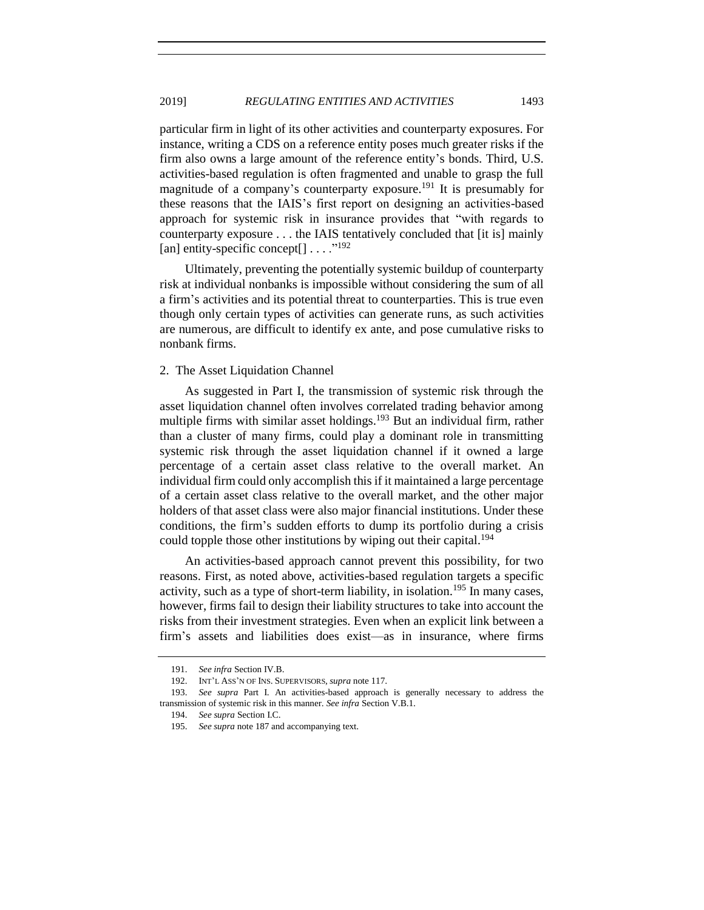particular firm in light of its other activities and counterparty exposures. For instance, writing a CDS on a reference entity poses much greater risks if the firm also owns a large amount of the reference entity's bonds. Third, U.S. activities-based regulation is often fragmented and unable to grasp the full magnitude of a company's counterparty exposure.<sup>191</sup> It is presumably for these reasons that the IAIS's first report on designing an activities-based approach for systemic risk in insurance provides that "with regards to counterparty exposure . . . the IAIS tentatively concluded that [it is] mainly [an] entity-specific concept[]  $\dots$  ."<sup>192</sup>

Ultimately, preventing the potentially systemic buildup of counterparty risk at individual nonbanks is impossible without considering the sum of all a firm's activities and its potential threat to counterparties. This is true even though only certain types of activities can generate runs, as such activities are numerous, are difficult to identify ex ante, and pose cumulative risks to nonbank firms.

#### 2. The Asset Liquidation Channel

As suggested in Part I, the transmission of systemic risk through the asset liquidation channel often involves correlated trading behavior among multiple firms with similar asset holdings.<sup>193</sup> But an individual firm, rather than a cluster of many firms, could play a dominant role in transmitting systemic risk through the asset liquidation channel if it owned a large percentage of a certain asset class relative to the overall market. An individual firm could only accomplish this if it maintained a large percentage of a certain asset class relative to the overall market, and the other major holders of that asset class were also major financial institutions. Under these conditions, the firm's sudden efforts to dump its portfolio during a crisis could topple those other institutions by wiping out their capital.<sup>194</sup>

An activities-based approach cannot prevent this possibility, for two reasons. First, as noted above, activities-based regulation targets a specific activity, such as a type of short-term liability, in isolation.<sup>195</sup> In many cases, however, firms fail to design their liability structures to take into account the risks from their investment strategies. Even when an explicit link between a firm's assets and liabilities does exist—as in insurance, where firms

<sup>191.</sup> *See infra* Section IV.B.

<sup>192.</sup> INT'L ASS'N OF INS. SUPERVISORS, *supra* note 117.

<sup>193.</sup> *See supra* Part I. An activities-based approach is generally necessary to address the transmission of systemic risk in this manner. *See infra* Section V.B.1.

<sup>194.</sup> *See supra* Section I.C.

<sup>195.</sup> *See supra* note 187 and accompanying text.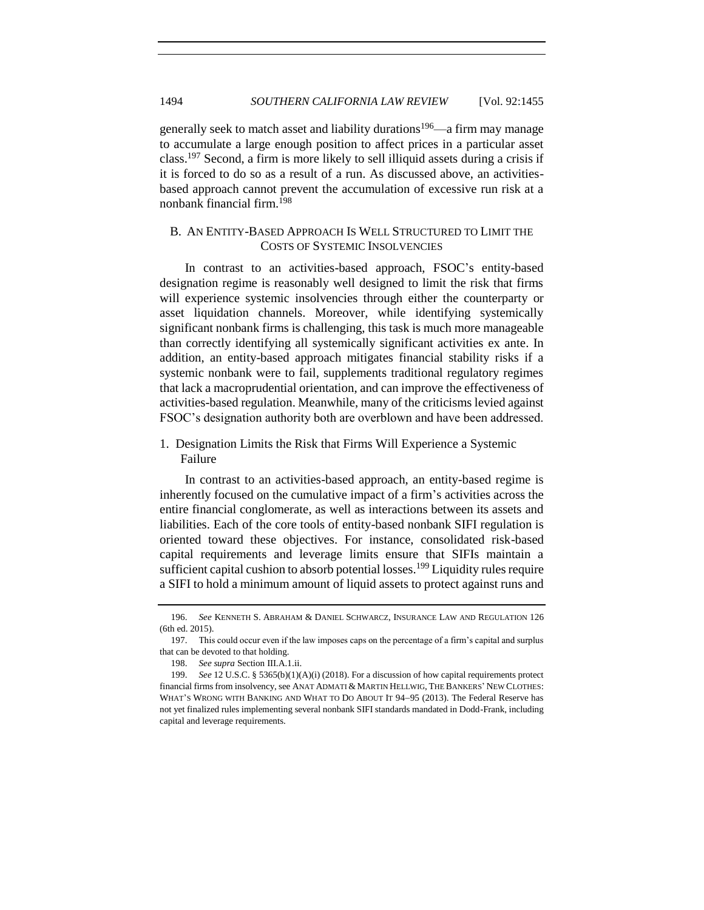generally seek to match asset and liability durations<sup>196</sup>—a firm may manage to accumulate a large enough position to affect prices in a particular asset class.<sup>197</sup> Second, a firm is more likely to sell illiquid assets during a crisis if it is forced to do so as a result of a run. As discussed above, an activitiesbased approach cannot prevent the accumulation of excessive run risk at a nonbank financial firm.<sup>198</sup>

# B. AN ENTITY-BASED APPROACH IS WELL STRUCTURED TO LIMIT THE COSTS OF SYSTEMIC INSOLVENCIES

In contrast to an activities-based approach, FSOC's entity-based designation regime is reasonably well designed to limit the risk that firms will experience systemic insolvencies through either the counterparty or asset liquidation channels. Moreover, while identifying systemically significant nonbank firms is challenging, this task is much more manageable than correctly identifying all systemically significant activities ex ante. In addition, an entity-based approach mitigates financial stability risks if a systemic nonbank were to fail, supplements traditional regulatory regimes that lack a macroprudential orientation, and can improve the effectiveness of activities-based regulation. Meanwhile, many of the criticisms levied against FSOC's designation authority both are overblown and have been addressed.

1. Designation Limits the Risk that Firms Will Experience a Systemic Failure

In contrast to an activities-based approach, an entity-based regime is inherently focused on the cumulative impact of a firm's activities across the entire financial conglomerate, as well as interactions between its assets and liabilities. Each of the core tools of entity-based nonbank SIFI regulation is oriented toward these objectives. For instance, consolidated risk-based capital requirements and leverage limits ensure that SIFIs maintain a sufficient capital cushion to absorb potential losses.<sup>199</sup> Liquidity rules require a SIFI to hold a minimum amount of liquid assets to protect against runs and

<span id="page-39-0"></span>

<sup>196.</sup> *See* KENNETH S. ABRAHAM & DANIEL SCHWARCZ, INSURANCE LAW AND REGULATION 126 (6th ed. 2015).

<sup>197.</sup> This could occur even if the law imposes caps on the percentage of a firm's capital and surplus that can be devoted to that holding.

<sup>198.</sup> *See supra* Section III.A.1.ii.

<sup>199.</sup> *See* 12 U.S.C. § 5365(b)(1)(A)(i) (2018). For a discussion of how capital requirements protect financial firms from insolvency, see ANAT ADMATI & MARTIN HELLWIG, THE BANKERS' NEW CLOTHES: WHAT'S WRONG WITH BANKING AND WHAT TO DO ABOUT IT 94−95 (2013). The Federal Reserve has not yet finalized rules implementing several nonbank SIFI standards mandated in Dodd-Frank, including capital and leverage requirements.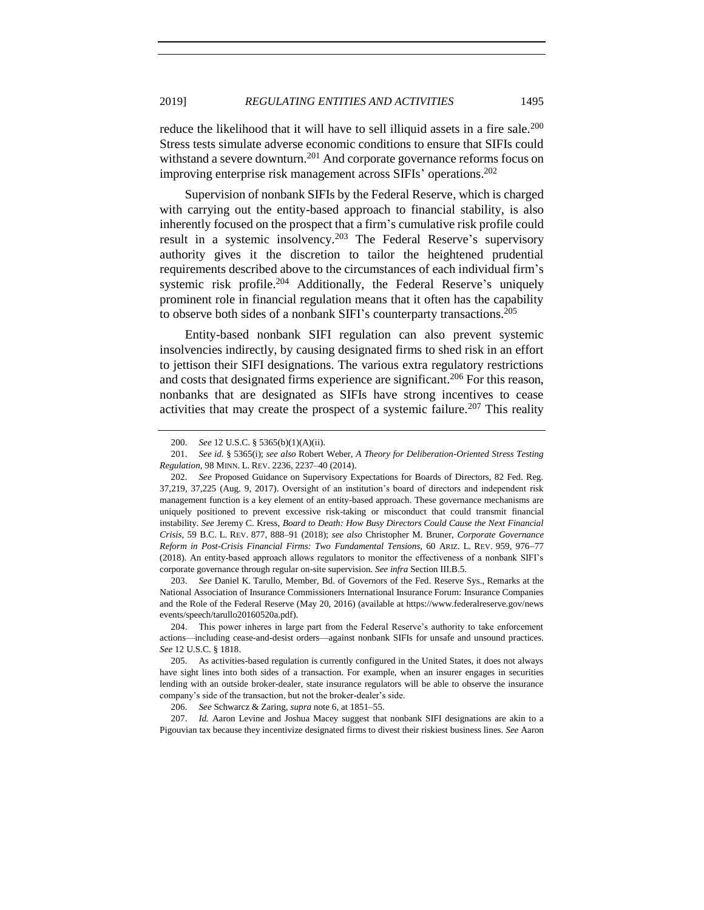reduce the likelihood that it will have to sell illiquid assets in a fire sale.<sup>200</sup> Stress tests simulate adverse economic conditions to ensure that SIFIs could withstand a severe downturn.<sup>201</sup> And corporate governance reforms focus on improving enterprise risk management across SIFIs' operations.<sup>202</sup>

Supervision of nonbank SIFIs by the Federal Reserve, which is charged with carrying out the entity-based approach to financial stability, is also inherently focused on the prospect that a firm's cumulative risk profile could result in a systemic insolvency.<sup>203</sup> The Federal Reserve's supervisory authority gives it the discretion to tailor the heightened prudential requirements described above to the circumstances of each individual firm's systemic risk profile.<sup>204</sup> Additionally, the Federal Reserve's uniquely prominent role in financial regulation means that it often has the capability to observe both sides of a nonbank SIFI's counterparty transactions.<sup>205</sup>

Entity-based nonbank SIFI regulation can also prevent systemic insolvencies indirectly, by causing designated firms to shed risk in an effort to jettison their SIFI designations. The various extra regulatory restrictions and costs that designated firms experience are significant.<sup>206</sup> For this reason, nonbanks that are designated as SIFIs have strong incentives to cease activities that may create the prospect of a systemic failure.<sup>207</sup> This reality

203. *See* Daniel K. Tarullo, Member, Bd. of Governors of the Fed. Reserve Sys., Remarks at the National Association of Insurance Commissioners International Insurance Forum: Insurance Companies and the Role of the Federal Reserve (May 20, 2016) (available at https://www.federalreserve.gov/news events/speech/tarullo20160520a.pdf).

207. *Id.* Aaron Levine and Joshua Macey suggest that nonbank SIFI designations are akin to a Pigouvian tax because they incentivize designated firms to divest their riskiest business lines. *See* Aaron

<sup>200.</sup> *See* 12 U.S.C. § 5365(b)(1)(A)(ii).

<sup>201.</sup> *See id.* § 5365(i); *see also* Robert Weber, *A Theory for Deliberation-Oriented Stress Testing Regulation*, 98 MINN. L. REV. 2236, 2237–40 (2014).

<sup>202.</sup> *See* Proposed Guidance on Supervisory Expectations for Boards of Directors, 82 Fed. Reg. 37,219, 37,225 (Aug. 9, 2017). Oversight of an institution's board of directors and independent risk management function is a key element of an entity-based approach. These governance mechanisms are uniquely positioned to prevent excessive risk-taking or misconduct that could transmit financial instability. *See* Jeremy C. Kress, *Board to Death: How Busy Directors Could Cause the Next Financial Crisis*, 59 B.C. L. REV. 877, 888–91 (2018); *see also* Christopher M. Bruner, *Corporate Governance Reform in Post-Crisis Financial Firms: Two Fundamental Tensions*, 60 ARIZ. L. REV. 959, 976−77 (2018). An entity-based approach allows regulators to monitor the effectiveness of a nonbank SIFI's corporate governance through regular on-site supervision. *See infra* Section III.B.5.

<sup>204.</sup> This power inheres in large part from the Federal Reserve's authority to take enforcement actions—including cease-and-desist orders—against nonbank SIFIs for unsafe and unsound practices. *See* 12 U.S.C. § 1818.

<sup>205.</sup> As activities-based regulation is currently configured in the United States, it does not always have sight lines into both sides of a transaction. For example, when an insurer engages in securities lending with an outside broker-dealer, state insurance regulators will be able to observe the insurance company's side of the transaction, but not the broker-dealer's side.

<sup>206.</sup> *See* Schwarcz & Zaring, *supra* not[e 6,](#page-3-1) at 1851–55.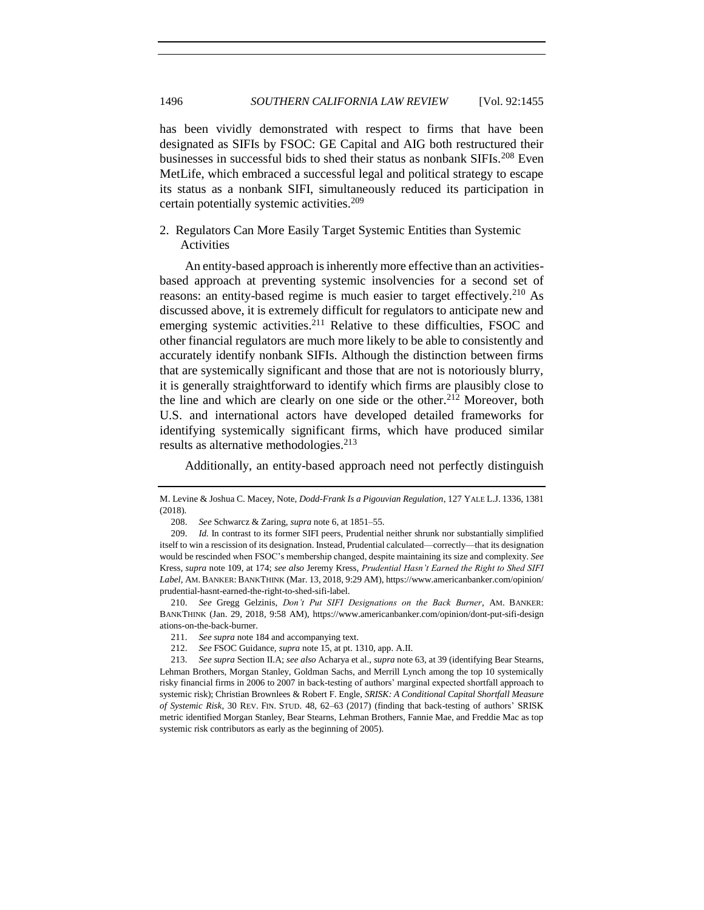has been vividly demonstrated with respect to firms that have been designated as SIFIs by FSOC: GE Capital and AIG both restructured their businesses in successful bids to shed their status as nonbank SIFIs.<sup>208</sup> Even MetLife, which embraced a successful legal and political strategy to escape its status as a nonbank SIFI, simultaneously reduced its participation in certain potentially systemic activities.<sup>209</sup>

<span id="page-41-0"></span>2. Regulators Can More Easily Target Systemic Entities than Systemic Activities

An entity-based approach is inherently more effective than an activitiesbased approach at preventing systemic insolvencies for a second set of reasons: an entity-based regime is much easier to target effectively.<sup>210</sup> As discussed above, it is extremely difficult for regulators to anticipate new and emerging systemic activities. $^{211}$  Relative to these difficulties, FSOC and other financial regulators are much more likely to be able to consistently and accurately identify nonbank SIFIs. Although the distinction between firms that are systemically significant and those that are not is notoriously blurry, it is generally straightforward to identify which firms are plausibly close to the line and which are clearly on one side or the other.<sup>212</sup> Moreover, both U.S. and international actors have developed detailed frameworks for identifying systemically significant firms, which have produced similar results as alternative methodologies.<sup>213</sup>

Additionally, an entity-based approach need not perfectly distinguish

M. Levine & Joshua C. Macey, Note, *Dodd-Frank Is a Pigouvian Regulation*, 127 YALE L.J. 1336, 1381 (2018).

<sup>208.</sup> *See* Schwarcz & Zaring, *supra* not[e 6,](#page-3-1) at 1851–55.

<sup>209.</sup> *Id.* In contrast to its former SIFI peers, Prudential neither shrunk nor substantially simplified itself to win a rescission of its designation. Instead, Prudential calculated—correctly—that its designation would be rescinded when FSOC's membership changed, despite maintaining its size and complexity. *See*  Kress, *supra* note 109, at 174; *see also* Jeremy Kress, *Prudential Hasn't Earned the Right to Shed SIFI Label*, AM. BANKER: BANKTHINK (Mar. 13, 2018, 9:29 AM), https://www.americanbanker.com/opinion/ prudential-hasnt-earned-the-right-to-shed-sifi-label.

<sup>210.</sup> *See* Gregg Gelzinis, *Don't Put SIFI Designations on the Back Burner*, AM. BANKER: BANKTHINK (Jan. 29, 2018, 9:58 AM), https://www.americanbanker.com/opinion/dont-put-sifi-design ations-on-the-back-burner.

<sup>211.</sup> *See supra* note 184 and accompanying text.

<sup>212.</sup> *See* FSOC Guidance, *supra* note 15, at pt. 1310, app. A.II.

<sup>213.</sup> *See supra* Section II.A; *see also* Acharya et al., *supra* not[e 63,](#page-14-0) at 39 (identifying Bear Stearns, Lehman Brothers, Morgan Stanley, Goldman Sachs, and Merrill Lynch among the top 10 systemically risky financial firms in 2006 to 2007 in back-testing of authors' marginal expected shortfall approach to systemic risk); Christian Brownlees & Robert F. Engle, *SRISK: A Conditional Capital Shortfall Measure of Systemic Risk*, 30 REV. FIN. STUD. 48, 62–63 (2017) (finding that back-testing of authors' SRISK metric identified Morgan Stanley, Bear Stearns, Lehman Brothers, Fannie Mae, and Freddie Mac as top systemic risk contributors as early as the beginning of 2005).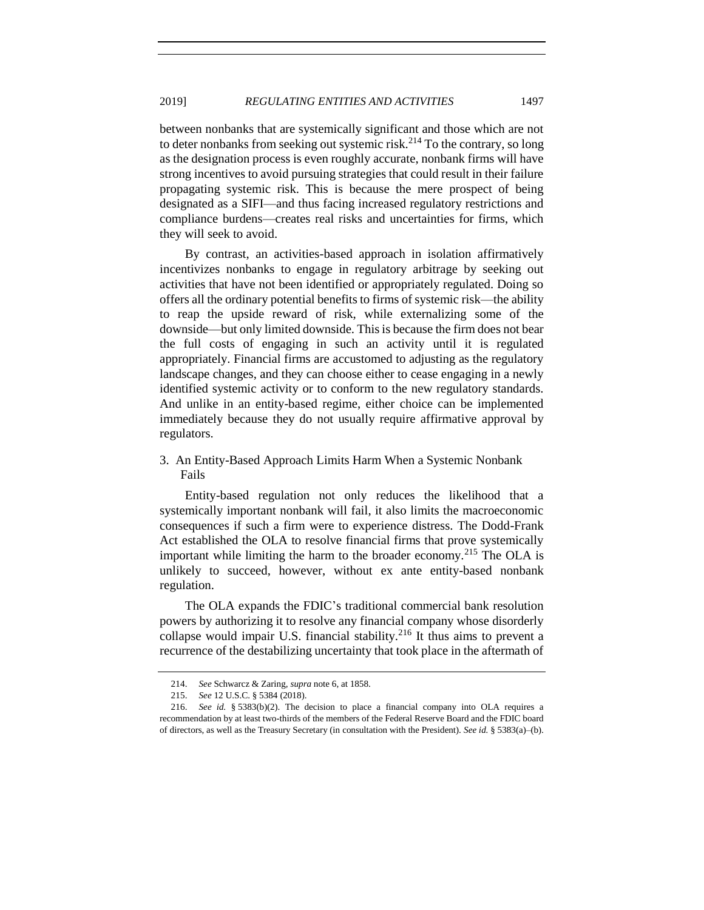between nonbanks that are systemically significant and those which are not to deter nonbanks from seeking out systemic risk.<sup>214</sup> To the contrary, so long as the designation process is even roughly accurate, nonbank firms will have strong incentives to avoid pursuing strategies that could result in their failure propagating systemic risk. This is because the mere prospect of being designated as a SIFI—and thus facing increased regulatory restrictions and compliance burdens—creates real risks and uncertainties for firms, which they will seek to avoid.

By contrast, an activities-based approach in isolation affirmatively incentivizes nonbanks to engage in regulatory arbitrage by seeking out activities that have not been identified or appropriately regulated. Doing so offers all the ordinary potential benefits to firms of systemic risk—the ability to reap the upside reward of risk, while externalizing some of the downside—but only limited downside. This is because the firm does not bear the full costs of engaging in such an activity until it is regulated appropriately. Financial firms are accustomed to adjusting as the regulatory landscape changes, and they can choose either to cease engaging in a newly identified systemic activity or to conform to the new regulatory standards. And unlike in an entity-based regime, either choice can be implemented immediately because they do not usually require affirmative approval by regulators.

# 3. An Entity-Based Approach Limits Harm When a Systemic Nonbank Fails

Entity-based regulation not only reduces the likelihood that a systemically important nonbank will fail, it also limits the macroeconomic consequences if such a firm were to experience distress. The Dodd-Frank Act established the OLA to resolve financial firms that prove systemically important while limiting the harm to the broader economy.<sup>215</sup> The OLA is unlikely to succeed, however, without ex ante entity-based nonbank regulation.

The OLA expands the FDIC's traditional commercial bank resolution powers by authorizing it to resolve any financial company whose disorderly collapse would impair U.S. financial stability.<sup>216</sup> It thus aims to prevent a recurrence of the destabilizing uncertainty that took place in the aftermath of

<sup>214.</sup> *See* Schwarcz & Zaring, *supra* not[e 6,](#page-3-1) at 1858.

<sup>215.</sup> *See* 12 U.S.C. § 5384 (2018).

<sup>216.</sup> *See id.* § 5383(b)(2). The decision to place a financial company into OLA requires a recommendation by at least two-thirds of the members of the Federal Reserve Board and the FDIC board of directors, as well as the Treasury Secretary (in consultation with the President). *See id.* § 5383(a)–(b).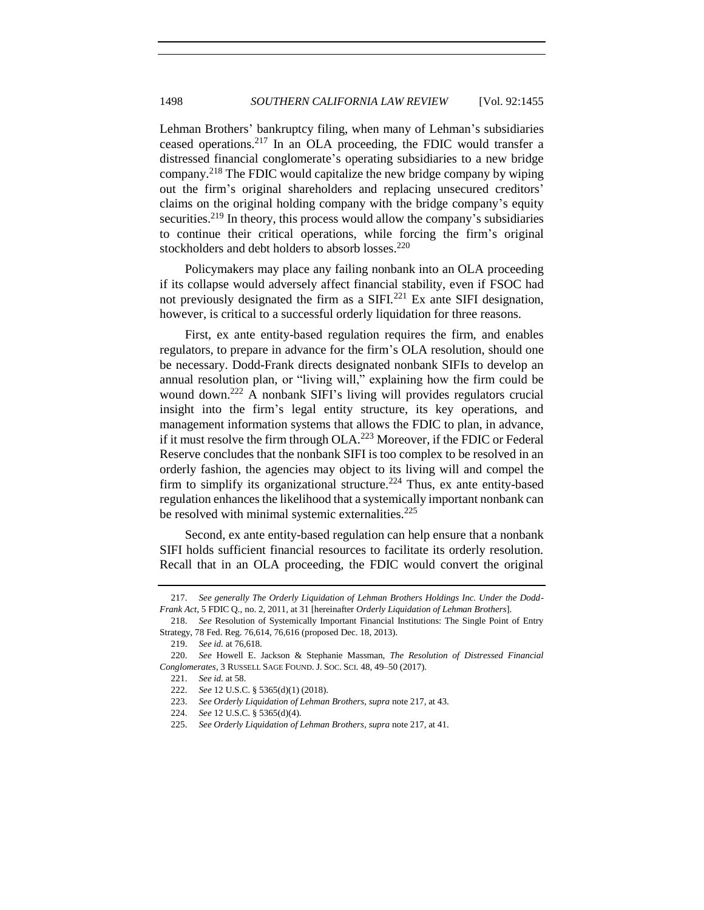<span id="page-43-0"></span>Lehman Brothers' bankruptcy filing, when many of Lehman's subsidiaries ceased operations.<sup>217</sup> In an OLA proceeding, the FDIC would transfer a distressed financial conglomerate's operating subsidiaries to a new bridge company.<sup>218</sup> The FDIC would capitalize the new bridge company by wiping out the firm's original shareholders and replacing unsecured creditors' claims on the original holding company with the bridge company's equity securities.<sup>219</sup> In theory, this process would allow the company's subsidiaries to continue their critical operations, while forcing the firm's original stockholders and debt holders to absorb losses. $220$ 

<span id="page-43-2"></span><span id="page-43-1"></span>Policymakers may place any failing nonbank into an OLA proceeding if its collapse would adversely affect financial stability, even if FSOC had not previously designated the firm as a SIFI.<sup>221</sup> Ex ante SIFI designation, however, is critical to a successful orderly liquidation for three reasons.

First, ex ante entity-based regulation requires the firm, and enables regulators, to prepare in advance for the firm's OLA resolution, should one be necessary. Dodd-Frank directs designated nonbank SIFIs to develop an annual resolution plan, or "living will," explaining how the firm could be wound down.<sup>222</sup> A nonbank SIFI's living will provides regulators crucial insight into the firm's legal entity structure, its key operations, and management information systems that allows the FDIC to plan, in advance, if it must resolve the firm through OLA.<sup>223</sup> Moreover, if the FDIC or Federal Reserve concludes that the nonbank SIFI is too complex to be resolved in an orderly fashion, the agencies may object to its living will and compel the firm to simplify its organizational structure.<sup>224</sup> Thus, ex ante entity-based regulation enhances the likelihood that a systemically important nonbank can be resolved with minimal systemic externalities. $225$ 

Second, ex ante entity-based regulation can help ensure that a nonbank SIFI holds sufficient financial resources to facilitate its orderly resolution. Recall that in an OLA proceeding, the FDIC would convert the original

<sup>217.</sup> *See generally The Orderly Liquidation of Lehman Brothers Holdings Inc. Under the Dodd-Frank Act*, 5 FDIC Q., no. 2, 2011, at 31 [hereinafter *Orderly Liquidation of Lehman Brothers*].

<sup>218.</sup> *See* Resolution of Systemically Important Financial Institutions: The Single Point of Entry Strategy, 78 Fed. Reg. 76,614, 76,616 (proposed Dec. 18, 2013).

<sup>219.</sup> *See id.* at 76,618.

<sup>220.</sup> *See* Howell E. Jackson & Stephanie Massman, *The Resolution of Distressed Financial Conglomerates*, 3 RUSSELL SAGE FOUND. J. SOC. SCI. 48, 49–50 (2017).

<sup>221.</sup> *See id.* at 58.

<sup>222.</sup> *See* 12 U.S.C. § 5365(d)(1) (2018).

<sup>223.</sup> *See Orderly Liquidation of Lehman Brothers*, *supra* note [217,](#page-43-0) at 43.

<sup>224.</sup> *See* 12 U.S.C. § 5365(d)(4).

<sup>225.</sup> *See Orderly Liquidation of Lehman Brothers*, *supra* note [217,](#page-43-0) at 41.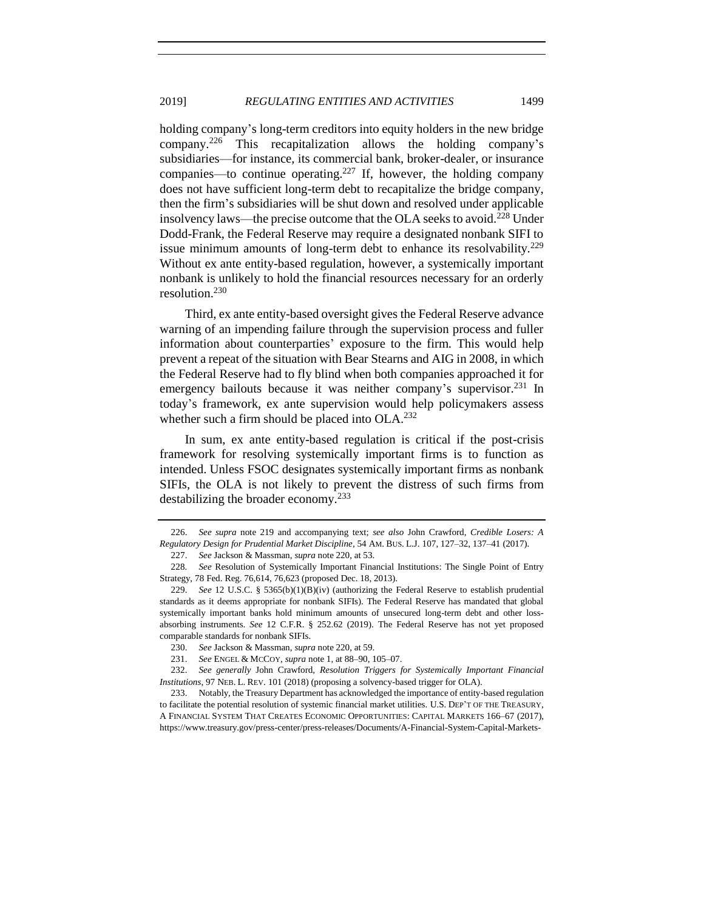holding company's long-term creditors into equity holders in the new bridge company.<sup>226</sup> This recapitalization allows the holding company's subsidiaries—for instance, its commercial bank, broker-dealer, or insurance companies—to continue operating.<sup>227</sup> If, however, the holding company does not have sufficient long-term debt to recapitalize the bridge company, then the firm's subsidiaries will be shut down and resolved under applicable insolvency laws—the precise outcome that the OLA seeks to avoid.<sup>228</sup> Under Dodd-Frank, the Federal Reserve may require a designated nonbank SIFI to issue minimum amounts of long-term debt to enhance its resolvability.<sup>229</sup> Without ex ante entity-based regulation, however, a systemically important nonbank is unlikely to hold the financial resources necessary for an orderly resolution.<sup>230</sup>

Third, ex ante entity-based oversight gives the Federal Reserve advance warning of an impending failure through the supervision process and fuller information about counterparties' exposure to the firm. This would help prevent a repeat of the situation with Bear Stearns and AIG in 2008, in which the Federal Reserve had to fly blind when both companies approached it for emergency bailouts because it was neither company's supervisor.<sup>231</sup> In today's framework, ex ante supervision would help policymakers assess whether such a firm should be placed into  $OLA<sup>232</sup>$ 

In sum, ex ante entity-based regulation is critical if the post-crisis framework for resolving systemically important firms is to function as intended. Unless FSOC designates systemically important firms as nonbank SIFIs, the OLA is not likely to prevent the distress of such firms from destabilizing the broader economy.<sup>233</sup>

232. *See generally* John Crawford, *Resolution Triggers for Systemically Important Financial Institutions*, 97 NEB. L. REV. 101 (2018) (proposing a solvency-based trigger for OLA).

233. Notably, the Treasury Department has acknowledged the importance of entity-based regulation to facilitate the potential resolution of systemic financial market utilities. U.S. DEP'T OF THE TREASURY, A FINANCIAL SYSTEM THAT CREATES ECONOMIC OPPORTUNITIES: CAPITAL MARKETS 166–67 (2017), https://www.treasury.gov/press-center/press-releases/Documents/A-Financial-System-Capital-Markets-

<sup>226.</sup> *See supra* note [219](#page-43-1) and accompanying text; *see also* John Crawford, *Credible Losers: A Regulatory Design for Prudential Market Discipline*, 54 AM. BUS. L.J. 107, 127–32, 137–41 (2017).

<sup>227.</sup> *See* Jackson & Massman, *supra* not[e 220,](#page-43-2) at 53.

<sup>228</sup>*. See* Resolution of Systemically Important Financial Institutions: The Single Point of Entry Strategy, 78 Fed. Reg. 76,614, 76,623 (proposed Dec. 18, 2013).

<sup>229.</sup> *See* 12 U.S.C. § 5365(b)(1)(B)(iv) (authorizing the Federal Reserve to establish prudential standards as it deems appropriate for nonbank SIFIs). The Federal Reserve has mandated that global systemically important banks hold minimum amounts of unsecured long-term debt and other lossabsorbing instruments. *See* 12 C.F.R. § 252.62 (2019). The Federal Reserve has not yet proposed comparable standards for nonbank SIFIs.

<sup>230.</sup> *See* Jackson & Massman, *supra* not[e 220,](#page-43-2) at 59.

<sup>231.</sup> *See* ENGEL & MCCOY, *supra* not[e 1,](#page-3-0) at 88–90, 105–07.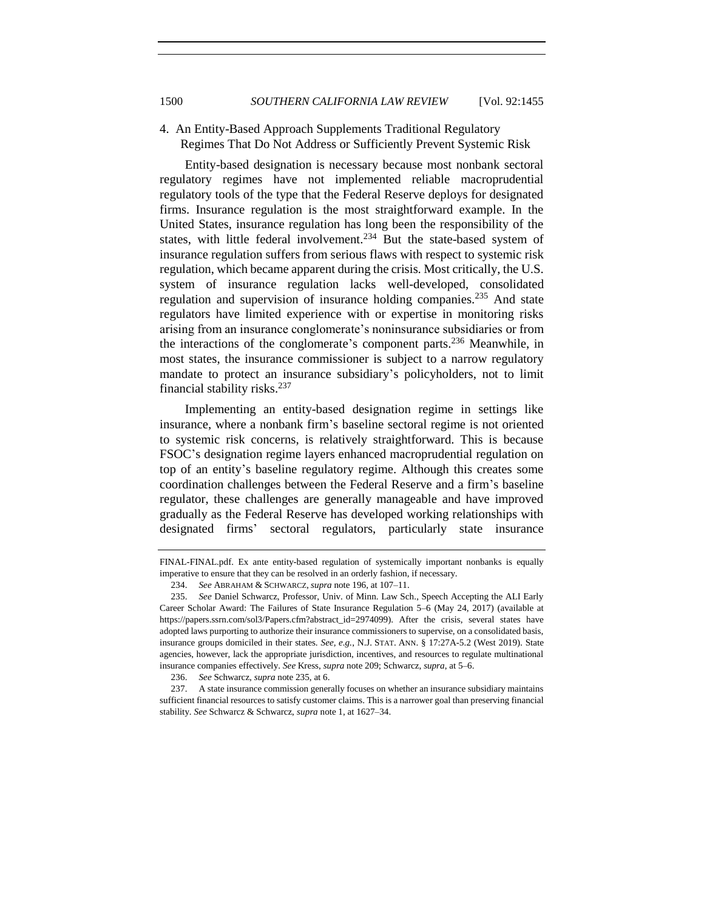# 4. An Entity-Based Approach Supplements Traditional Regulatory Regimes That Do Not Address or Sufficiently Prevent Systemic Risk

Entity-based designation is necessary because most nonbank sectoral regulatory regimes have not implemented reliable macroprudential regulatory tools of the type that the Federal Reserve deploys for designated firms. Insurance regulation is the most straightforward example. In the United States, insurance regulation has long been the responsibility of the states, with little federal involvement.<sup>234</sup> But the state-based system of insurance regulation suffers from serious flaws with respect to systemic risk regulation, which became apparent during the crisis. Most critically, the U.S. system of insurance regulation lacks well-developed, consolidated regulation and supervision of insurance holding companies.<sup>235</sup> And state regulators have limited experience with or expertise in monitoring risks arising from an insurance conglomerate's noninsurance subsidiaries or from the interactions of the conglomerate's component parts.<sup>236</sup> Meanwhile, in most states, the insurance commissioner is subject to a narrow regulatory mandate to protect an insurance subsidiary's policyholders, not to limit financial stability risks.<sup>237</sup>

<span id="page-45-0"></span>Implementing an entity-based designation regime in settings like insurance, where a nonbank firm's baseline sectoral regime is not oriented to systemic risk concerns, is relatively straightforward. This is because FSOC's designation regime layers enhanced macroprudential regulation on top of an entity's baseline regulatory regime. Although this creates some coordination challenges between the Federal Reserve and a firm's baseline regulator, these challenges are generally manageable and have improved gradually as the Federal Reserve has developed working relationships with designated firms' sectoral regulators, particularly state insurance

FINAL-FINAL.pdf. Ex ante entity-based regulation of systemically important nonbanks is equally imperative to ensure that they can be resolved in an orderly fashion, if necessary.

<sup>234.</sup> *See* ABRAHAM & SCHWARCZ, *supra* note [196,](#page-39-0) at 107–11.

<sup>235.</sup> *See* Daniel Schwarcz, Professor, Univ. of Minn. Law Sch., Speech Accepting the ALI Early Career Scholar Award: The Failures of State Insurance Regulation 5–6 (May 24, 2017) (available at https://papers.ssrn.com/sol3/Papers.cfm?abstract\_id=2974099). After the crisis, several states have adopted laws purporting to authorize their insurance commissioners to supervise, on a consolidated basis, insurance groups domiciled in their states. *See, e.g.*, N.J. STAT. ANN. § 17:27A-5.2 (West 2019). State agencies, however, lack the appropriate jurisdiction, incentives, and resources to regulate multinational insurance companies effectively. *See* Kress, *supra* note 209; Schwarcz, *supra*, at 5–6.

<sup>236.</sup> *See* Schwarcz, *supra* note [235,](#page-45-0) at 6.

<sup>237.</sup> A state insurance commission generally focuses on whether an insurance subsidiary maintains sufficient financial resources to satisfy customer claims. This is a narrower goal than preserving financial stability. *See* Schwarcz & Schwarcz, *supra* not[e 1,](#page-3-0) at 1627–34.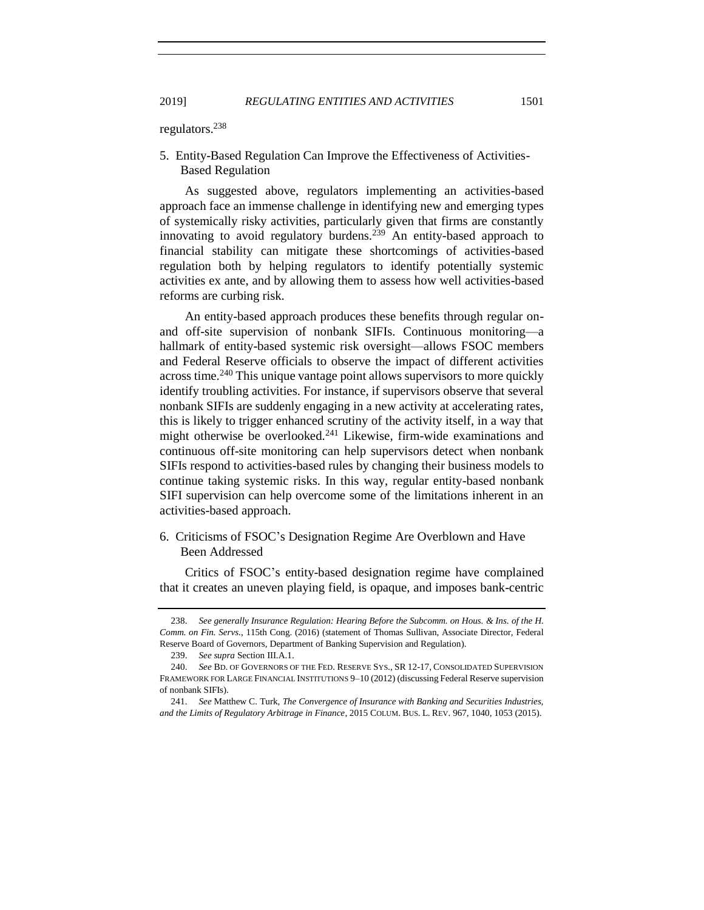# regulators.<sup>238</sup>

5. Entity-Based Regulation Can Improve the Effectiveness of Activities-Based Regulation

As suggested above, regulators implementing an activities-based approach face an immense challenge in identifying new and emerging types of systemically risky activities, particularly given that firms are constantly innovating to avoid regulatory burdens.<sup>239</sup> An entity-based approach to financial stability can mitigate these shortcomings of activities-based regulation both by helping regulators to identify potentially systemic activities ex ante, and by allowing them to assess how well activities-based reforms are curbing risk.

An entity-based approach produces these benefits through regular onand off-site supervision of nonbank SIFIs. Continuous monitoring—a hallmark of entity-based systemic risk oversight—allows FSOC members and Federal Reserve officials to observe the impact of different activities across time.<sup>240</sup> This unique vantage point allows supervisors to more quickly identify troubling activities. For instance, if supervisors observe that several nonbank SIFIs are suddenly engaging in a new activity at accelerating rates, this is likely to trigger enhanced scrutiny of the activity itself, in a way that might otherwise be overlooked. $241$  Likewise, firm-wide examinations and continuous off-site monitoring can help supervisors detect when nonbank SIFIs respond to activities-based rules by changing their business models to continue taking systemic risks. In this way, regular entity-based nonbank SIFI supervision can help overcome some of the limitations inherent in an activities-based approach.

# 6. Criticisms of FSOC's Designation Regime Are Overblown and Have Been Addressed

Critics of FSOC's entity-based designation regime have complained that it creates an uneven playing field, is opaque, and imposes bank-centric

<sup>238.</sup> *See generally Insurance Regulation: Hearing Before the Subcomm. on Hous. & Ins. of the H. Comm. on Fin. Servs.*, 115th Cong. (2016) (statement of Thomas Sullivan, Associate Director, Federal Reserve Board of Governors, Department of Banking Supervision and Regulation).

<sup>239.</sup> *See supra* Section III.A.1.

<sup>240.</sup> *See* BD. OF GOVERNORS OF THE FED. RESERVE SYS., SR 12-17, CONSOLIDATED SUPERVISION FRAMEWORK FOR LARGE FINANCIAL INSTITUTIONS 9–10 (2012) (discussing Federal Reserve supervision of nonbank SIFIs).

<sup>241.</sup> *See* Matthew C. Turk, *The Convergence of Insurance with Banking and Securities Industries, and the Limits of Regulatory Arbitrage in Finance*, 2015 COLUM. BUS. L. REV. 967, 1040, 1053 (2015).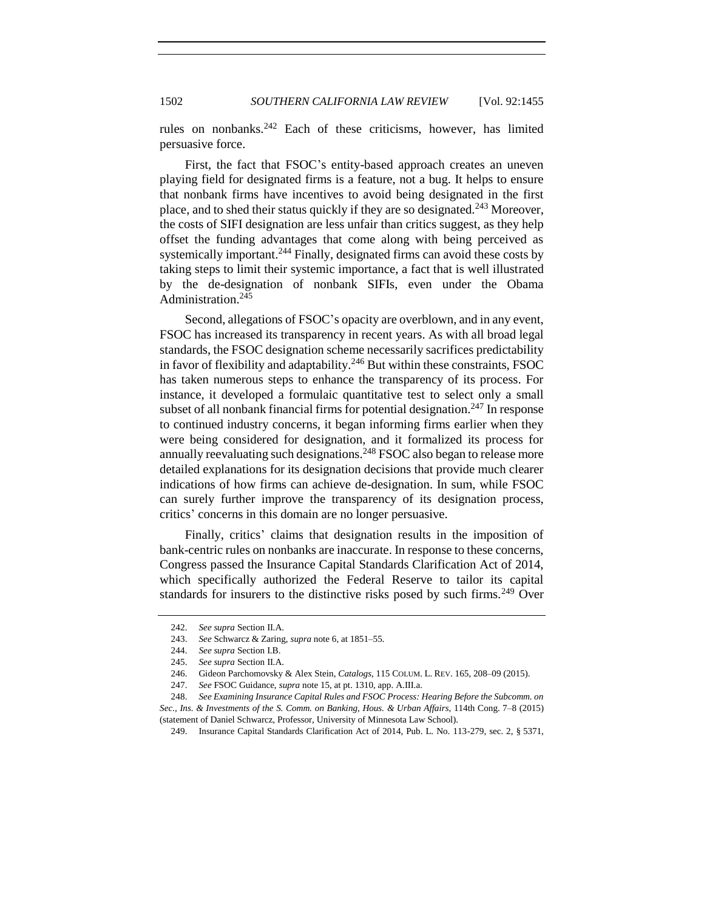rules on nonbanks.<sup>242</sup> Each of these criticisms, however, has limited persuasive force.

First, the fact that FSOC's entity-based approach creates an uneven playing field for designated firms is a feature, not a bug. It helps to ensure that nonbank firms have incentives to avoid being designated in the first place, and to shed their status quickly if they are so designated.<sup>243</sup> Moreover, the costs of SIFI designation are less unfair than critics suggest, as they help offset the funding advantages that come along with being perceived as systemically important.<sup>244</sup> Finally, designated firms can avoid these costs by taking steps to limit their systemic importance, a fact that is well illustrated by the de-designation of nonbank SIFIs, even under the Obama Administration.<sup>245</sup>

Second, allegations of FSOC's opacity are overblown, and in any event, FSOC has increased its transparency in recent years. As with all broad legal standards, the FSOC designation scheme necessarily sacrifices predictability in favor of flexibility and adaptability. $246$  But within these constraints, FSOC has taken numerous steps to enhance the transparency of its process. For instance, it developed a formulaic quantitative test to select only a small subset of all nonbank financial firms for potential designation.<sup>247</sup> In response to continued industry concerns, it began informing firms earlier when they were being considered for designation, and it formalized its process for annually reevaluating such designations.<sup>248</sup> FSOC also began to release more detailed explanations for its designation decisions that provide much clearer indications of how firms can achieve de-designation. In sum, while FSOC can surely further improve the transparency of its designation process, critics' concerns in this domain are no longer persuasive.

Finally, critics' claims that designation results in the imposition of bank-centric rules on nonbanks are inaccurate. In response to these concerns, Congress passed the Insurance Capital Standards Clarification Act of 2014, which specifically authorized the Federal Reserve to tailor its capital standards for insurers to the distinctive risks posed by such firms.<sup>249</sup> Over

<sup>242.</sup> *See supra* Section II.A.

<sup>243.</sup> *See* Schwarcz & Zaring, *supra* not[e 6,](#page-3-1) at 1851–55.

<sup>244.</sup> *See supra* Section I.B.

<sup>245.</sup> *See supra* Section II.A.

<sup>246.</sup> Gideon Parchomovsky & Alex Stein, *Catalogs*, 115 COLUM. L. REV. 165, 208–09 (2015).

<sup>247.</sup> *See* FSOC Guidance, *supra* note 15, at pt. 1310, app. A.III.a.

<sup>248.</sup> *See Examining Insurance Capital Rules and FSOC Process: Hearing Before the Subcomm. on Sec., Ins. & Investments of the S. Comm. on Banking, Hous. & Urban Affairs*, 114th Cong. 7–8 (2015) (statement of Daniel Schwarcz, Professor, University of Minnesota Law School).

<sup>249.</sup> Insurance Capital Standards Clarification Act of 2014, Pub. L. No. 113-279, sec. 2, § 5371,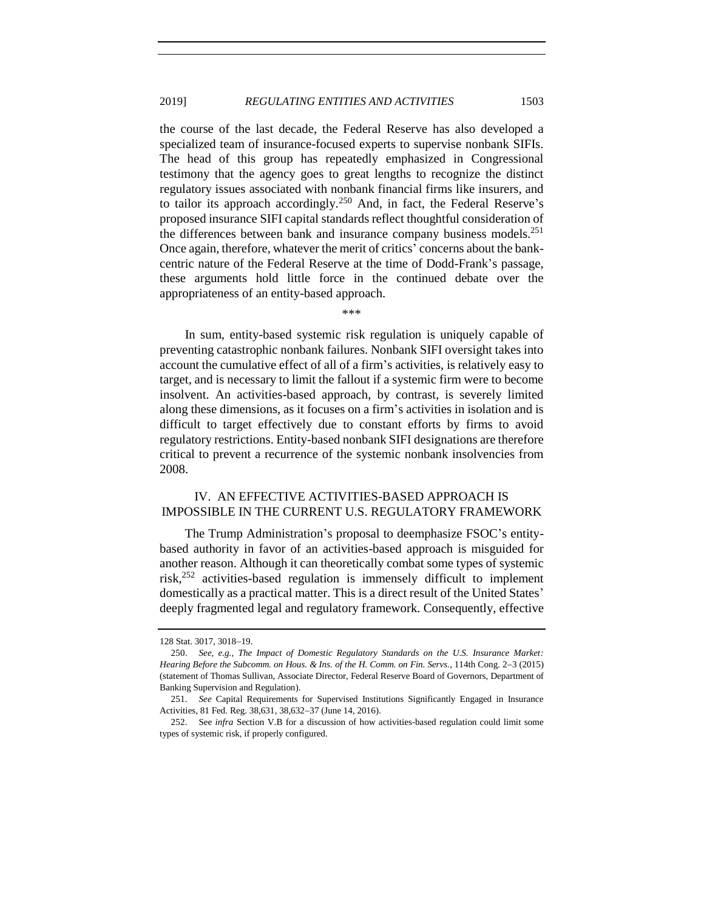the course of the last decade, the Federal Reserve has also developed a specialized team of insurance-focused experts to supervise nonbank SIFIs. The head of this group has repeatedly emphasized in Congressional testimony that the agency goes to great lengths to recognize the distinct regulatory issues associated with nonbank financial firms like insurers, and to tailor its approach accordingly.<sup>250</sup> And, in fact, the Federal Reserve's proposed insurance SIFI capital standards reflect thoughtful consideration of the differences between bank and insurance company business models.<sup>251</sup> Once again, therefore, whatever the merit of critics' concerns about the bankcentric nature of the Federal Reserve at the time of Dodd-Frank's passage, these arguments hold little force in the continued debate over the appropriateness of an entity-based approach.

\*\*\*

In sum, entity-based systemic risk regulation is uniquely capable of preventing catastrophic nonbank failures. Nonbank SIFI oversight takes into account the cumulative effect of all of a firm's activities, is relatively easy to target, and is necessary to limit the fallout if a systemic firm were to become insolvent. An activities-based approach, by contrast, is severely limited along these dimensions, as it focuses on a firm's activities in isolation and is difficult to target effectively due to constant efforts by firms to avoid regulatory restrictions. Entity-based nonbank SIFI designations are therefore critical to prevent a recurrence of the systemic nonbank insolvencies from 2008.

# IV. AN EFFECTIVE ACTIVITIES-BASED APPROACH IS IMPOSSIBLE IN THE CURRENT U.S. REGULATORY FRAMEWORK

The Trump Administration's proposal to deemphasize FSOC's entitybased authority in favor of an activities-based approach is misguided for another reason. Although it can theoretically combat some types of systemic risk,<sup>252</sup> activities-based regulation is immensely difficult to implement domestically as a practical matter. This is a direct result of the United States' deeply fragmented legal and regulatory framework. Consequently, effective

<sup>128</sup> Stat. 3017, 3018−19.

<sup>250.</sup> *See, e.g.*, *The Impact of Domestic Regulatory Standards on the U.S. Insurance Market: Hearing Before the Subcomm. on Hous. & Ins. of the H. Comm. on Fin. Servs.*, 114th Cong. 2−3 (2015) (statement of Thomas Sullivan, Associate Director, Federal Reserve Board of Governors, Department of Banking Supervision and Regulation).

<sup>251.</sup> *See* Capital Requirements for Supervised Institutions Significantly Engaged in Insurance Activities, 81 Fed. Reg. 38,631, 38,632−37 (June 14, 2016).

<sup>252.</sup> See *infra* Section V.B for a discussion of how activities-based regulation could limit some types of systemic risk, if properly configured.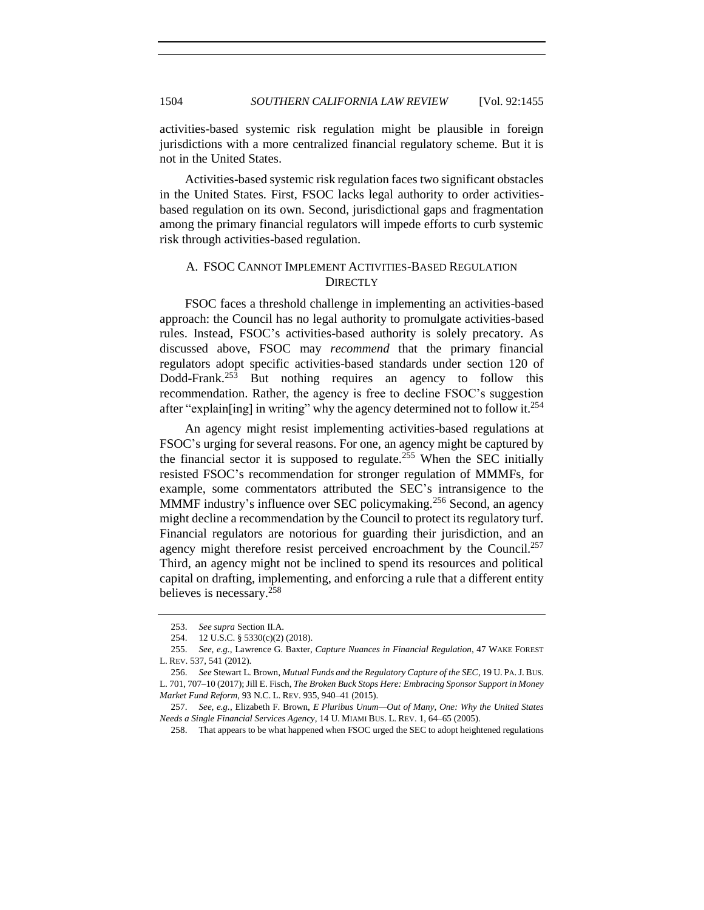activities-based systemic risk regulation might be plausible in foreign jurisdictions with a more centralized financial regulatory scheme. But it is not in the United States.

Activities-based systemic risk regulation faces two significant obstacles in the United States. First, FSOC lacks legal authority to order activitiesbased regulation on its own. Second, jurisdictional gaps and fragmentation among the primary financial regulators will impede efforts to curb systemic risk through activities-based regulation.

# A. FSOC CANNOT IMPLEMENT ACTIVITIES-BASED REGULATION DIRECTLY

FSOC faces a threshold challenge in implementing an activities-based approach: the Council has no legal authority to promulgate activities-based rules. Instead, FSOC's activities-based authority is solely precatory. As discussed above, FSOC may *recommend* that the primary financial regulators adopt specific activities-based standards under section 120 of Dodd-Frank.<sup>253</sup> But nothing requires an agency to follow this recommendation. Rather, the agency is free to decline FSOC's suggestion after "explain [ing] in writing" why the agency determined not to follow it.<sup>254</sup>

An agency might resist implementing activities-based regulations at FSOC's urging for several reasons. For one, an agency might be captured by the financial sector it is supposed to regulate.<sup>255</sup> When the SEC initially resisted FSOC's recommendation for stronger regulation of MMMFs, for example, some commentators attributed the SEC's intransigence to the MMMF industry's influence over SEC policymaking.<sup>256</sup> Second, an agency might decline a recommendation by the Council to protect its regulatory turf. Financial regulators are notorious for guarding their jurisdiction, and an agency might therefore resist perceived encroachment by the Council.<sup>257</sup> Third, an agency might not be inclined to spend its resources and political capital on drafting, implementing, and enforcing a rule that a different entity believes is necessary.<sup>258</sup>

<span id="page-49-0"></span><sup>253.</sup> *See supra* Section II.A.

<sup>254.</sup> 12 U.S.C. § 5330(c)(2) (2018).

<sup>255.</sup> *See, e.g.*, Lawrence G. Baxter, *Capture Nuances in Financial Regulation*, 47 WAKE FOREST L. REV. 537, 541 (2012).

<sup>256.</sup> *See* Stewart L. Brown, *Mutual Funds and the Regulatory Capture of the SEC*, 19 U. PA.J. BUS. L. 701, 707–10 (2017); Jill E. Fisch, *The Broken Buck Stops Here: Embracing Sponsor Support in Money Market Fund Reform*, 93 N.C. L. REV. 935, 940–41 (2015).

<sup>257.</sup> *See, e.g.*, Elizabeth F. Brown, *E Pluribus Unum—Out of Many, One: Why the United States Needs a Single Financial Services Agency*, 14 U. MIAMI BUS. L. REV. 1, 64–65 (2005).

<sup>258.</sup> That appears to be what happened when FSOC urged the SEC to adopt heightened regulations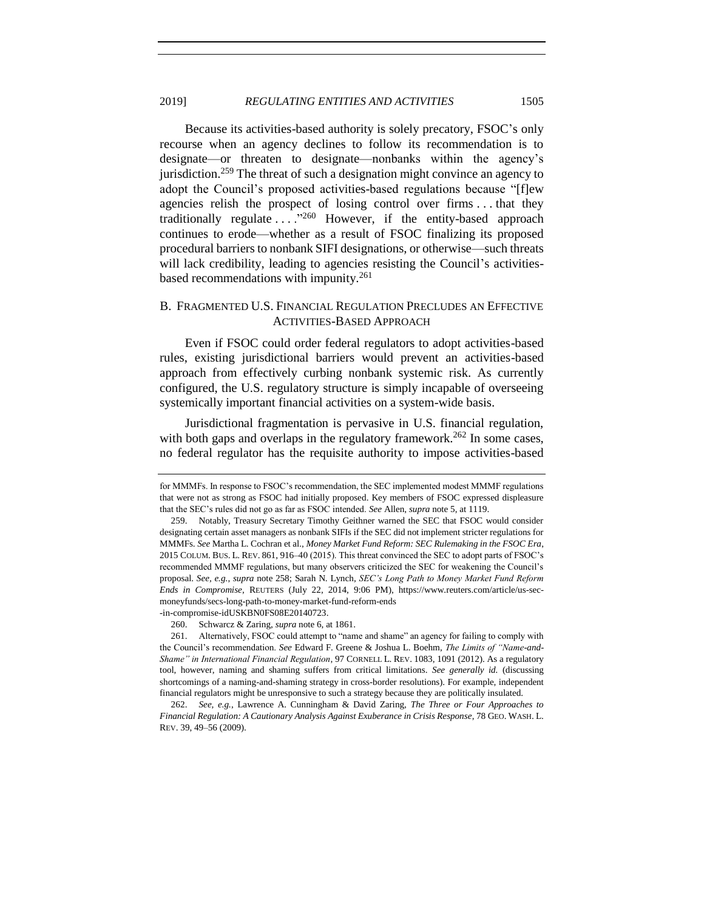#### 2019] *REGULATING ENTITIES AND ACTIVITIES* 1505

Because its activities-based authority is solely precatory, FSOC's only recourse when an agency declines to follow its recommendation is to designate—or threaten to designate—nonbanks within the agency's jurisdiction.<sup>259</sup> The threat of such a designation might convince an agency to adopt the Council's proposed activities-based regulations because "[f]ew agencies relish the prospect of losing control over firms . . . that they traditionally regulate . . . ."<sup>260</sup> However, if the entity-based approach continues to erode—whether as a result of FSOC finalizing its proposed procedural barriers to nonbank SIFI designations, or otherwise—such threats will lack credibility, leading to agencies resisting the Council's activitiesbased recommendations with impunity.<sup>261</sup>

#### B. FRAGMENTED U.S. FINANCIAL REGULATION PRECLUDES AN EFFECTIVE ACTIVITIES-BASED APPROACH

Even if FSOC could order federal regulators to adopt activities-based rules, existing jurisdictional barriers would prevent an activities-based approach from effectively curbing nonbank systemic risk. As currently configured, the U.S. regulatory structure is simply incapable of overseeing systemically important financial activities on a system-wide basis.

Jurisdictional fragmentation is pervasive in U.S. financial regulation, with both gaps and overlaps in the regulatory framework.<sup>262</sup> In some cases, no federal regulator has the requisite authority to impose activities-based

-in-compromise-idUSKBN0FS08E20140723.

260. Schwarcz & Zaring, *supra* not[e 6,](#page-3-1) at 1861.

for MMMFs. In response to FSOC's recommendation, the SEC implemented modest MMMF regulations that were not as strong as FSOC had initially proposed. Key members of FSOC expressed displeasure that the SEC's rules did not go as far as FSOC intended. *See* Allen, *supra* note [5,](#page-3-2) at 1119.

<sup>259.</sup> Notably, Treasury Secretary Timothy Geithner warned the SEC that FSOC would consider designating certain asset managers as nonbank SIFIs if the SEC did not implement stricter regulations for MMMFs. *See* Martha L. Cochran et al., *Money Market Fund Reform: SEC Rulemaking in the FSOC Era*, 2015 COLUM. BUS. L. REV. 861, 916–40 (2015). This threat convinced the SEC to adopt parts of FSOC's recommended MMMF regulations, but many observers criticized the SEC for weakening the Council's proposal. *See, e.g.*, *supra* not[e 258;](#page-49-0) Sarah N. Lynch, *SEC's Long Path to Money Market Fund Reform Ends in Compromise*, REUTERS (July 22, 2014, 9:06 PM), https://www.reuters.com/article/us-secmoneyfunds/secs-long-path-to-money-market-fund-reform-ends

<sup>261.</sup> Alternatively, FSOC could attempt to "name and shame" an agency for failing to comply with the Council's recommendation. *See* Edward F. Greene & Joshua L. Boehm, *The Limits of "Name-and-Shame" in International Financial Regulation*, 97 CORNELL L. REV. 1083, 1091 (2012). As a regulatory tool, however, naming and shaming suffers from critical limitations. *See generally id.* (discussing shortcomings of a naming-and-shaming strategy in cross-border resolutions). For example, independent financial regulators might be unresponsive to such a strategy because they are politically insulated.

<sup>262.</sup> *See, e.g.*, Lawrence A. Cunningham & David Zaring, *The Three or Four Approaches to Financial Regulation: A Cautionary Analysis Against Exuberance in Crisis Response*, 78 GEO. WASH. L. REV. 39, 49–56 (2009).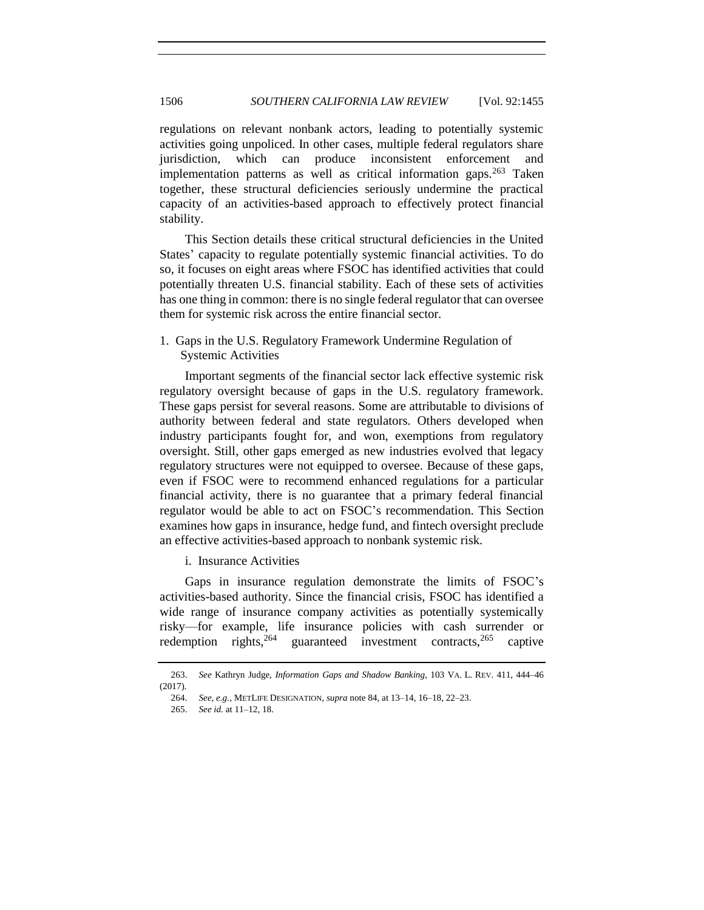regulations on relevant nonbank actors, leading to potentially systemic activities going unpoliced. In other cases, multiple federal regulators share jurisdiction, which can produce inconsistent enforcement and implementation patterns as well as critical information gaps. $263$  Taken together, these structural deficiencies seriously undermine the practical capacity of an activities-based approach to effectively protect financial stability.

This Section details these critical structural deficiencies in the United States' capacity to regulate potentially systemic financial activities. To do so, it focuses on eight areas where FSOC has identified activities that could potentially threaten U.S. financial stability. Each of these sets of activities has one thing in common: there is no single federal regulator that can oversee them for systemic risk across the entire financial sector.

# 1. Gaps in the U.S. Regulatory Framework Undermine Regulation of Systemic Activities

Important segments of the financial sector lack effective systemic risk regulatory oversight because of gaps in the U.S. regulatory framework. These gaps persist for several reasons. Some are attributable to divisions of authority between federal and state regulators. Others developed when industry participants fought for, and won, exemptions from regulatory oversight. Still, other gaps emerged as new industries evolved that legacy regulatory structures were not equipped to oversee. Because of these gaps, even if FSOC were to recommend enhanced regulations for a particular financial activity, there is no guarantee that a primary federal financial regulator would be able to act on FSOC's recommendation. This Section examines how gaps in insurance, hedge fund, and fintech oversight preclude an effective activities-based approach to nonbank systemic risk.

i. Insurance Activities

Gaps in insurance regulation demonstrate the limits of FSOC's activities-based authority. Since the financial crisis, FSOC has identified a wide range of insurance company activities as potentially systemically risky—for example, life insurance policies with cash surrender or redemption rights,  $264$  guaranteed investment contracts,  $265$  captive

<sup>263.</sup> *See* Kathryn Judge, *Information Gaps and Shadow Banking*, 103 VA. L. REV. 411, 444–46 (2017).

<sup>264.</sup> *See, e.g.*, METLIFE DESIGNATION, *supra* note 84, at 13–14, 16–18, 22–23.

<sup>265.</sup> *See id.* at 11–12, 18.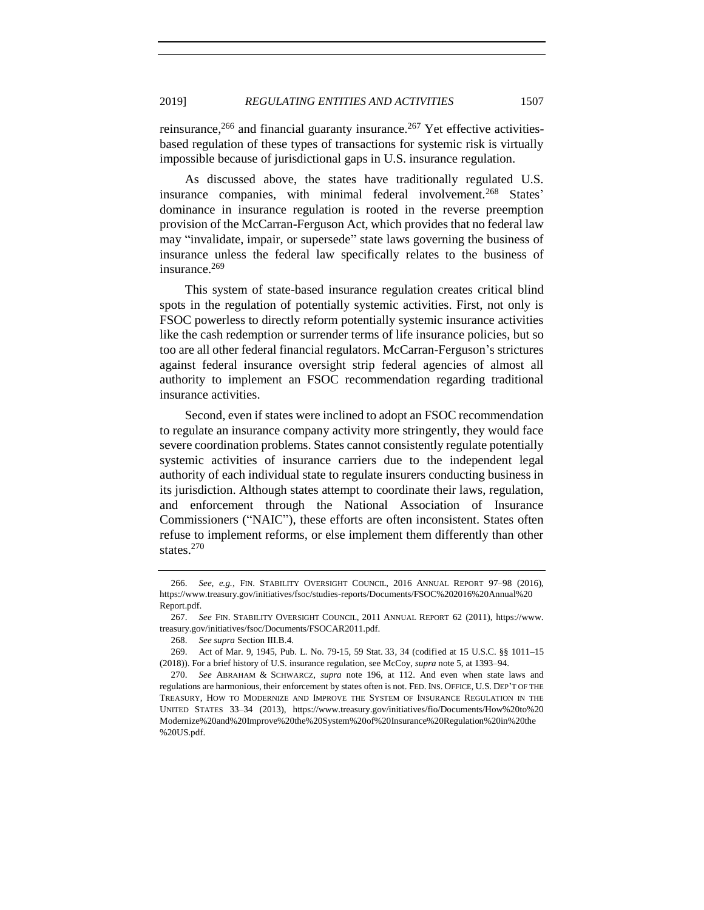reinsurance, $266$  and financial guaranty insurance. $267$  Yet effective activitiesbased regulation of these types of transactions for systemic risk is virtually impossible because of jurisdictional gaps in U.S. insurance regulation.

As discussed above, the states have traditionally regulated U.S. insurance companies, with minimal federal involvement.<sup>268</sup> States' dominance in insurance regulation is rooted in the reverse preemption provision of the McCarran-Ferguson Act, which provides that no federal law may "invalidate, impair, or supersede" state laws governing the business of insurance unless the federal law specifically relates to the business of insurance.<sup>269</sup>

This system of state-based insurance regulation creates critical blind spots in the regulation of potentially systemic activities. First, not only is FSOC powerless to directly reform potentially systemic insurance activities like the cash redemption or surrender terms of life insurance policies, but so too are all other federal financial regulators. McCarran-Ferguson's strictures against federal insurance oversight strip federal agencies of almost all authority to implement an FSOC recommendation regarding traditional insurance activities.

Second, even if states were inclined to adopt an FSOC recommendation to regulate an insurance company activity more stringently, they would face severe coordination problems. States cannot consistently regulate potentially systemic activities of insurance carriers due to the independent legal authority of each individual state to regulate insurers conducting business in its jurisdiction. Although states attempt to coordinate their laws, regulation, and enforcement through the National Association of Insurance Commissioners ("NAIC"), these efforts are often inconsistent. States often refuse to implement reforms, or else implement them differently than other states.<sup>270</sup>

<sup>266.</sup> *See, e.g.*, FIN. STABILITY OVERSIGHT COUNCIL, 2016 ANNUAL REPORT 97–98 (2016), https://www.treasury.gov/initiatives/fsoc/studies-reports/Documents/FSOC%202016%20Annual%20 Report.pdf.

<sup>267.</sup> *See* FIN. STABILITY OVERSIGHT COUNCIL, 2011 ANNUAL REPORT 62 (2011), https://www. treasury.gov/initiatives/fsoc/Documents/FSOCAR2011.pdf.

<sup>268.</sup> *See supra* Section III.B.4.

<sup>269.</sup> Act of Mar. 9, 1945, Pub. L. No. 79-15, 59 Stat. 33, 34 (codified at 15 U.S.C. §§ 1011–15 (2018)). For a brief history of U.S. insurance regulation, see McCoy, *supra* not[e 5,](#page-3-2) at 1393–94.

<sup>270.</sup> *See* ABRAHAM & SCHWARCZ, *supra* note [196,](#page-39-0) at 112. And even when state laws and regulations are harmonious, their enforcement by states often is not. FED. INS. OFFICE, U.S. DEP'T OF THE TREASURY, HOW TO MODERNIZE AND IMPROVE THE SYSTEM OF INSURANCE REGULATION IN THE UNITED STATES 33–34 (2013), https://www.treasury.gov/initiatives/fio/Documents/How%20to%20 Modernize%20and%20Improve%20the%20System%20of%20Insurance%20Regulation%20in%20the %20US.pdf.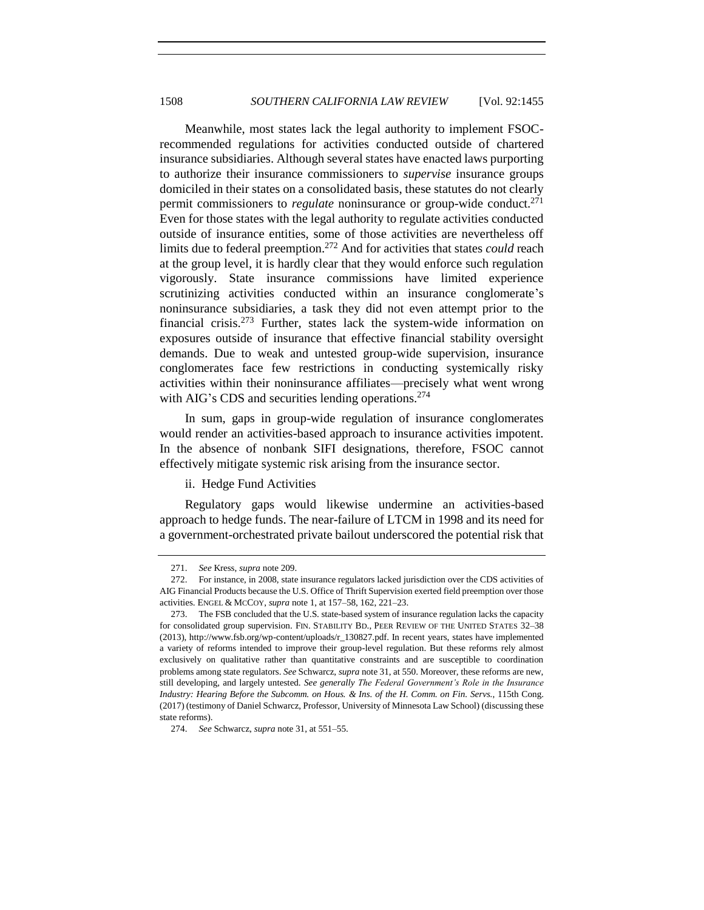Meanwhile, most states lack the legal authority to implement FSOCrecommended regulations for activities conducted outside of chartered insurance subsidiaries. Although several states have enacted laws purporting to authorize their insurance commissioners to *supervise* insurance groups domiciled in their states on a consolidated basis, these statutes do not clearly permit commissioners to *regulate* noninsurance or group-wide conduct.<sup>271</sup> Even for those states with the legal authority to regulate activities conducted outside of insurance entities, some of those activities are nevertheless off limits due to federal preemption. <sup>272</sup> And for activities that states *could* reach at the group level, it is hardly clear that they would enforce such regulation vigorously. State insurance commissions have limited experience scrutinizing activities conducted within an insurance conglomerate's noninsurance subsidiaries, a task they did not even attempt prior to the financial crisis.<sup>273</sup> Further, states lack the system-wide information on exposures outside of insurance that effective financial stability oversight demands. Due to weak and untested group-wide supervision, insurance conglomerates face few restrictions in conducting systemically risky activities within their noninsurance affiliates—precisely what went wrong with AIG's CDS and securities lending operations.<sup>274</sup>

In sum, gaps in group-wide regulation of insurance conglomerates would render an activities-based approach to insurance activities impotent. In the absence of nonbank SIFI designations, therefore, FSOC cannot effectively mitigate systemic risk arising from the insurance sector.

ii. Hedge Fund Activities

Regulatory gaps would likewise undermine an activities-based approach to hedge funds. The near-failure of LTCM in 1998 and its need for a government-orchestrated private bailout underscored the potential risk that

<sup>271.</sup> *See* Kress, *supra* not[e 209.](#page-41-0)

<sup>272.</sup> For instance, in 2008, state insurance regulators lacked jurisdiction over the CDS activities of AIG Financial Products because the U.S. Office of Thrift Supervision exerted field preemption over those activities. ENGEL & MCCOY, *supra* note 1, at 157–58, 162, 221–23.

<sup>273.</sup> The FSB concluded that the U.S. state-based system of insurance regulation lacks the capacity for consolidated group supervision. FIN. STABILITY BD., PEER REVIEW OF THE UNITED STATES 32–38 (2013), http://www.fsb.org/wp-content/uploads/r\_130827.pdf. In recent years, states have implemented a variety of reforms intended to improve their group-level regulation. But these reforms rely almost exclusively on qualitative rather than quantitative constraints and are susceptible to coordination problems among state regulators. *See* Schwarcz, *supra* note 31, at 550. Moreover, these reforms are new, still developing, and largely untested. *See generally The Federal Government's Role in the Insurance Industry: Hearing Before the Subcomm. on Hous. & Ins. of the H. Comm. on Fin. Servs.*, 115th Cong. (2017) (testimony of Daniel Schwarcz, Professor, University of Minnesota Law School) (discussing these state reforms).

<sup>274.</sup> *See* Schwarcz, *supra* note 31, at 551–55.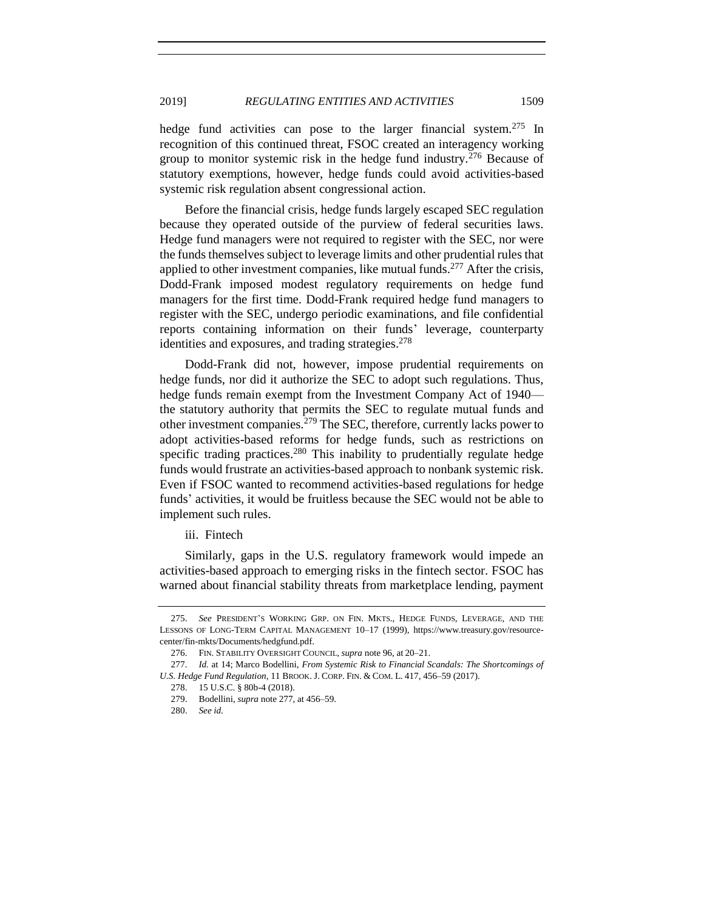hedge fund activities can pose to the larger financial system.<sup>275</sup> In recognition of this continued threat, FSOC created an interagency working group to monitor systemic risk in the hedge fund industry.<sup>276</sup> Because of statutory exemptions, however, hedge funds could avoid activities-based systemic risk regulation absent congressional action.

Before the financial crisis, hedge funds largely escaped SEC regulation because they operated outside of the purview of federal securities laws. Hedge fund managers were not required to register with the SEC, nor were the funds themselves subject to leverage limits and other prudential rules that applied to other investment companies, like mutual funds.<sup>277</sup> After the crisis, Dodd-Frank imposed modest regulatory requirements on hedge fund managers for the first time. Dodd-Frank required hedge fund managers to register with the SEC, undergo periodic examinations, and file confidential reports containing information on their funds' leverage, counterparty identities and exposures, and trading strategies. 278

Dodd-Frank did not, however, impose prudential requirements on hedge funds, nor did it authorize the SEC to adopt such regulations. Thus, hedge funds remain exempt from the Investment Company Act of 1940 the statutory authority that permits the SEC to regulate mutual funds and other investment companies.<sup> $279$ </sup> The SEC, therefore, currently lacks power to adopt activities-based reforms for hedge funds, such as restrictions on specific trading practices.<sup>280</sup> This inability to prudentially regulate hedge funds would frustrate an activities-based approach to nonbank systemic risk. Even if FSOC wanted to recommend activities-based regulations for hedge funds' activities, it would be fruitless because the SEC would not be able to implement such rules.

iii. Fintech

Similarly, gaps in the U.S. regulatory framework would impede an activities-based approach to emerging risks in the fintech sector. FSOC has warned about financial stability threats from marketplace lending, payment

<span id="page-54-0"></span>

<sup>275.</sup> *See* PRESIDENT'S WORKING GRP. ON FIN. MKTS., HEDGE FUNDS, LEVERAGE, AND THE LESSONS OF LONG-TERM CAPITAL MANAGEMENT 10–17 (1999), https://www.treasury.gov/resourcecenter/fin-mkts/Documents/hedgfund.pdf.

<sup>276.</sup> FIN. STABILITY OVERSIGHT COUNCIL, *supra* note 96, at 20–21.

<sup>277.</sup> *Id.* at 14; Marco Bodellini, *From Systemic Risk to Financial Scandals: The Shortcomings of U.S. Hedge Fund Regulation*, 11 BROOK. J. CORP. FIN. & COM. L. 417, 456–59 (2017).

<sup>278.</sup> 15 U.S.C. § 80b-4 (2018).

<sup>279.</sup> Bodellini, *supra* note [277,](#page-54-0) at 456–59.

<sup>280.</sup> *See id.*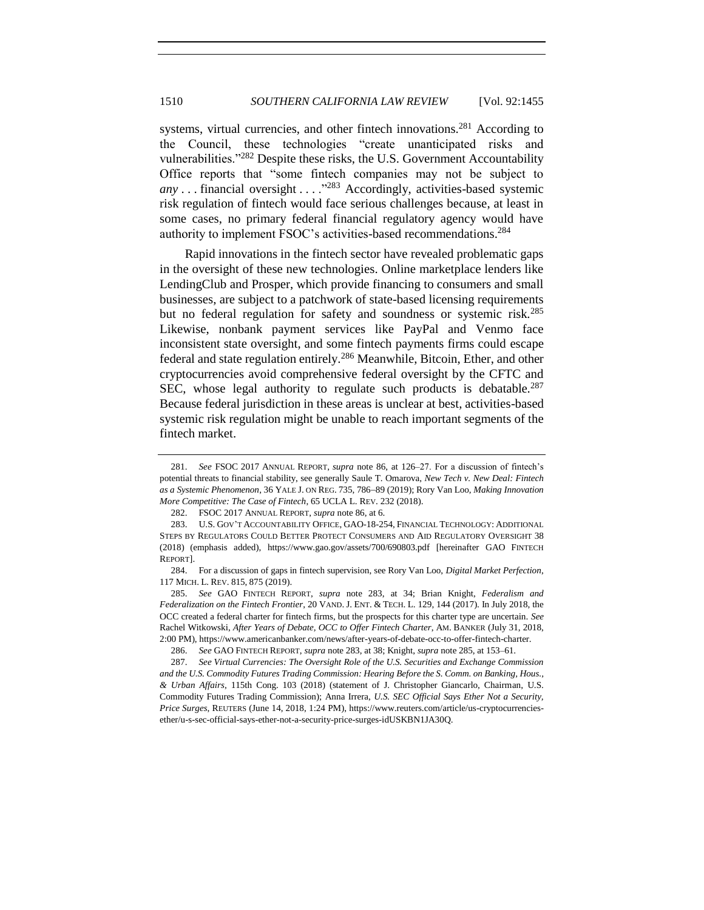systems, virtual currencies, and other fintech innovations.<sup>281</sup> According to the Council, these technologies "create unanticipated risks and vulnerabilities."<sup>282</sup> Despite these risks, the U.S. Government Accountability Office reports that "some fintech companies may not be subject to *any* . . . financial oversight . . . ."<sup>283</sup> Accordingly, activities-based systemic risk regulation of fintech would face serious challenges because, at least in some cases, no primary federal financial regulatory agency would have authority to implement FSOC's activities-based recommendations.<sup>284</sup>

<span id="page-55-0"></span>Rapid innovations in the fintech sector have revealed problematic gaps in the oversight of these new technologies. Online marketplace lenders like LendingClub and Prosper, which provide financing to consumers and small businesses, are subject to a patchwork of state-based licensing requirements but no federal regulation for safety and soundness or systemic risk.<sup>285</sup> Likewise, nonbank payment services like PayPal and Venmo face inconsistent state oversight, and some fintech payments firms could escape federal and state regulation entirely.<sup>286</sup> Meanwhile, Bitcoin, Ether, and other cryptocurrencies avoid comprehensive federal oversight by the CFTC and SEC, whose legal authority to regulate such products is debatable.<sup>287</sup> Because federal jurisdiction in these areas is unclear at best, activities-based systemic risk regulation might be unable to reach important segments of the fintech market.

<sup>281.</sup> *See* FSOC 2017 ANNUAL REPORT, *supra* note 86, at 126–27. For a discussion of fintech's potential threats to financial stability, see generally Saule T. Omarova, *New Tech v. New Deal: Fintech as a Systemic Phenomenon*, 36 YALE J. ON REG. 735, 786−89 (2019); Rory Van Loo, *Making Innovation More Competitive: The Case of Fintech*, 65 UCLA L. REV. 232 (2018).

<sup>282.</sup> FSOC 2017 ANNUAL REPORT, *supra* note 86, at 6.

<sup>283.</sup> U.S. GOV'T ACCOUNTABILITY OFFICE, GAO-18-254, FINANCIAL TECHNOLOGY: ADDITIONAL STEPS BY REGULATORS COULD BETTER PROTECT CONSUMERS AND AID REGULATORY OVERSIGHT 38 (2018) (emphasis added), https://www.gao.gov/assets/700/690803.pdf [hereinafter GAO FINTECH REPORT].

<sup>284.</sup> For a discussion of gaps in fintech supervision, see Rory Van Loo, *Digital Market Perfection*, 117 MICH. L. REV. 815, 875 (2019).

<sup>285.</sup> *See* GAO FINTECH REPORT, *supra* note 283, at 34; Brian Knight, *Federalism and Federalization on the Fintech Frontier*, 20 VAND. J. ENT. & TECH. L. 129, 144 (2017). In July 2018, the OCC created a federal charter for fintech firms, but the prospects for this charter type are uncertain. *See* Rachel Witkowski, *After Years of Debate, OCC to Offer Fintech Charter*, AM. BANKER (July 31, 2018, 2:00 PM), https://www.americanbanker.com/news/after-years-of-debate-occ-to-offer-fintech-charter.

<sup>286.</sup> *See* GAO FINTECH REPORT, *supra* note 283, at 38; Knight, *supra* not[e 285,](#page-55-0) at 153–61.

<sup>287.</sup> *See Virtual Currencies: The Oversight Role of the U.S. Securities and Exchange Commission and the U.S. Commodity Futures Trading Commission: Hearing Before the S. Comm. on Banking, Hous., & Urban Affairs*, 115th Cong. 103 (2018) (statement of J. Christopher Giancarlo, Chairman, U.S. Commodity Futures Trading Commission); Anna Irrera, *U.S. SEC Official Says Ether Not a Security, Price Surges*, REUTERS (June 14, 2018, 1:24 PM), https://www.reuters.com/article/us-cryptocurrenciesether/u-s-sec-official-says-ether-not-a-security-price-surges-idUSKBN1JA30Q.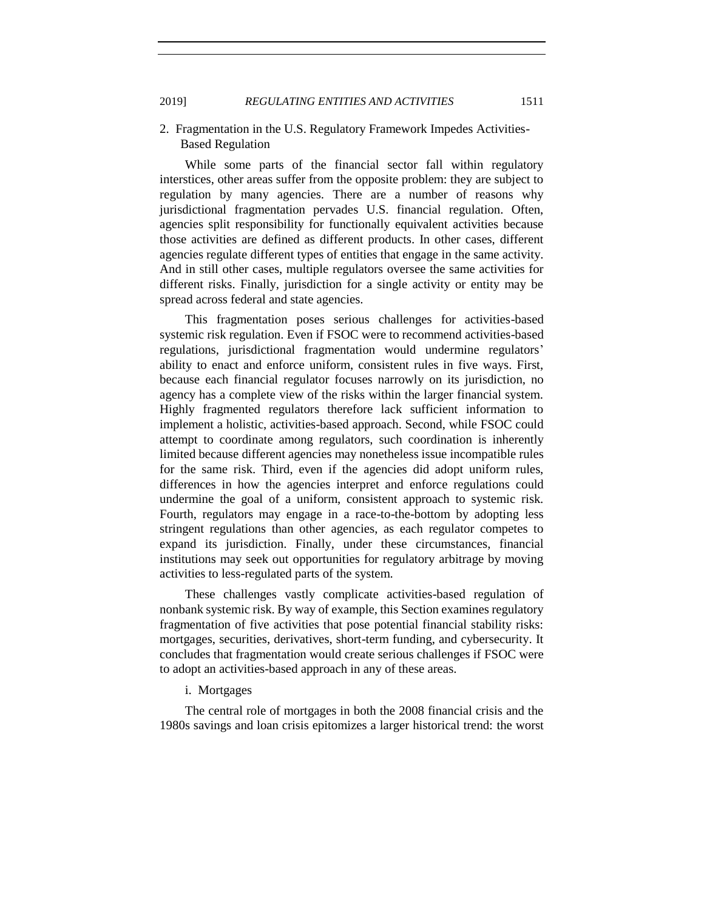2019] *REGULATING ENTITIES AND ACTIVITIES* 1511

### 2. Fragmentation in the U.S. Regulatory Framework Impedes Activities-Based Regulation

While some parts of the financial sector fall within regulatory interstices, other areas suffer from the opposite problem: they are subject to regulation by many agencies. There are a number of reasons why jurisdictional fragmentation pervades U.S. financial regulation. Often, agencies split responsibility for functionally equivalent activities because those activities are defined as different products. In other cases, different agencies regulate different types of entities that engage in the same activity. And in still other cases, multiple regulators oversee the same activities for different risks. Finally, jurisdiction for a single activity or entity may be spread across federal and state agencies.

This fragmentation poses serious challenges for activities-based systemic risk regulation. Even if FSOC were to recommend activities-based regulations, jurisdictional fragmentation would undermine regulators' ability to enact and enforce uniform, consistent rules in five ways. First, because each financial regulator focuses narrowly on its jurisdiction, no agency has a complete view of the risks within the larger financial system. Highly fragmented regulators therefore lack sufficient information to implement a holistic, activities-based approach. Second, while FSOC could attempt to coordinate among regulators, such coordination is inherently limited because different agencies may nonetheless issue incompatible rules for the same risk. Third, even if the agencies did adopt uniform rules, differences in how the agencies interpret and enforce regulations could undermine the goal of a uniform, consistent approach to systemic risk. Fourth, regulators may engage in a race-to-the-bottom by adopting less stringent regulations than other agencies, as each regulator competes to expand its jurisdiction. Finally, under these circumstances, financial institutions may seek out opportunities for regulatory arbitrage by moving activities to less-regulated parts of the system.

These challenges vastly complicate activities-based regulation of nonbank systemic risk. By way of example, this Section examines regulatory fragmentation of five activities that pose potential financial stability risks: mortgages, securities, derivatives, short-term funding, and cybersecurity. It concludes that fragmentation would create serious challenges if FSOC were to adopt an activities-based approach in any of these areas.

#### i. Mortgages

The central role of mortgages in both the 2008 financial crisis and the 1980s savings and loan crisis epitomizes a larger historical trend: the worst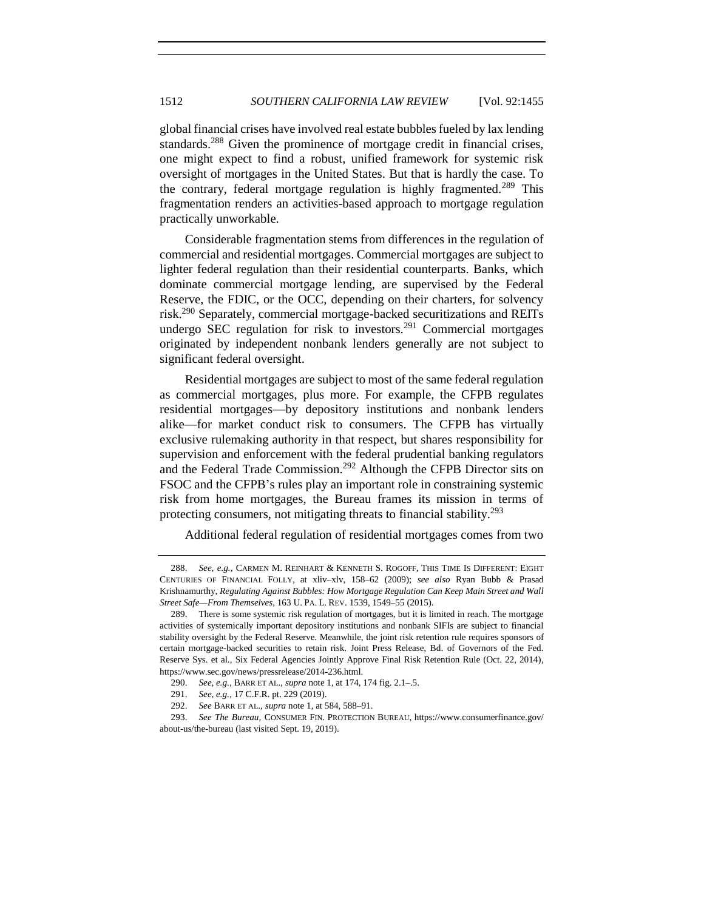global financial crises have involved real estate bubbles fueled by lax lending standards.<sup>288</sup> Given the prominence of mortgage credit in financial crises, one might expect to find a robust, unified framework for systemic risk oversight of mortgages in the United States. But that is hardly the case. To the contrary, federal mortgage regulation is highly fragmented.<sup>289</sup> This fragmentation renders an activities-based approach to mortgage regulation practically unworkable.

Considerable fragmentation stems from differences in the regulation of commercial and residential mortgages. Commercial mortgages are subject to lighter federal regulation than their residential counterparts. Banks, which dominate commercial mortgage lending, are supervised by the Federal Reserve, the FDIC, or the OCC, depending on their charters, for solvency risk.<sup>290</sup> Separately, commercial mortgage-backed securitizations and REITs undergo SEC regulation for risk to investors.<sup>291</sup> Commercial mortgages originated by independent nonbank lenders generally are not subject to significant federal oversight.

Residential mortgages are subject to most of the same federal regulation as commercial mortgages, plus more. For example, the CFPB regulates residential mortgages—by depository institutions and nonbank lenders alike—for market conduct risk to consumers. The CFPB has virtually exclusive rulemaking authority in that respect, but shares responsibility for supervision and enforcement with the federal prudential banking regulators and the Federal Trade Commission.<sup>292</sup> Although the CFPB Director sits on FSOC and the CFPB's rules play an important role in constraining systemic risk from home mortgages, the Bureau frames its mission in terms of protecting consumers, not mitigating threats to financial stability.<sup>293</sup>

Additional federal regulation of residential mortgages comes from two

<sup>288.</sup> *See, e.g.*, CARMEN M. REINHART & KENNETH S. ROGOFF, THIS TIME IS DIFFERENT: EIGHT CENTURIES OF FINANCIAL FOLLY, at xliv–xlv, 158–62 (2009); *see also* Ryan Bubb & Prasad Krishnamurthy, *Regulating Against Bubbles: How Mortgage Regulation Can Keep Main Street and Wall Street Safe—From Themselves*, 163 U. PA. L. REV. 1539, 1549–55 (2015).

<sup>289.</sup> There is some systemic risk regulation of mortgages, but it is limited in reach. The mortgage activities of systemically important depository institutions and nonbank SIFIs are subject to financial stability oversight by the Federal Reserve. Meanwhile, the joint risk retention rule requires sponsors of certain mortgage-backed securities to retain risk. Joint Press Release, Bd. of Governors of the Fed. Reserve Sys. et al., Six Federal Agencies Jointly Approve Final Risk Retention Rule (Oct. 22, 2014), https://www.sec.gov/news/pressrelease/2014-236.html.

<sup>290.</sup> *See, e.g.*, BARR ET AL., *supra* not[e 1,](#page-3-0) at 174, 174 fig. 2.1–.5.

<sup>291.</sup> *See, e.g.,* 17 C.F.R. pt. 229 (2019).

<sup>292.</sup> *See* BARR ET AL., *supra* not[e 1,](#page-3-0) at 584, 588–91.

<sup>293.</sup> *See The Bureau*, CONSUMER FIN. PROTECTION BUREAU, https://www.consumerfinance.gov/ about-us/the-bureau (last visited Sept. 19, 2019).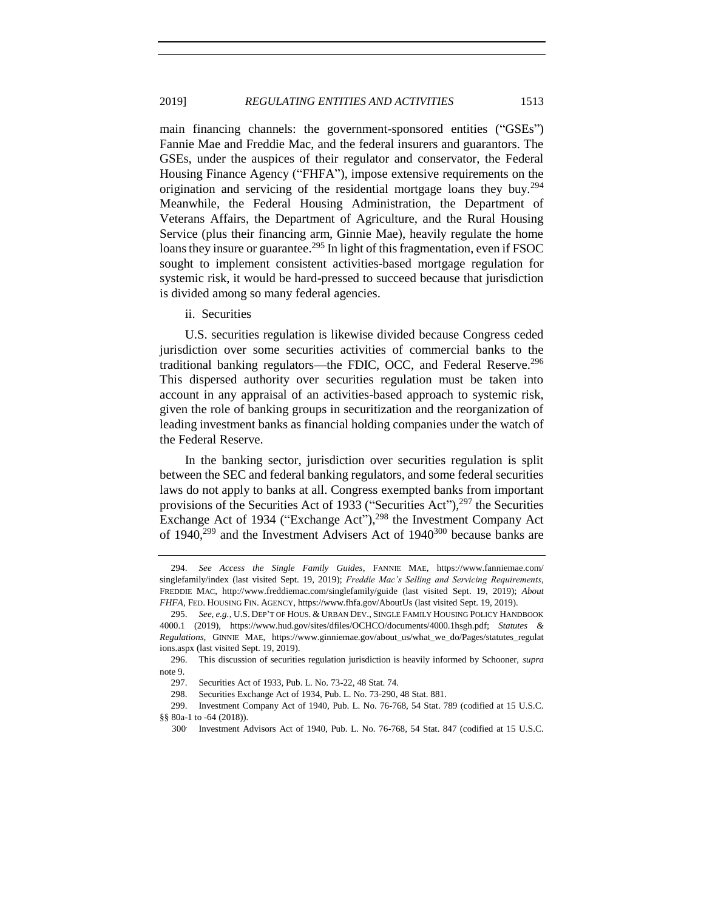main financing channels: the government-sponsored entities ("GSEs") Fannie Mae and Freddie Mac, and the federal insurers and guarantors. The GSEs, under the auspices of their regulator and conservator, the Federal Housing Finance Agency ("FHFA"), impose extensive requirements on the origination and servicing of the residential mortgage loans they buy.<sup>294</sup> Meanwhile, the Federal Housing Administration, the Department of Veterans Affairs, the Department of Agriculture, and the Rural Housing Service (plus their financing arm, Ginnie Mae), heavily regulate the home loans they insure or guarantee.<sup>295</sup> In light of this fragmentation, even if FSOC sought to implement consistent activities-based mortgage regulation for systemic risk, it would be hard-pressed to succeed because that jurisdiction is divided among so many federal agencies.

ii. Securities

U.S. securities regulation is likewise divided because Congress ceded jurisdiction over some securities activities of commercial banks to the traditional banking regulators—the FDIC, OCC, and Federal Reserve.<sup>296</sup> This dispersed authority over securities regulation must be taken into account in any appraisal of an activities-based approach to systemic risk, given the role of banking groups in securitization and the reorganization of leading investment banks as financial holding companies under the watch of the Federal Reserve.

In the banking sector, jurisdiction over securities regulation is split between the SEC and federal banking regulators, and some federal securities laws do not apply to banks at all. Congress exempted banks from important provisions of the Securities Act of 1933 ("Securities Act"), $297$  the Securities Exchange Act of 1934 ("Exchange Act"),<sup>298</sup> the Investment Company Act of  $1940$ <sup>299</sup> and the Investment Advisers Act of  $1940^{300}$  because banks are

<sup>294.</sup> *See Access the Single Family Guides*, FANNIE MAE, https://www.fanniemae.com/ singlefamily/index (last visited Sept. 19, 2019); *Freddie Mac's Selling and Servicing Requirements*, FREDDIE MAC, http://www.freddiemac.com/singlefamily/guide (last visited Sept. 19, 2019); *About FHFA*, FED. HOUSING FIN. AGENCY, https://www.fhfa.gov/AboutUs (last visited Sept. 19, 2019).

<sup>295.</sup> *See, e.g.*, U.S. DEP'T OF HOUS. & URBAN DEV., SINGLE FAMILY HOUSING POLICY HANDBOOK 4000.1 (2019), https://www.hud.gov/sites/dfiles/OCHCO/documents/4000.1hsgh.pdf; *Statutes & Regulations*, GINNIE MAE, https://www.ginniemae.gov/about\_us/what\_we\_do/Pages/statutes\_regulat ions.aspx (last visited Sept. 19, 2019).

<sup>296.</sup> This discussion of securities regulation jurisdiction is heavily informed by Schooner, *supra*  note [9.](#page-4-0)

<sup>297.</sup> Securities Act of 1933, Pub. L. No. 73-22, 48 Stat. 74.

<sup>298.</sup> Securities Exchange Act of 1934, Pub. L. No. 73-290, 48 Stat. 881.

<sup>299.</sup> Investment Company Act of 1940, Pub. L. No. 76-768, 54 Stat. 789 (codified at 15 U.S.C. §§ 80a-1 to -64 (2018)).

<sup>300</sup>. Investment Advisors Act of 1940, Pub. L. No. 76-768*,* 54 Stat. 847 (codified at 15 U.S.C.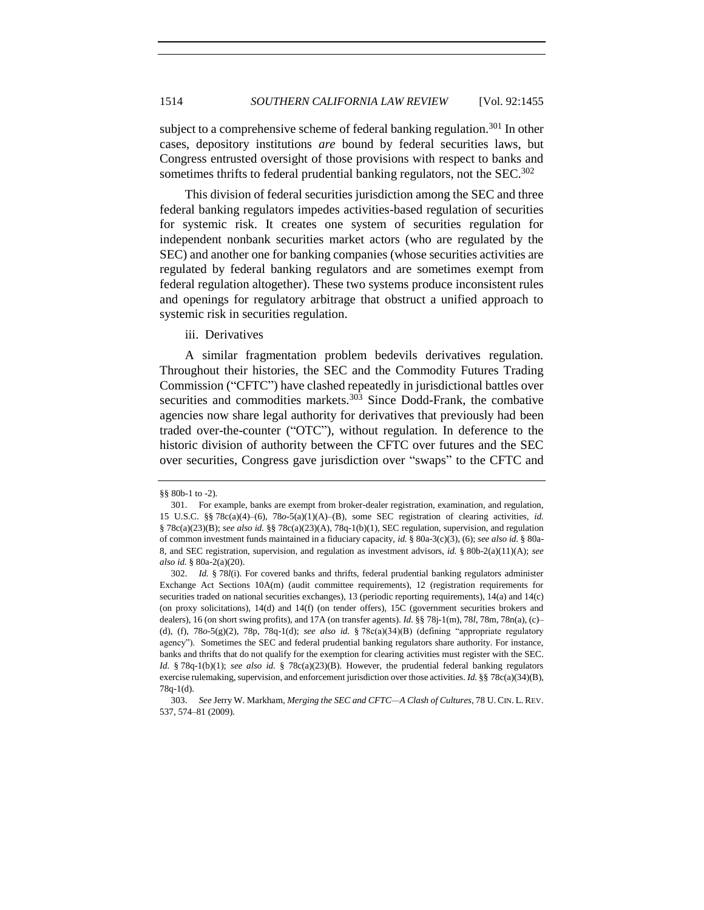subject to a comprehensive scheme of federal banking regulation.<sup>301</sup> In other cases, depository institutions *are* bound by federal securities laws, but Congress entrusted oversight of those provisions with respect to banks and sometimes thrifts to federal prudential banking regulators, not the SEC.<sup>302</sup>

This division of federal securities jurisdiction among the SEC and three federal banking regulators impedes activities-based regulation of securities for systemic risk. It creates one system of securities regulation for independent nonbank securities market actors (who are regulated by the SEC) and another one for banking companies (whose securities activities are regulated by federal banking regulators and are sometimes exempt from federal regulation altogether). These two systems produce inconsistent rules and openings for regulatory arbitrage that obstruct a unified approach to systemic risk in securities regulation.

iii. Derivatives

A similar fragmentation problem bedevils derivatives regulation. Throughout their histories, the SEC and the Commodity Futures Trading Commission ("CFTC") have clashed repeatedly in jurisdictional battles over securities and commodities markets. $30\overline{3}$  Since Dodd-Frank, the combative agencies now share legal authority for derivatives that previously had been traded over-the-counter ("OTC"), without regulation. In deference to the historic division of authority between the CFTC over futures and the SEC over securities, Congress gave jurisdiction over "swaps" to the CFTC and

<sup>§§</sup> 80b-1 to -2).

<sup>301.</sup> For example, banks are exempt from broker-dealer registration, examination, and regulation, 15 U.S.C. §§ 78c(a)(4)–(6), 78*o*-5(a)(1)(A)–(B), some SEC registration of clearing activities, *id.*  § 78c(a)(23)(B); *see also id.* §§ 78c(a)(23)(A), 78q-1(b)(1), SEC regulation, supervision, and regulation of common investment funds maintained in a fiduciary capacity, *id.* § 80a-3(c)(3), (6); *see also id.* § 80a-8, and SEC registration, supervision, and regulation as investment advisors, *id.* § 80b-2(a)(11)(A); *see also id.* § 80a-2(a)(20).

<sup>302.</sup> *Id.* § 78*l*(i). For covered banks and thrifts, federal prudential banking regulators administer Exchange Act Sections 10A(m) (audit committee requirements), 12 (registration requirements for securities traded on national securities exchanges), 13 (periodic reporting requirements), 14(a) and 14(c) (on proxy solicitations), 14(d) and 14(f) (on tender offers), 15C (government securities brokers and dealers), 16 (on short swing profits), and 17A (on transfer agents). *Id.* §§ 78j-1(m), 78*l*, 78m, 78n(a), (c)– (d), (f), 78*o*-5(g)(2), 78p, 78q-1(d); *see also id.* § 78c(a)(34)(B) (defining "appropriate regulatory agency"). Sometimes the SEC and federal prudential banking regulators share authority. For instance, banks and thrifts that do not qualify for the exemption for clearing activities must register with the SEC. *Id.* § 78q-1(b)(1); *see also id.* § 78c(a)(23)(B). However, the prudential federal banking regulators exercise rulemaking, supervision, and enforcement jurisdiction over those activities. *Id.* §§ 78c(a)(34)(B), 78q-1(d).

<sup>303.</sup> *See* Jerry W. Markham, *Merging the SEC and CFTC—A Clash of Cultures*, 78 U. CIN. L. REV. 537, 574–81 (2009).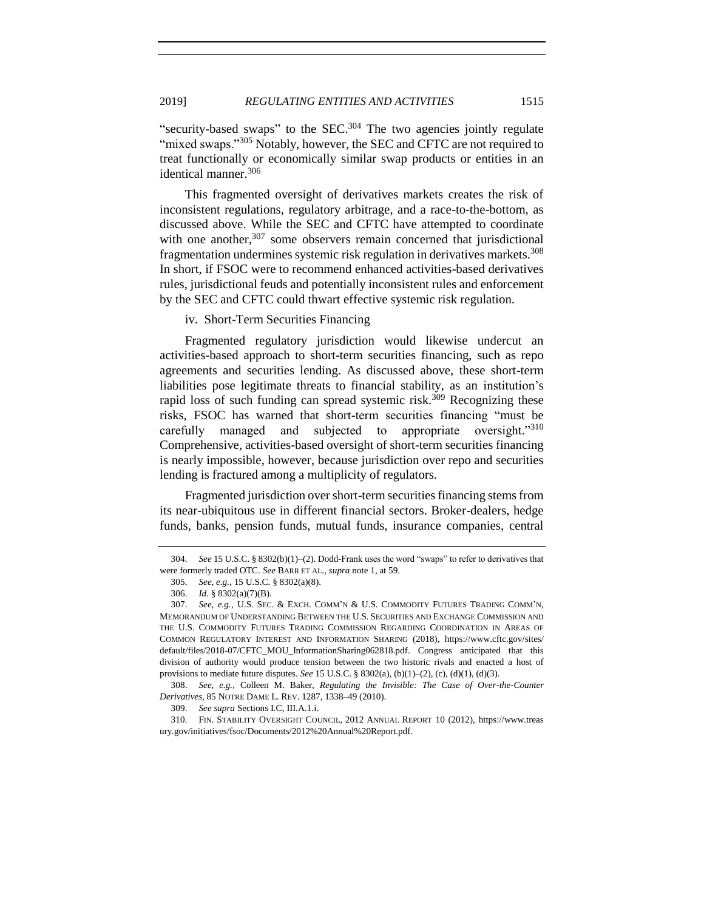"security-based swaps" to the SEC. $304$  The two agencies jointly regulate "mixed swaps."<sup>305</sup> Notably, however, the SEC and CFTC are not required to treat functionally or economically similar swap products or entities in an identical manner.<sup>306</sup>

This fragmented oversight of derivatives markets creates the risk of inconsistent regulations, regulatory arbitrage, and a race-to-the-bottom, as discussed above. While the SEC and CFTC have attempted to coordinate with one another, $307$  some observers remain concerned that jurisdictional fragmentation undermines systemic risk regulation in derivatives markets.<sup>308</sup> In short, if FSOC were to recommend enhanced activities-based derivatives rules, jurisdictional feuds and potentially inconsistent rules and enforcement by the SEC and CFTC could thwart effective systemic risk regulation.

iv. Short-Term Securities Financing

Fragmented regulatory jurisdiction would likewise undercut an activities-based approach to short-term securities financing, such as repo agreements and securities lending. As discussed above, these short-term liabilities pose legitimate threats to financial stability, as an institution's rapid loss of such funding can spread systemic risk.<sup>309</sup> Recognizing these risks, FSOC has warned that short-term securities financing "must be carefully managed and subjected to appropriate oversight."310 Comprehensive, activities-based oversight of short-term securities financing is nearly impossible, however, because jurisdiction over repo and securities lending is fractured among a multiplicity of regulators.

Fragmented jurisdiction over short-term securities financing stems from its near-ubiquitous use in different financial sectors. Broker-dealers, hedge funds, banks, pension funds, mutual funds, insurance companies, central

<sup>304.</sup> *See* 15 U.S.C. § 8302(b)(1)–(2). Dodd-Frank uses the word "swaps" to refer to derivatives that were formerly traded OTC. *See* BARR ET AL., *supra* not[e 1,](#page-3-0) at 59.

<sup>305.</sup> *See, e.g.*, 15 U.S.C. § 8302(a)(8).

<sup>306.</sup> *Id.* § 8302(a)(7)(B).

<sup>307.</sup> *See, e.g.*, U.S. SEC. & EXCH. COMM'N & U.S. COMMODITY FUTURES TRADING COMM'N, MEMORANDUM OF UNDERSTANDING BETWEEN THE U.S. SECURITIES AND EXCHANGE COMMISSION AND THE U.S. COMMODITY FUTURES TRADING COMMISSION REGARDING COORDINATION IN AREAS OF COMMON REGULATORY INTEREST AND INFORMATION SHARING (2018), https://www.cftc.gov/sites/ default/files/2018-07/CFTC\_MOU\_InformationSharing062818.pdf. Congress anticipated that this division of authority would produce tension between the two historic rivals and enacted a host of provisions to mediate future disputes. *See* 15 U.S.C. § 8302(a), (b)(1)–(2), (c), (d)(1), (d)(3).

<sup>308.</sup> *See, e.g.*, Colleen M. Baker, *Regulating the Invisible: The Case of Over-the-Counter Derivatives*, 85 NOTRE DAME L. REV. 1287, 1338–49 (2010).

<sup>309.</sup> *See supra* Sections I.C, III.A.1.i.

<sup>310.</sup> FIN. STABILITY OVERSIGHT COUNCIL, 2012 ANNUAL REPORT 10 (2012), https://www.treas ury.gov/initiatives/fsoc/Documents/2012%20Annual%20Report.pdf.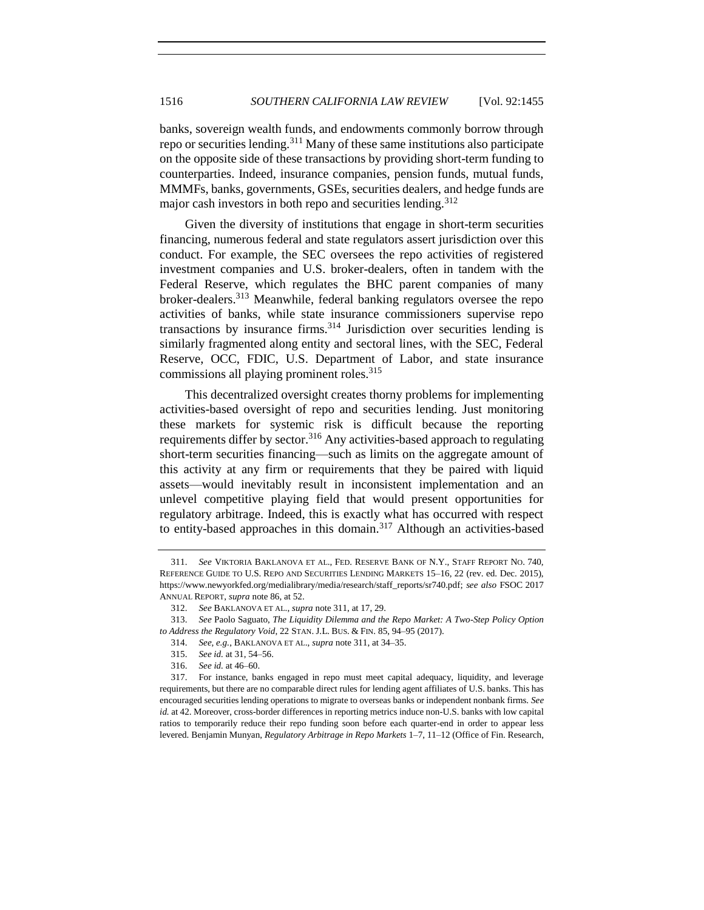banks, sovereign wealth funds, and endowments commonly borrow through repo or securities lending.<sup>311</sup> Many of these same institutions also participate on the opposite side of these transactions by providing short-term funding to counterparties. Indeed, insurance companies, pension funds, mutual funds, MMMFs, banks, governments, GSEs, securities dealers, and hedge funds are major cash investors in both repo and securities lending.  $312$ 

Given the diversity of institutions that engage in short-term securities financing, numerous federal and state regulators assert jurisdiction over this conduct. For example, the SEC oversees the repo activities of registered investment companies and U.S. broker-dealers, often in tandem with the Federal Reserve, which regulates the BHC parent companies of many broker-dealers.<sup>313</sup> Meanwhile, federal banking regulators oversee the repo activities of banks, while state insurance commissioners supervise repo transactions by insurance firms.<sup>314</sup> Jurisdiction over securities lending is similarly fragmented along entity and sectoral lines, with the SEC, Federal Reserve, OCC, FDIC, U.S. Department of Labor, and state insurance commissions all playing prominent roles.<sup>315</sup>

This decentralized oversight creates thorny problems for implementing activities-based oversight of repo and securities lending. Just monitoring these markets for systemic risk is difficult because the reporting requirements differ by sector.<sup>316</sup> Any activities-based approach to regulating short-term securities financing—such as limits on the aggregate amount of this activity at any firm or requirements that they be paired with liquid assets—would inevitably result in inconsistent implementation and an unlevel competitive playing field that would present opportunities for regulatory arbitrage. Indeed, this is exactly what has occurred with respect to entity-based approaches in this domain.<sup>317</sup> Although an activities-based

<sup>311.</sup> *See* VIKTORIA BAKLANOVA ET AL., FED. RESERVE BANK OF N.Y., STAFF REPORT NO. 740, REFERENCE GUIDE TO U.S. REPO AND SECURITIES LENDING MARKETS 15–16, 22 (rev. ed. Dec. 2015), https://www.newyorkfed.org/medialibrary/media/research/staff\_reports/sr740.pdf; *see also* FSOC 2017 ANNUAL REPORT, *supra* note 86, at 52.

<sup>312.</sup> *See* BAKLANOVA ET AL., *supra* note 311, at 17, 29.

<sup>313.</sup> *See* Paolo Saguato, *The Liquidity Dilemma and the Repo Market: A Two-Step Policy Option to Address the Regulatory Void*, 22 STAN. J.L. BUS. & FIN. 85, 94–95 (2017).

<sup>314.</sup> *See, e.g.*, BAKLANOVA ET AL., *supra* note 311, at 34–35.

<sup>315.</sup> *See id.* at 31, 54–56.

<sup>316.</sup> *See id.* at 46–60.

<sup>317.</sup> For instance, banks engaged in repo must meet capital adequacy, liquidity, and leverage requirements, but there are no comparable direct rules for lending agent affiliates of U.S. banks. This has encouraged securities lending operations to migrate to overseas banks or independent nonbank firms. *See id.* at 42. Moreover, cross-border differences in reporting metrics induce non-U.S. banks with low capital ratios to temporarily reduce their repo funding soon before each quarter-end in order to appear less levered. Benjamin Munyan, *Regulatory Arbitrage in Repo Markets* 1–7, 11–12 (Office of Fin. Research,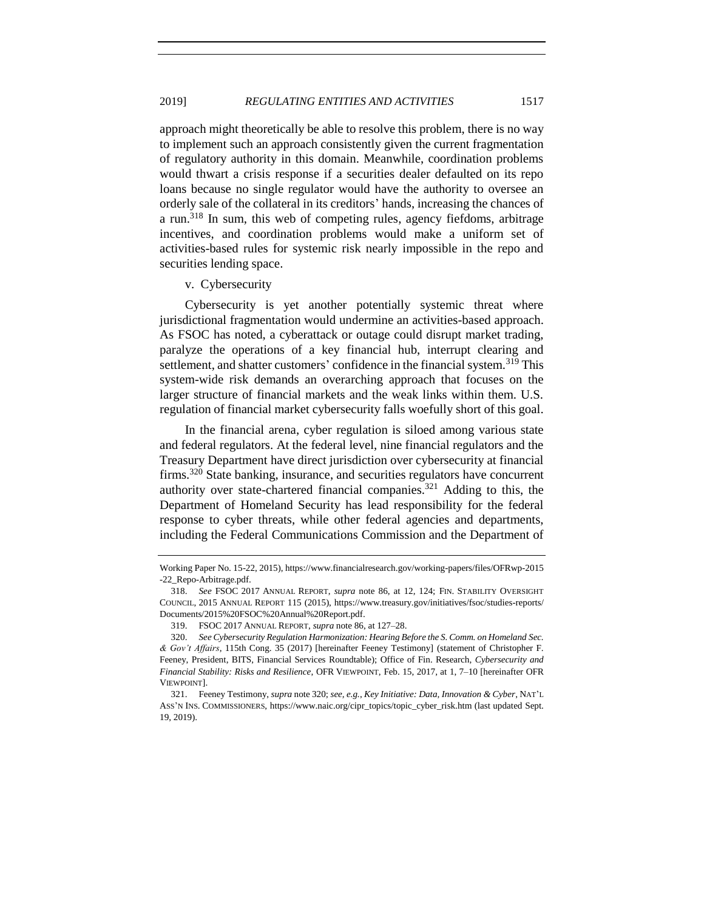approach might theoretically be able to resolve this problem, there is no way to implement such an approach consistently given the current fragmentation of regulatory authority in this domain. Meanwhile, coordination problems would thwart a crisis response if a securities dealer defaulted on its repo loans because no single regulator would have the authority to oversee an orderly sale of the collateral in its creditors' hands, increasing the chances of a run.<sup>318</sup> In sum, this web of competing rules, agency fiefdoms, arbitrage incentives, and coordination problems would make a uniform set of activities-based rules for systemic risk nearly impossible in the repo and securities lending space.

#### v. Cybersecurity

Cybersecurity is yet another potentially systemic threat where jurisdictional fragmentation would undermine an activities-based approach. As FSOC has noted, a cyberattack or outage could disrupt market trading, paralyze the operations of a key financial hub, interrupt clearing and settlement, and shatter customers' confidence in the financial system.<sup>319</sup> This system-wide risk demands an overarching approach that focuses on the larger structure of financial markets and the weak links within them. U.S. regulation of financial market cybersecurity falls woefully short of this goal.

In the financial arena, cyber regulation is siloed among various state and federal regulators. At the federal level, nine financial regulators and the Treasury Department have direct jurisdiction over cybersecurity at financial firms.<sup>320</sup> State banking, insurance, and securities regulators have concurrent authority over state-chartered financial companies.<sup>321</sup> Adding to this, the Department of Homeland Security has lead responsibility for the federal response to cyber threats, while other federal agencies and departments, including the Federal Communications Commission and the Department of

Working Paper No. 15-22, 2015), https://www.financialresearch.gov/working-papers/files/OFRwp-2015 -22\_Repo-Arbitrage.pdf.

<sup>318.</sup> *See* FSOC 2017 ANNUAL REPORT, *supra* note [86,](#page-20-0) at 12, 124; FIN. STABILITY OVERSIGHT COUNCIL, 2015 ANNUAL REPORT 115 (2015), https://www.treasury.gov/initiatives/fsoc/studies-reports/ Documents/2015%20FSOC%20Annual%20Report.pdf.

<sup>319.</sup> FSOC 2017 ANNUAL REPORT, *supra* not[e 86,](#page-20-0) at 127–28.

<sup>320.</sup> *See Cybersecurity Regulation Harmonization: Hearing Before the S. Comm. on Homeland Sec. & Gov't Affairs*, 115th Cong. 35 (2017) [hereinafter Feeney Testimony] (statement of Christopher F. Feeney, President, BITS, Financial Services Roundtable); Office of Fin. Research, *Cybersecurity and Financial Stability: Risks and Resilience*, OFR VIEWPOINT, Feb. 15, 2017, at 1, 7–10 [hereinafter OFR VIEWPOINT].

<sup>321.</sup> Feeney Testimony, *supra* note 320; *see, e.g.*, *Key Initiative: Data, Innovation & Cyber*, NAT'L ASS'N INS. COMMISSIONERS, https://www.naic.org/cipr\_topics/topic\_cyber\_risk.htm (last updated Sept. 19, 2019).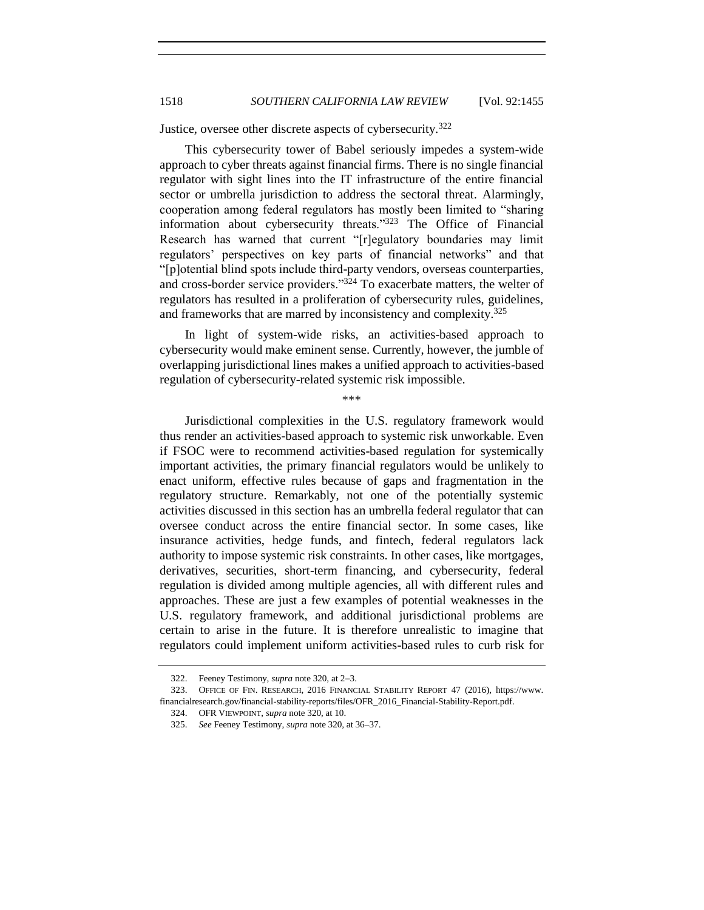Justice, oversee other discrete aspects of cybersecurity.<sup>322</sup>

This cybersecurity tower of Babel seriously impedes a system-wide approach to cyber threats against financial firms. There is no single financial regulator with sight lines into the IT infrastructure of the entire financial sector or umbrella jurisdiction to address the sectoral threat. Alarmingly, cooperation among federal regulators has mostly been limited to "sharing information about cybersecurity threats."<sup>323</sup> The Office of Financial Research has warned that current "[r]egulatory boundaries may limit regulators' perspectives on key parts of financial networks" and that "[p]otential blind spots include third-party vendors, overseas counterparties, and cross-border service providers."<sup>324</sup> To exacerbate matters, the welter of regulators has resulted in a proliferation of cybersecurity rules, guidelines, and frameworks that are marred by inconsistency and complexity. 325

In light of system-wide risks, an activities-based approach to cybersecurity would make eminent sense. Currently, however, the jumble of overlapping jurisdictional lines makes a unified approach to activities-based regulation of cybersecurity-related systemic risk impossible.

\*\*\*

Jurisdictional complexities in the U.S. regulatory framework would thus render an activities-based approach to systemic risk unworkable. Even if FSOC were to recommend activities-based regulation for systemically important activities, the primary financial regulators would be unlikely to enact uniform, effective rules because of gaps and fragmentation in the regulatory structure. Remarkably, not one of the potentially systemic activities discussed in this section has an umbrella federal regulator that can oversee conduct across the entire financial sector. In some cases, like insurance activities, hedge funds, and fintech, federal regulators lack authority to impose systemic risk constraints. In other cases, like mortgages, derivatives, securities, short-term financing, and cybersecurity, federal regulation is divided among multiple agencies, all with different rules and approaches. These are just a few examples of potential weaknesses in the U.S. regulatory framework, and additional jurisdictional problems are certain to arise in the future. It is therefore unrealistic to imagine that regulators could implement uniform activities-based rules to curb risk for

<sup>322.</sup> Feeney Testimony, *supra* note 320, at 2−3.

<sup>323.</sup> OFFICE OF FIN. RESEARCH, 2016 FINANCIAL STABILITY REPORT 47 (2016), https://www. financialresearch.gov/financial-stability-reports/files/OFR\_2016\_Financial-Stability-Report.pdf.

<sup>324.</sup> OFR VIEWPOINT, *supra* note 320, at 10.

<sup>325.</sup> *See* Feeney Testimony, *supra* note 320, at 36–37.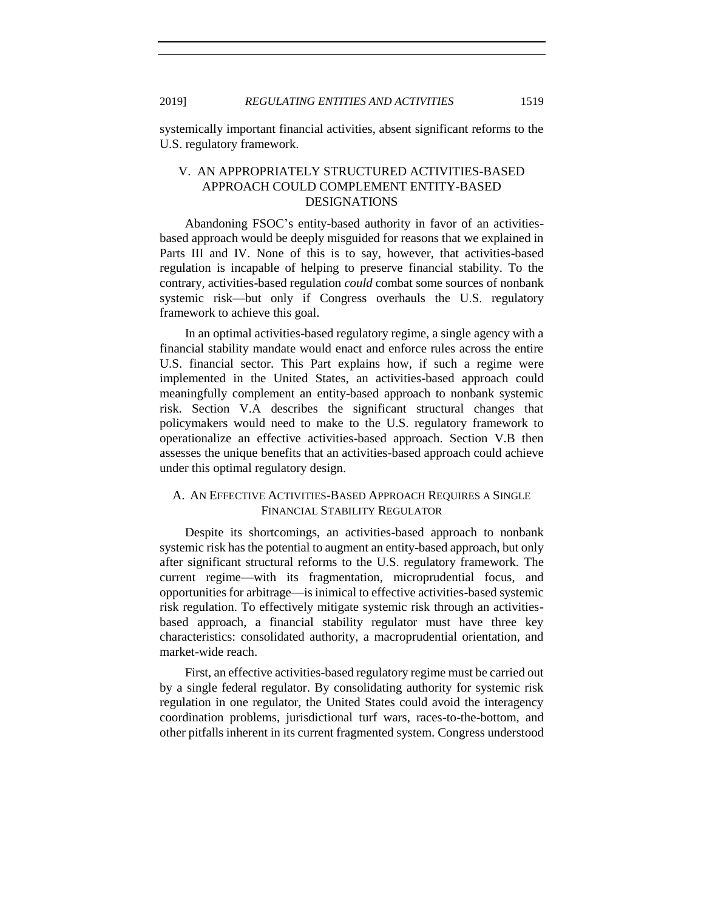systemically important financial activities, absent significant reforms to the U.S. regulatory framework.

# V. AN APPROPRIATELY STRUCTURED ACTIVITIES-BASED APPROACH COULD COMPLEMENT ENTITY-BASED DESIGNATIONS

Abandoning FSOC's entity-based authority in favor of an activitiesbased approach would be deeply misguided for reasons that we explained in Parts III and IV. None of this is to say, however, that activities-based regulation is incapable of helping to preserve financial stability. To the contrary, activities-based regulation *could* combat some sources of nonbank systemic risk—but only if Congress overhauls the U.S. regulatory framework to achieve this goal.

In an optimal activities-based regulatory regime, a single agency with a financial stability mandate would enact and enforce rules across the entire U.S. financial sector. This Part explains how, if such a regime were implemented in the United States, an activities-based approach could meaningfully complement an entity-based approach to nonbank systemic risk. Section V.A describes the significant structural changes that policymakers would need to make to the U.S. regulatory framework to operationalize an effective activities-based approach. Section V.B then assesses the unique benefits that an activities-based approach could achieve under this optimal regulatory design.

# A. AN EFFECTIVE ACTIVITIES-BASED APPROACH REQUIRES A SINGLE FINANCIAL STABILITY REGULATOR

Despite its shortcomings, an activities-based approach to nonbank systemic risk has the potential to augment an entity-based approach, but only after significant structural reforms to the U.S. regulatory framework. The current regime—with its fragmentation, microprudential focus, and opportunities for arbitrage—is inimical to effective activities-based systemic risk regulation. To effectively mitigate systemic risk through an activitiesbased approach, a financial stability regulator must have three key characteristics: consolidated authority, a macroprudential orientation, and market-wide reach.

First, an effective activities-based regulatory regime must be carried out by a single federal regulator. By consolidating authority for systemic risk regulation in one regulator, the United States could avoid the interagency coordination problems, jurisdictional turf wars, races-to-the-bottom, and other pitfalls inherent in its current fragmented system. Congress understood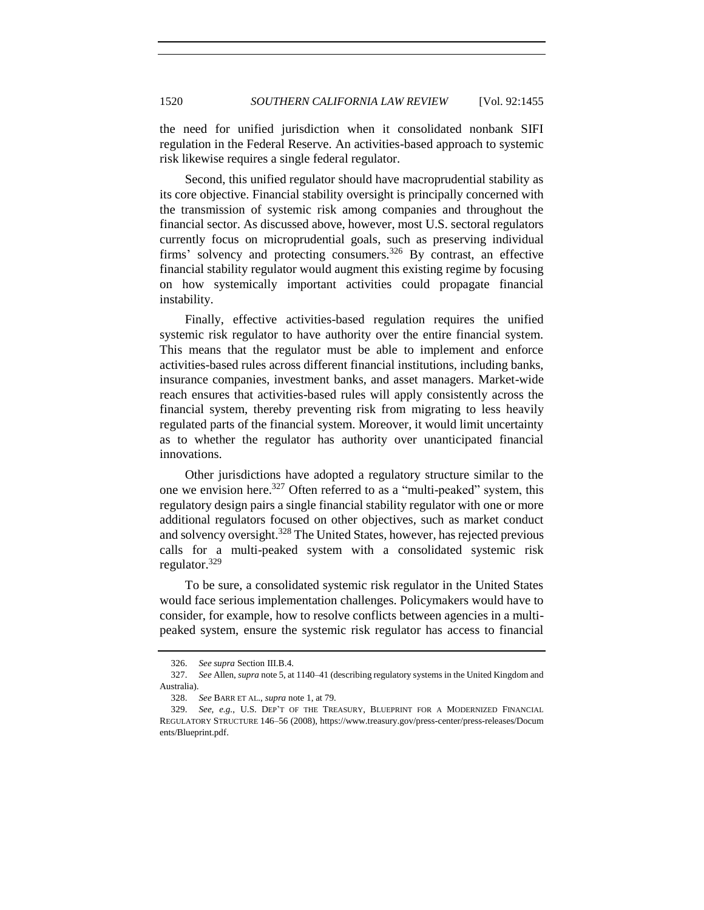the need for unified jurisdiction when it consolidated nonbank SIFI regulation in the Federal Reserve. An activities-based approach to systemic risk likewise requires a single federal regulator.

Second, this unified regulator should have macroprudential stability as its core objective. Financial stability oversight is principally concerned with the transmission of systemic risk among companies and throughout the financial sector. As discussed above, however, most U.S. sectoral regulators currently focus on microprudential goals, such as preserving individual firms' solvency and protecting consumers.<sup>326</sup> By contrast, an effective financial stability regulator would augment this existing regime by focusing on how systemically important activities could propagate financial instability.

Finally, effective activities-based regulation requires the unified systemic risk regulator to have authority over the entire financial system. This means that the regulator must be able to implement and enforce activities-based rules across different financial institutions, including banks, insurance companies, investment banks, and asset managers. Market-wide reach ensures that activities-based rules will apply consistently across the financial system, thereby preventing risk from migrating to less heavily regulated parts of the financial system. Moreover, it would limit uncertainty as to whether the regulator has authority over unanticipated financial innovations.

Other jurisdictions have adopted a regulatory structure similar to the one we envision here.<sup>327</sup> Often referred to as a "multi-peaked" system, this regulatory design pairs a single financial stability regulator with one or more additional regulators focused on other objectives, such as market conduct and solvency oversight.<sup>328</sup> The United States, however, has rejected previous calls for a multi-peaked system with a consolidated systemic risk regulator.<sup>329</sup>

To be sure, a consolidated systemic risk regulator in the United States would face serious implementation challenges. Policymakers would have to consider, for example, how to resolve conflicts between agencies in a multipeaked system, ensure the systemic risk regulator has access to financial

<sup>326.</sup> *See supra* Section III.B.4.

<sup>327.</sup> *See* Allen, *supra* not[e 5,](#page-3-2) at 1140–41 (describing regulatory systems in the United Kingdom and Australia).

<sup>328.</sup> *See* BARR ET AL., *supra* not[e 1,](#page-3-0) at 79.

<sup>329.</sup> *See, e.g.*, U.S. DEP'T OF THE TREASURY, BLUEPRINT FOR A MODERNIZED FINANCIAL REGULATORY STRUCTURE 146–56 (2008), https://www.treasury.gov/press-center/press-releases/Docum ents/Blueprint.pdf.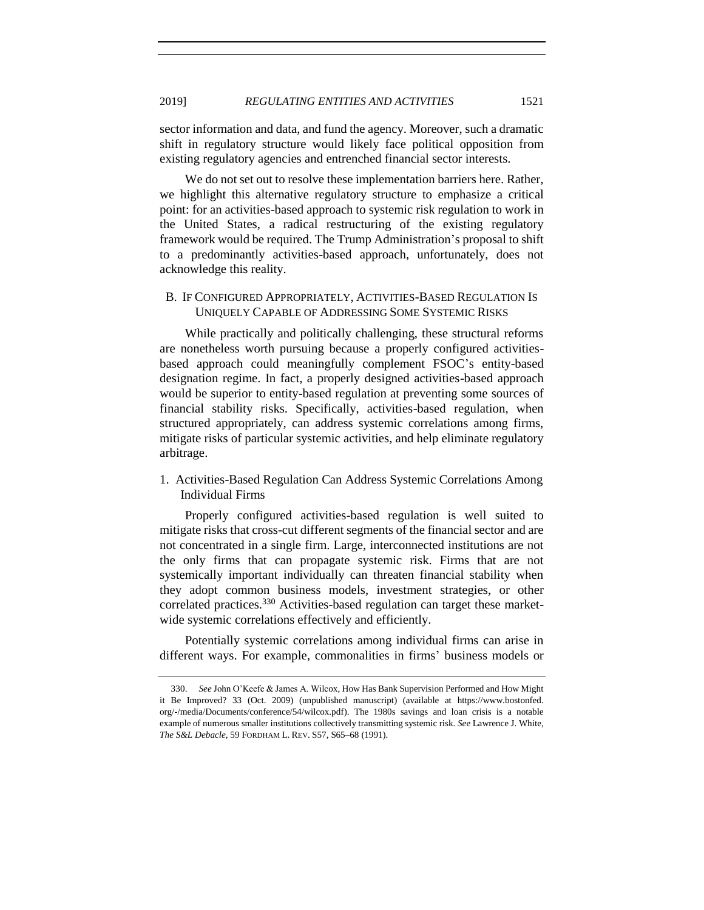sector information and data, and fund the agency. Moreover, such a dramatic shift in regulatory structure would likely face political opposition from existing regulatory agencies and entrenched financial sector interests.

We do not set out to resolve these implementation barriers here. Rather, we highlight this alternative regulatory structure to emphasize a critical point: for an activities-based approach to systemic risk regulation to work in the United States, a radical restructuring of the existing regulatory framework would be required. The Trump Administration's proposal to shift to a predominantly activities-based approach, unfortunately, does not acknowledge this reality.

# B. IF CONFIGURED APPROPRIATELY, ACTIVITIES-BASED REGULATION IS UNIQUELY CAPABLE OF ADDRESSING SOME SYSTEMIC RISKS

While practically and politically challenging, these structural reforms are nonetheless worth pursuing because a properly configured activitiesbased approach could meaningfully complement FSOC's entity-based designation regime. In fact, a properly designed activities-based approach would be superior to entity-based regulation at preventing some sources of financial stability risks. Specifically, activities-based regulation, when structured appropriately, can address systemic correlations among firms, mitigate risks of particular systemic activities, and help eliminate regulatory arbitrage.

1. Activities-Based Regulation Can Address Systemic Correlations Among Individual Firms

Properly configured activities-based regulation is well suited to mitigate risks that cross-cut different segments of the financial sector and are not concentrated in a single firm. Large, interconnected institutions are not the only firms that can propagate systemic risk. Firms that are not systemically important individually can threaten financial stability when they adopt common business models, investment strategies, or other correlated practices.<sup>330</sup> Activities-based regulation can target these marketwide systemic correlations effectively and efficiently.

Potentially systemic correlations among individual firms can arise in different ways. For example, commonalities in firms' business models or

<sup>330.</sup> *See* John O'Keefe & James A. Wilcox, How Has Bank Supervision Performed and How Might it Be Improved? 33 (Oct. 2009) (unpublished manuscript) (available at https://www.bostonfed. org/-/media/Documents/conference/54/wilcox.pdf). The 1980s savings and loan crisis is a notable example of numerous smaller institutions collectively transmitting systemic risk. *See* Lawrence J. White, *The S&L Debacle*, 59 FORDHAM L. REV. S57, S65–68 (1991).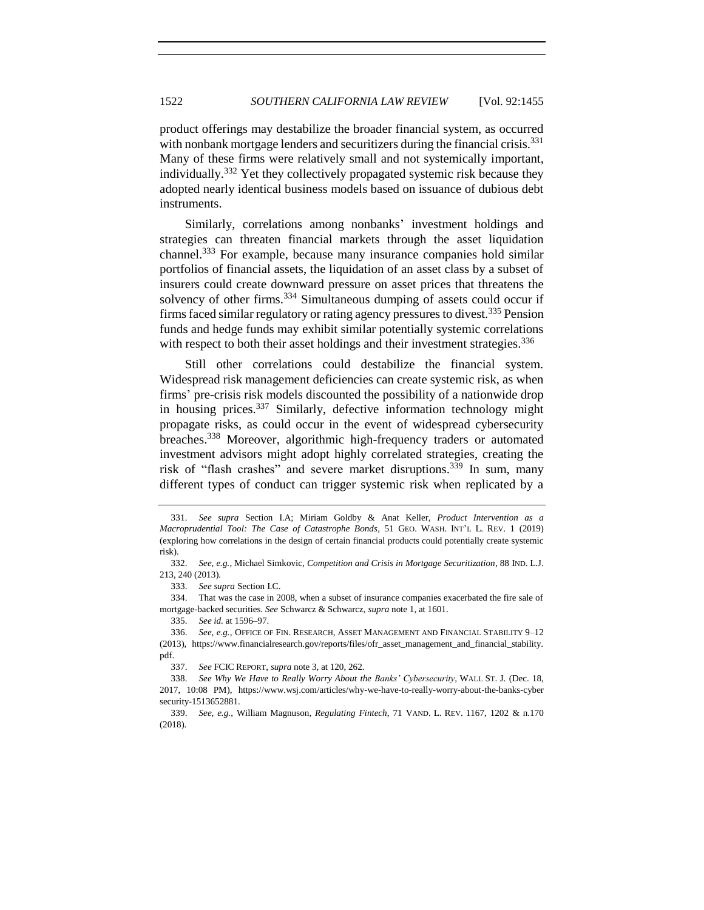product offerings may destabilize the broader financial system, as occurred with nonbank mortgage lenders and securitizers during the financial crisis.<sup>331</sup> Many of these firms were relatively small and not systemically important, individually.<sup>332</sup> Yet they collectively propagated systemic risk because they adopted nearly identical business models based on issuance of dubious debt instruments.

Similarly, correlations among nonbanks' investment holdings and strategies can threaten financial markets through the asset liquidation channel.<sup>333</sup> For example, because many insurance companies hold similar portfolios of financial assets, the liquidation of an asset class by a subset of insurers could create downward pressure on asset prices that threatens the solvency of other firms.<sup>334</sup> Simultaneous dumping of assets could occur if firms faced similar regulatory or rating agency pressures to divest.<sup>335</sup> Pension funds and hedge funds may exhibit similar potentially systemic correlations with respect to both their asset holdings and their investment strategies.<sup>336</sup>

Still other correlations could destabilize the financial system. Widespread risk management deficiencies can create systemic risk, as when firms' pre-crisis risk models discounted the possibility of a nationwide drop in housing prices.<sup>337</sup> Similarly, defective information technology might propagate risks, as could occur in the event of widespread cybersecurity breaches.<sup>338</sup> Moreover, algorithmic high-frequency traders or automated investment advisors might adopt highly correlated strategies, creating the risk of "flash crashes" and severe market disruptions.<sup>339</sup> In sum, many different types of conduct can trigger systemic risk when replicated by a

335. *See id.* at 1596–97.

<sup>331.</sup> *See supra* Section I.A; Miriam Goldby & Anat Keller, *Product Intervention as a Macroprudential Tool: The Case of Catastrophe Bonds*, 51 GEO. WASH. INT'L L. REV. 1 (2019) (exploring how correlations in the design of certain financial products could potentially create systemic risk).

<sup>332.</sup> *See, e.g.*, Michael Simkovic, *Competition and Crisis in Mortgage Securitization*, 88 IND. L.J. 213, 240 (2013).

<sup>333.</sup> *See supra* Section I.C.

<sup>334.</sup> That was the case in 2008, when a subset of insurance companies exacerbated the fire sale of mortgage-backed securities. *See* Schwarcz & Schwarcz, *supra* not[e 1,](#page-3-0) at 1601.

<sup>336.</sup> *See, e.g.*, OFFICE OF FIN. RESEARCH, ASSET MANAGEMENT AND FINANCIAL STABILITY 9–12 (2013), https://www.financialresearch.gov/reports/files/ofr\_asset\_management\_and\_financial\_stability. pdf.

<sup>337.</sup> *See* FCIC REPORT, *supra* not[e 3,](#page-3-3) at 120, 262.

<sup>338.</sup> *See Why We Have to Really Worry About the Banks' Cybersecurity*, WALL ST. J. (Dec. 18, 2017, 10:08 PM), https://www.wsj.com/articles/why-we-have-to-really-worry-about-the-banks-cyber security-1513652881.

<sup>339.</sup> *See, e.g.*, William Magnuson, *Regulating Fintech*, 71 VAND. L. REV. 1167, 1202 & n.170 (2018).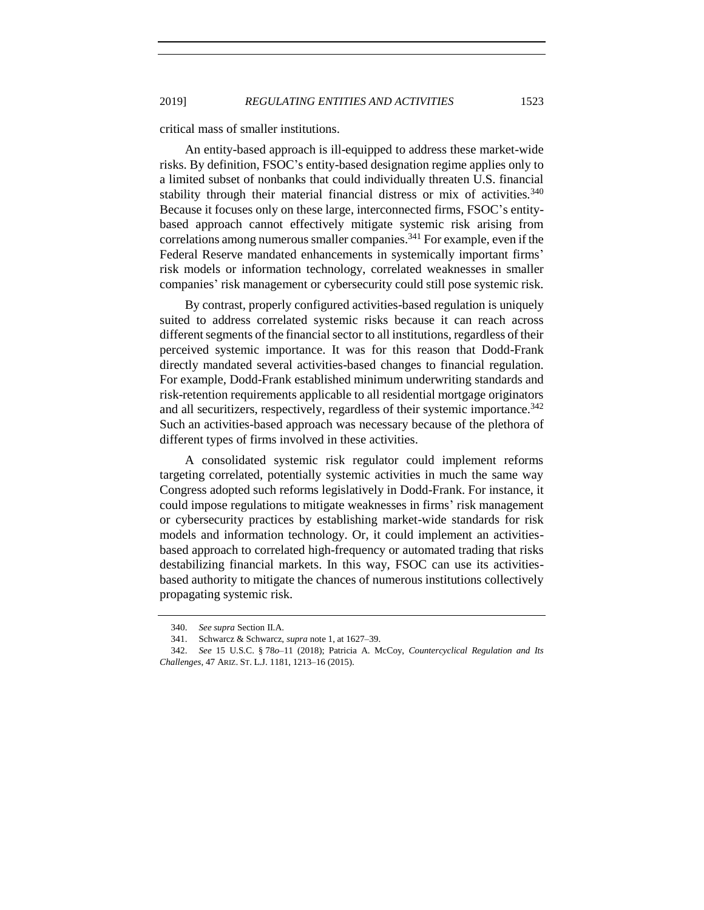critical mass of smaller institutions.

An entity-based approach is ill-equipped to address these market-wide risks. By definition, FSOC's entity-based designation regime applies only to a limited subset of nonbanks that could individually threaten U.S. financial stability through their material financial distress or mix of activities.<sup>340</sup> Because it focuses only on these large, interconnected firms, FSOC's entitybased approach cannot effectively mitigate systemic risk arising from correlations among numerous smaller companies.<sup>341</sup> For example, even if the Federal Reserve mandated enhancements in systemically important firms' risk models or information technology, correlated weaknesses in smaller companies' risk management or cybersecurity could still pose systemic risk.

By contrast, properly configured activities-based regulation is uniquely suited to address correlated systemic risks because it can reach across different segments of the financial sector to all institutions, regardless of their perceived systemic importance. It was for this reason that Dodd-Frank directly mandated several activities-based changes to financial regulation. For example, Dodd-Frank established minimum underwriting standards and risk-retention requirements applicable to all residential mortgage originators and all securitizers, respectively, regardless of their systemic importance.<sup>342</sup> Such an activities-based approach was necessary because of the plethora of different types of firms involved in these activities.

A consolidated systemic risk regulator could implement reforms targeting correlated, potentially systemic activities in much the same way Congress adopted such reforms legislatively in Dodd-Frank. For instance, it could impose regulations to mitigate weaknesses in firms' risk management or cybersecurity practices by establishing market-wide standards for risk models and information technology. Or, it could implement an activitiesbased approach to correlated high-frequency or automated trading that risks destabilizing financial markets. In this way, FSOC can use its activitiesbased authority to mitigate the chances of numerous institutions collectively propagating systemic risk.

<sup>340.</sup> *See supra* Section II.A.

<sup>341.</sup> Schwarcz & Schwarcz, *supra* not[e 1,](#page-3-0) at 1627–39.

<sup>342.</sup> *See* 15 U.S.C. § 78*o*–11 (2018); Patricia A. McCoy, *Countercyclical Regulation and Its Challenges*, 47 ARIZ. ST. L.J. 1181, 1213–16 (2015).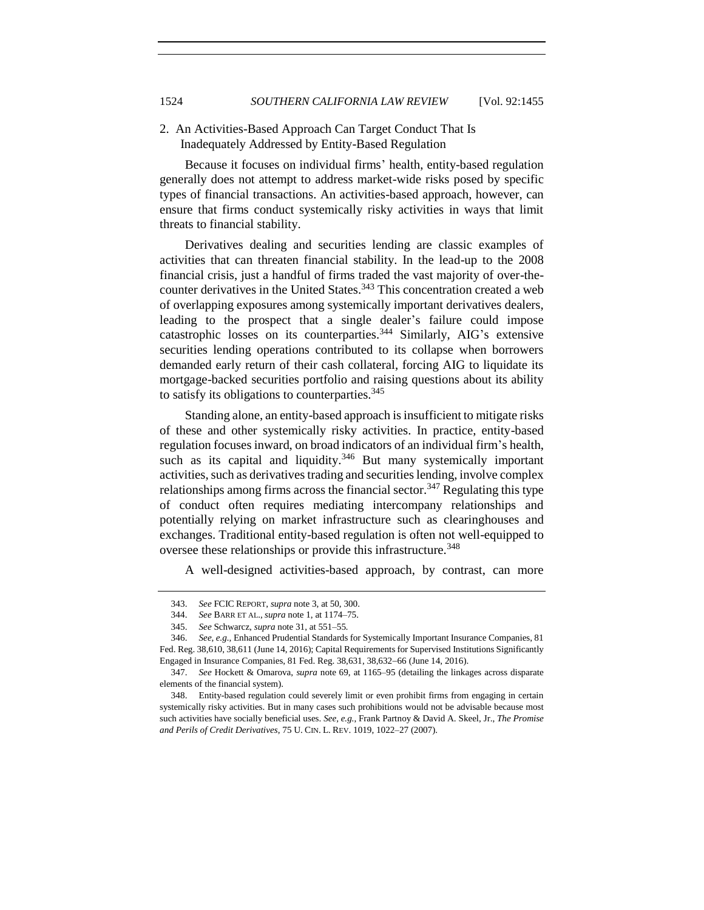#### 2. An Activities-Based Approach Can Target Conduct That Is Inadequately Addressed by Entity-Based Regulation

Because it focuses on individual firms' health, entity-based regulation generally does not attempt to address market-wide risks posed by specific types of financial transactions. An activities-based approach, however, can ensure that firms conduct systemically risky activities in ways that limit threats to financial stability.

Derivatives dealing and securities lending are classic examples of activities that can threaten financial stability. In the lead-up to the 2008 financial crisis, just a handful of firms traded the vast majority of over-thecounter derivatives in the United States.<sup>343</sup> This concentration created a web of overlapping exposures among systemically important derivatives dealers, leading to the prospect that a single dealer's failure could impose catastrophic losses on its counterparties.<sup>344</sup> Similarly, AIG's extensive securities lending operations contributed to its collapse when borrowers demanded early return of their cash collateral, forcing AIG to liquidate its mortgage-backed securities portfolio and raising questions about its ability to satisfy its obligations to counterparties.  $345$ 

Standing alone, an entity-based approach is insufficient to mitigate risks of these and other systemically risky activities. In practice, entity-based regulation focuses inward, on broad indicators of an individual firm's health, such as its capital and liquidity.<sup>346</sup> But many systemically important activities, such as derivatives trading and securities lending, involve complex relationships among firms across the financial sector.<sup>347</sup> Regulating this type of conduct often requires mediating intercompany relationships and potentially relying on market infrastructure such as clearinghouses and exchanges. Traditional entity-based regulation is often not well-equipped to oversee these relationships or provide this infrastructure.<sup>348</sup>

A well-designed activities-based approach, by contrast, can more

<sup>343.</sup> *See* FCIC REPORT, *supra* not[e 3,](#page-3-3) at 50, 300.

<sup>344.</sup> *See* BARR ET AL., *supra* not[e 1,](#page-3-0) at 1174–75.

<sup>345.</sup> *See* Schwarcz, *supra* not[e 31,](#page-7-0) at 551–55*.*

<sup>346.</sup> *See, e.g.,* Enhanced Prudential Standards for Systemically Important Insurance Companies, 81 Fed. Reg. 38,610, 38,611 (June 14, 2016); Capital Requirements for Supervised Institutions Significantly Engaged in Insurance Companies, 81 Fed. Reg. 38,631, 38,632−66 (June 14, 2016).

<sup>347.</sup> *See* Hockett & Omarova, *supra* note 69, at 1165–95 (detailing the linkages across disparate elements of the financial system).

<sup>348.</sup> Entity-based regulation could severely limit or even prohibit firms from engaging in certain systemically risky activities. But in many cases such prohibitions would not be advisable because most such activities have socially beneficial uses. *See, e.g.*, Frank Partnoy & David A. Skeel, Jr., *The Promise and Perils of Credit Derivatives*, 75 U. CIN. L. REV. 1019, 1022–27 (2007).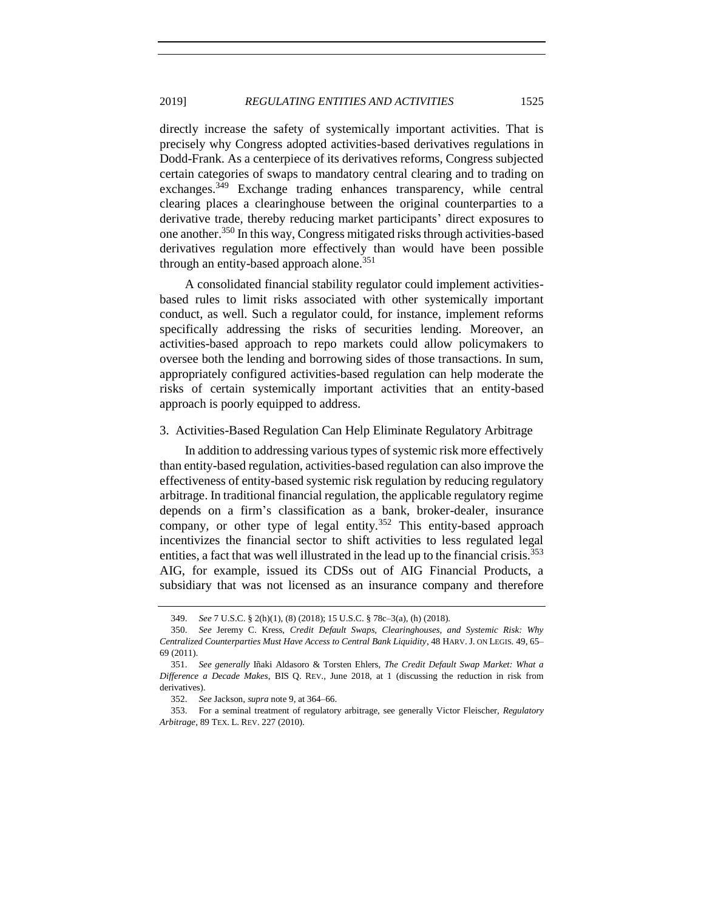directly increase the safety of systemically important activities. That is precisely why Congress adopted activities-based derivatives regulations in Dodd-Frank. As a centerpiece of its derivatives reforms, Congress subjected certain categories of swaps to mandatory central clearing and to trading on exchanges.<sup>349</sup> Exchange trading enhances transparency, while central clearing places a clearinghouse between the original counterparties to a derivative trade, thereby reducing market participants' direct exposures to one another.<sup>350</sup> In this way, Congress mitigated risks through activities-based derivatives regulation more effectively than would have been possible through an entity-based approach alone.<sup>351</sup>

A consolidated financial stability regulator could implement activitiesbased rules to limit risks associated with other systemically important conduct, as well. Such a regulator could, for instance, implement reforms specifically addressing the risks of securities lending. Moreover, an activities-based approach to repo markets could allow policymakers to oversee both the lending and borrowing sides of those transactions. In sum, appropriately configured activities-based regulation can help moderate the risks of certain systemically important activities that an entity-based approach is poorly equipped to address.

#### 3. Activities-Based Regulation Can Help Eliminate Regulatory Arbitrage

In addition to addressing various types of systemic risk more effectively than entity-based regulation, activities-based regulation can also improve the effectiveness of entity-based systemic risk regulation by reducing regulatory arbitrage. In traditional financial regulation, the applicable regulatory regime depends on a firm's classification as a bank, broker-dealer, insurance company, or other type of legal entity.<sup>352</sup> This entity-based approach incentivizes the financial sector to shift activities to less regulated legal entities, a fact that was well illustrated in the lead up to the financial crisis.<sup>353</sup> AIG, for example, issued its CDSs out of AIG Financial Products, a subsidiary that was not licensed as an insurance company and therefore

<sup>349.</sup> *See* 7 U.S.C. § 2(h)(1), (8) (2018); 15 U.S.C. § 78c–3(a), (h) (2018).

<sup>350.</sup> *See* Jeremy C. Kress, *Credit Default Swaps, Clearinghouses, and Systemic Risk: Why Centralized Counterparties Must Have Access to Central Bank Liquidity*, 48 HARV. J. ON LEGIS. 49, 65– 69 (2011).

<sup>351.</sup> *See generally* Iñaki Aldasoro & Torsten Ehlers, *The Credit Default Swap Market: What a Difference a Decade Makes*, BIS Q. REV., June 2018, at 1 (discussing the reduction in risk from derivatives).

<sup>352.</sup> *See* Jackson, *supra* not[e 9,](#page-4-0) at 364–66.

<sup>353.</sup> For a seminal treatment of regulatory arbitrage, see generally Victor Fleischer, *Regulatory Arbitrage*, 89 TEX. L. REV. 227 (2010).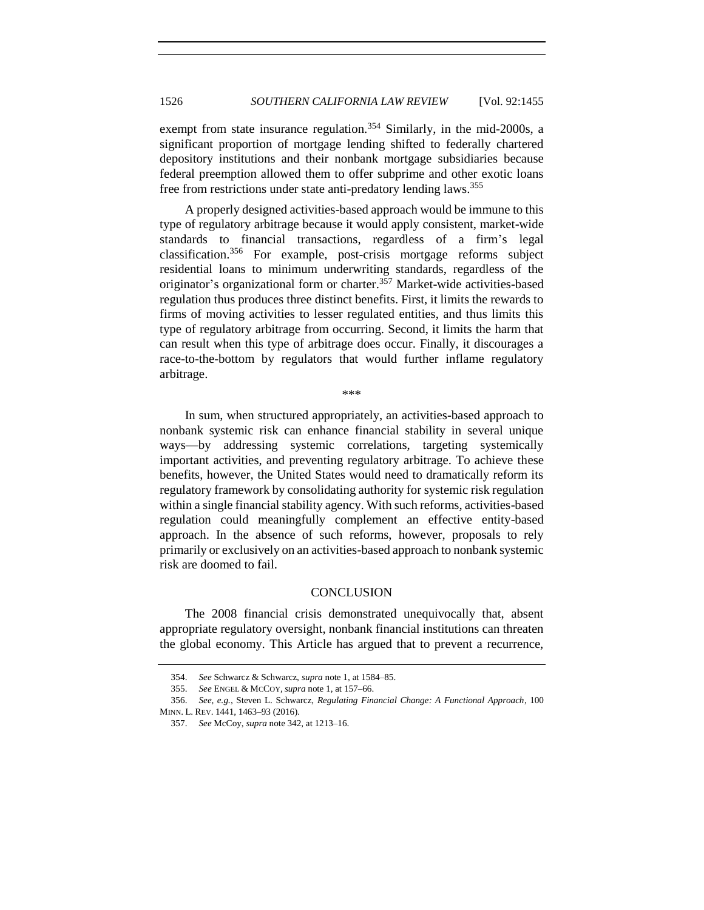exempt from state insurance regulation.<sup>354</sup> Similarly, in the mid-2000s, a significant proportion of mortgage lending shifted to federally chartered depository institutions and their nonbank mortgage subsidiaries because federal preemption allowed them to offer subprime and other exotic loans free from restrictions under state anti-predatory lending laws.<sup>355</sup>

A properly designed activities-based approach would be immune to this type of regulatory arbitrage because it would apply consistent, market-wide standards to financial transactions, regardless of a firm's legal classification.<sup>356</sup> For example, post-crisis mortgage reforms subject residential loans to minimum underwriting standards, regardless of the originator's organizational form or charter.<sup>357</sup> Market-wide activities-based regulation thus produces three distinct benefits. First, it limits the rewards to firms of moving activities to lesser regulated entities, and thus limits this type of regulatory arbitrage from occurring. Second, it limits the harm that can result when this type of arbitrage does occur. Finally, it discourages a race-to-the-bottom by regulators that would further inflame regulatory arbitrage.

\*\*\*

In sum, when structured appropriately, an activities-based approach to nonbank systemic risk can enhance financial stability in several unique ways—by addressing systemic correlations, targeting systemically important activities, and preventing regulatory arbitrage. To achieve these benefits, however, the United States would need to dramatically reform its regulatory framework by consolidating authority for systemic risk regulation within a single financial stability agency. With such reforms, activities-based regulation could meaningfully complement an effective entity-based approach. In the absence of such reforms, however, proposals to rely primarily or exclusively on an activities-based approach to nonbank systemic risk are doomed to fail.

#### **CONCLUSION**

The 2008 financial crisis demonstrated unequivocally that, absent appropriate regulatory oversight, nonbank financial institutions can threaten the global economy. This Article has argued that to prevent a recurrence,

<sup>354.</sup> *See* Schwarcz & Schwarcz, *supra* not[e 1,](#page-3-0) at 1584–85.

<sup>355.</sup> *See* ENGEL & MCCOY, *supra* not[e 1,](#page-3-0) at 157–66.

<sup>356.</sup> *See, e.g.*, Steven L. Schwarcz, *Regulating Financial Change: A Functional Approach*, 100 MINN. L. REV. 1441, 1463–93 (2016).

<sup>357.</sup> *See* McCoy, *supra* note 342, at 1213–16.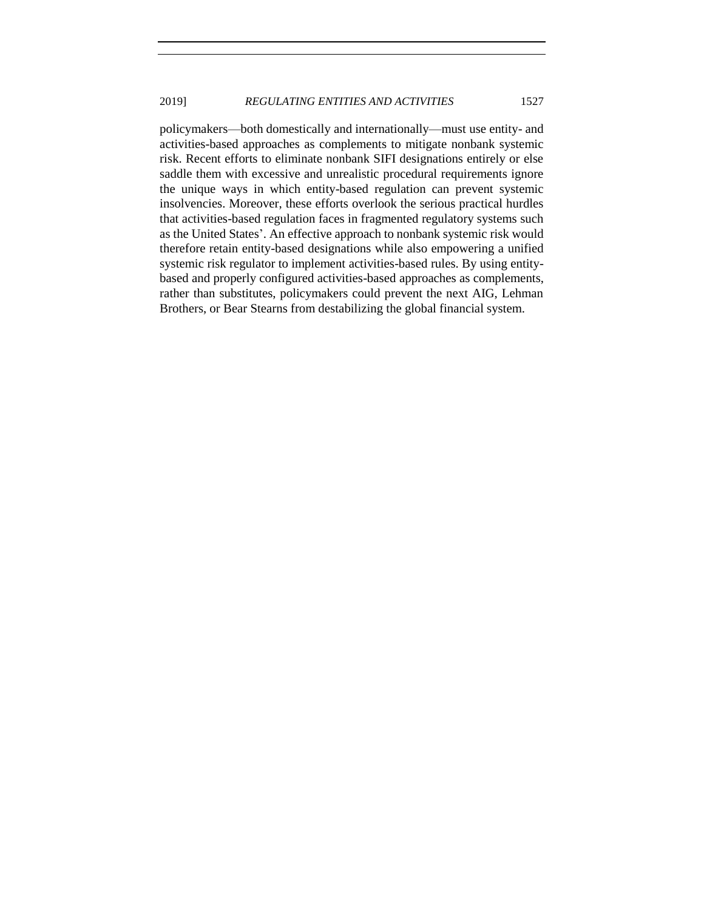policymakers—both domestically and internationally—must use entity- and activities-based approaches as complements to mitigate nonbank systemic risk. Recent efforts to eliminate nonbank SIFI designations entirely or else saddle them with excessive and unrealistic procedural requirements ignore the unique ways in which entity-based regulation can prevent systemic insolvencies. Moreover, these efforts overlook the serious practical hurdles that activities-based regulation faces in fragmented regulatory systems such as the United States'. An effective approach to nonbank systemic risk would therefore retain entity-based designations while also empowering a unified systemic risk regulator to implement activities-based rules. By using entitybased and properly configured activities-based approaches as complements, rather than substitutes, policymakers could prevent the next AIG, Lehman Brothers, or Bear Stearns from destabilizing the global financial system.